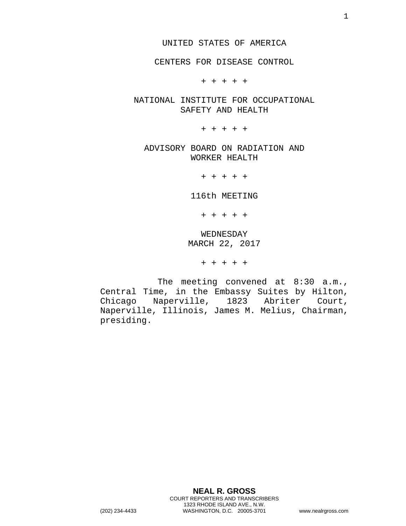CENTERS FOR DISEASE CONTROL

+ + + + +

NATIONAL INSTITUTE FOR OCCUPATIONAL SAFETY AND HEALTH

+ + + + +

ADVISORY BOARD ON RADIATION AND WORKER HEALTH

+ + + + +

116th MEETING

+ + + + +

WEDNESDAY MARCH 22, 2017

+ + + + +

The meeting convened at 8:30 a.m., Central Time, in the Embassy Suites by Hilton,<br>Chicago Naperville, 1823 Abriter Court, Chicago Naperville, 1823 Naperville, Illinois, James M. Melius, Chairman, presiding.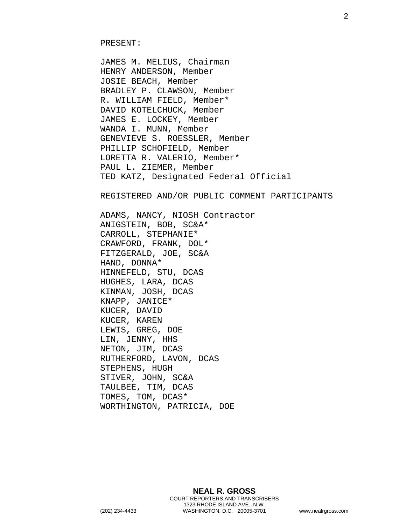JAMES M. MELIUS, Chairman HENRY ANDERSON, Member JOSIE BEACH, Member BRADLEY P. CLAWSON, Member R. WILLIAM FIELD, Member\* DAVID KOTELCHUCK, Member JAMES E. LOCKEY, Member WANDA I. MUNN, Member GENEVIEVE S. ROESSLER, Member PHILLIP SCHOFIELD, Member LORETTA R. VALERIO, Member\* PAUL L. ZIEMER, Member TED KATZ, Designated Federal Official

REGISTERED AND/OR PUBLIC COMMENT PARTICIPANTS

ADAMS, NANCY, NIOSH Contractor ANIGSTEIN, BOB, SC&A\* CARROLL, STEPHANIE\* CRAWFORD, FRANK, DOL\* FITZGERALD, JOE, SC&A HAND, DONNA\* HINNEFELD, STU, DCAS HUGHES, LARA, DCAS KINMAN, JOSH, DCAS KNAPP, JANICE\* KUCER, DAVID KUCER, KAREN LEWIS, GREG, DOE LIN, JENNY, HHS NETON, JIM, DCAS RUTHERFORD, LAVON, DCAS STEPHENS, HUGH STIVER, JOHN, SC&A TAULBEE, TIM, DCAS TOMES, TOM, DCAS\* WORTHINGTON, PATRICIA, DOE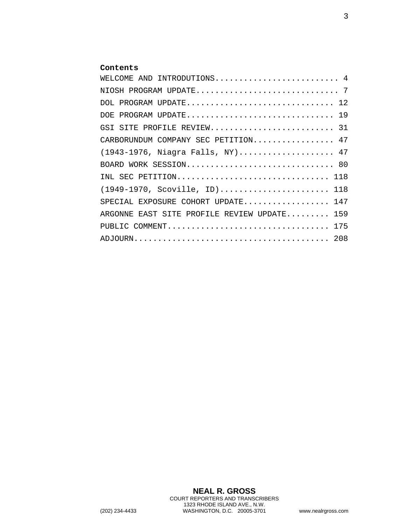## **Contents**

| WELCOME AND INTRODUTIONS 4                  |
|---------------------------------------------|
|                                             |
| DOL PROGRAM UPDATE 12                       |
| DOE PROGRAM UPDATE 19                       |
| GSI SITE PROFILE REVIEW 31                  |
| CARBORUNDUM COMPANY SEC PETITION 47         |
| (1943-1976, Niagra Falls, NY) 47            |
| BOARD WORK SESSION 80                       |
| INL SEC PETITION 118                        |
| $(1949-1970, Scoville, ID) 118$             |
| 147<br>SPECIAL EXPOSURE COHORT UPDATE       |
| ARGONNE EAST SITE PROFILE REVIEW UPDATE 159 |
| PUBLIC COMMENT 175                          |
|                                             |

**NEAL R. GROSS** COURT REPORTERS AND TRANSCRIBERS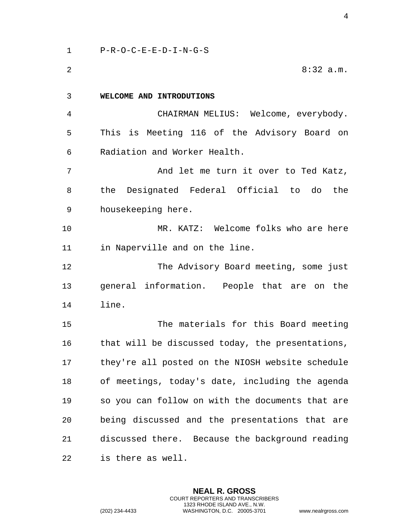<span id="page-3-0"></span> P-R-O-C-E-E-D-I-N-G-S 8:32 a.m. **WELCOME AND INTRODUTIONS** CHAIRMAN MELIUS: Welcome, everybody. This is Meeting 116 of the Advisory Board on Radiation and Worker Health. 7 And let me turn it over to Ted Katz, the Designated Federal Official to do the housekeeping here. MR. KATZ: Welcome folks who are here in Naperville and on the line. The Advisory Board meeting, some just general information. People that are on the line. The materials for this Board meeting 16 that will be discussed today, the presentations, they're all posted on the NIOSH website schedule of meetings, today's date, including the agenda so you can follow on with the documents that are being discussed and the presentations that are discussed there. Because the background reading

is there as well.

**NEAL R. GROSS** COURT REPORTERS AND TRANSCRIBERS 1323 RHODE ISLAND AVE., N.W. (202) 234-4433 WASHINGTON, D.C. 20005-3701 www.nealrgross.com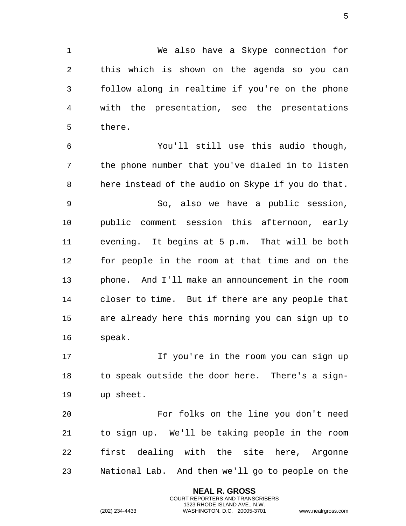We also have a Skype connection for this which is shown on the agenda so you can follow along in realtime if you're on the phone with the presentation, see the presentations there.

 You'll still use this audio though, the phone number that you've dialed in to listen here instead of the audio on Skype if you do that. So, also we have a public session, public comment session this afternoon, early evening. It begins at 5 p.m. That will be both for people in the room at that time and on the phone. And I'll make an announcement in the room closer to time. But if there are any people that are already here this morning you can sign up to speak.

 If you're in the room you can sign up to speak outside the door here. There's a sign-up sheet.

 For folks on the line you don't need to sign up. We'll be taking people in the room first dealing with the site here, Argonne National Lab. And then we'll go to people on the

> **NEAL R. GROSS** COURT REPORTERS AND TRANSCRIBERS 1323 RHODE ISLAND AVE., N.W.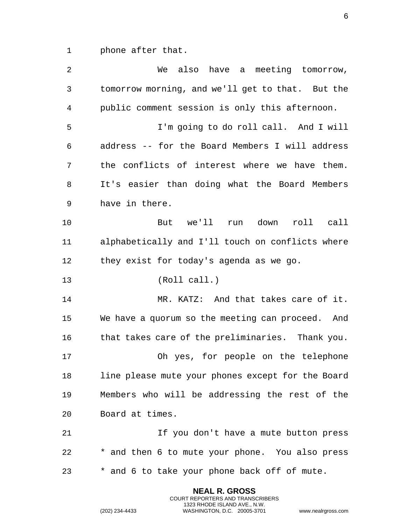1 phone after that.

| 2  | We also have a meeting tomorrow,                  |
|----|---------------------------------------------------|
| 3  | tomorrow morning, and we'll get to that. But the  |
| 4  | public comment session is only this afternoon.    |
| 5  | I'm going to do roll call. And I will             |
| 6  | address -- for the Board Members I will address   |
| 7  | the conflicts of interest where we have them.     |
| 8  | It's easier than doing what the Board Members     |
| 9  | have in there.                                    |
| 10 | But we'll run down<br>roll call                   |
| 11 | alphabetically and I'll touch on conflicts where  |
| 12 | they exist for today's agenda as we go.           |
| 13 | (Roll call.)                                      |
| 14 | MR. KATZ: And that takes care of it.              |
| 15 | We have a quorum so the meeting can proceed. And  |
| 16 | that takes care of the preliminaries. Thank you.  |
|    |                                                   |
| 17 | Oh yes, for people on the telephone               |
| 18 | line please mute your phones except for the Board |
| 19 | Members who will be addressing the rest of the    |
| 20 | Board at times.                                   |
| 21 | If you don't have a mute button press             |
| 22 | * and then 6 to mute your phone. You also press   |

**NEAL R. GROSS** COURT REPORTERS AND TRANSCRIBERS 1323 RHODE ISLAND AVE., N.W.

(202) 234-4433 WASHINGTON, D.C. 20005-3701 www.nealrgross.com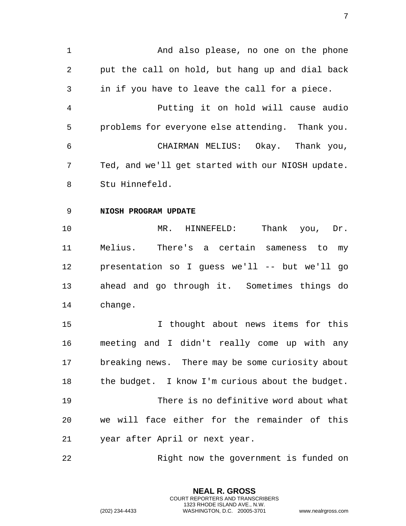<span id="page-6-0"></span> And also please, no one on the phone put the call on hold, but hang up and dial back in if you have to leave the call for a piece. Putting it on hold will cause audio problems for everyone else attending. Thank you. CHAIRMAN MELIUS: Okay. Thank you, Ted, and we'll get started with our NIOSH update. Stu Hinnefeld. **NIOSH PROGRAM UPDATE** MR. HINNEFELD: Thank you, Dr. Melius. There's a certain sameness to my presentation so I guess we'll -- but we'll go ahead and go through it. Sometimes things do change. I thought about news items for this meeting and I didn't really come up with any breaking news. There may be some curiosity about the budget. I know I'm curious about the budget. There is no definitive word about what we will face either for the remainder of this

year after April or next year.

Right now the government is funded on

**NEAL R. GROSS** COURT REPORTERS AND TRANSCRIBERS 1323 RHODE ISLAND AVE., N.W.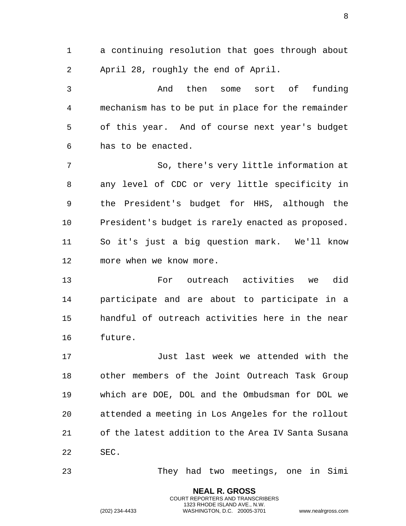a continuing resolution that goes through about April 28, roughly the end of April.

 And then some sort of funding mechanism has to be put in place for the remainder of this year. And of course next year's budget has to be enacted.

 So, there's very little information at any level of CDC or very little specificity in the President's budget for HHS, although the President's budget is rarely enacted as proposed. So it's just a big question mark. We'll know more when we know more.

 For outreach activities we did participate and are about to participate in a handful of outreach activities here in the near future.

 Just last week we attended with the other members of the Joint Outreach Task Group which are DOE, DOL and the Ombudsman for DOL we attended a meeting in Los Angeles for the rollout of the latest addition to the Area IV Santa Susana SEC.

They had two meetings, one in Simi

**NEAL R. GROSS** COURT REPORTERS AND TRANSCRIBERS 1323 RHODE ISLAND AVE., N.W.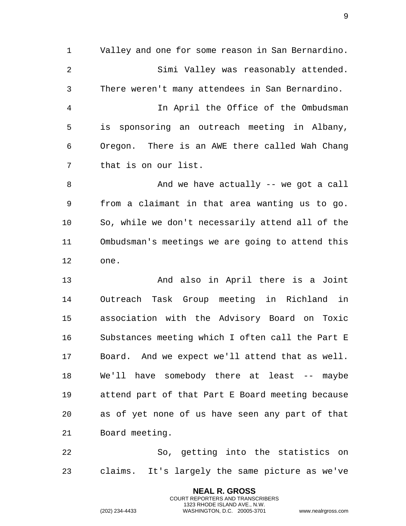Valley and one for some reason in San Bernardino. Simi Valley was reasonably attended. There weren't many attendees in San Bernardino. In April the Office of the Ombudsman is sponsoring an outreach meeting in Albany, Oregon. There is an AWE there called Wah Chang that is on our list. 8 And we have actually -- we got a call from a claimant in that area wanting us to go. So, while we don't necessarily attend all of the Ombudsman's meetings we are going to attend this one. And also in April there is a Joint

 Outreach Task Group meeting in Richland in association with the Advisory Board on Toxic Substances meeting which I often call the Part E Board. And we expect we'll attend that as well. We'll have somebody there at least -- maybe attend part of that Part E Board meeting because as of yet none of us have seen any part of that Board meeting.

 So, getting into the statistics on claims. It's largely the same picture as we've

> **NEAL R. GROSS** COURT REPORTERS AND TRANSCRIBERS 1323 RHODE ISLAND AVE., N.W.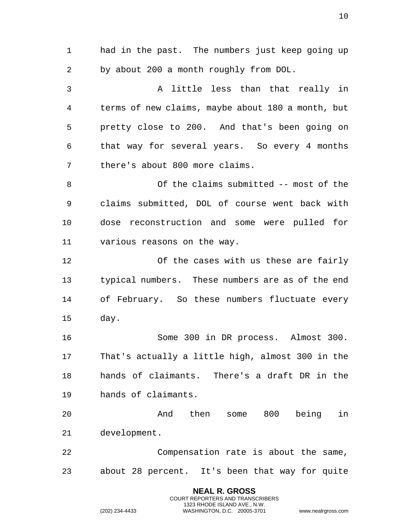had in the past. The numbers just keep going up by about 200 a month roughly from DOL. A little less than that really in terms of new claims, maybe about 180 a month, but pretty close to 200. And that's been going on that way for several years. So every 4 months there's about 800 more claims. Of the claims submitted -- most of the claims submitted, DOL of course went back with dose reconstruction and some were pulled for various reasons on the way. Of the cases with us these are fairly typical numbers. These numbers are as of the end of February. So these numbers fluctuate every day. Some 300 in DR process. Almost 300. That's actually a little high, almost 300 in the hands of claimants. There's a draft DR in the hands of claimants. And then some 800 being in development. Compensation rate is about the same, about 28 percent. It's been that way for quite

> **NEAL R. GROSS** COURT REPORTERS AND TRANSCRIBERS 1323 RHODE ISLAND AVE., N.W.

(202) 234-4433 WASHINGTON, D.C. 20005-3701 www.nealrgross.com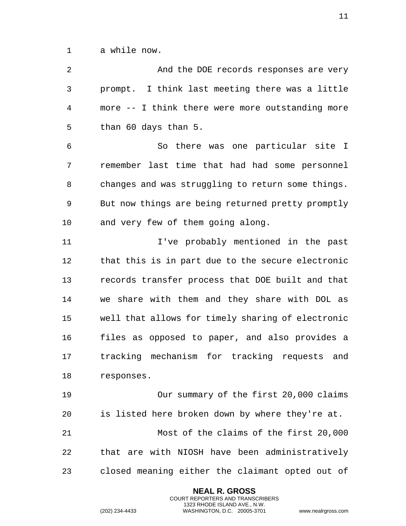a while now.

 And the DOE records responses are very prompt. I think last meeting there was a little more -- I think there were more outstanding more than 60 days than 5. So there was one particular site I remember last time that had had some personnel changes and was struggling to return some things. But now things are being returned pretty promptly and very few of them going along. 11 11 I've probably mentioned in the past that this is in part due to the secure electronic records transfer process that DOE built and that we share with them and they share with DOL as well that allows for timely sharing of electronic files as opposed to paper, and also provides a tracking mechanism for tracking requests and responses. Our summary of the first 20,000 claims is listed here broken down by where they're at. Most of the claims of the first 20,000 that are with NIOSH have been administratively closed meaning either the claimant opted out of

> **NEAL R. GROSS** COURT REPORTERS AND TRANSCRIBERS 1323 RHODE ISLAND AVE., N.W.

(202) 234-4433 WASHINGTON, D.C. 20005-3701 www.nealrgross.com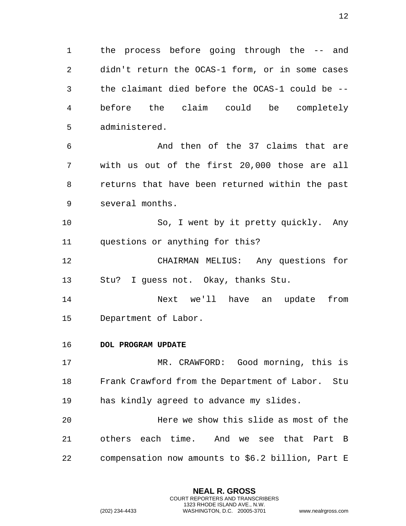the process before going through the -- and didn't return the OCAS-1 form, or in some cases the claimant died before the OCAS-1 could be -- before the claim could be completely administered.

 And then of the 37 claims that are with us out of the first 20,000 those are all returns that have been returned within the past several months.

 So, I went by it pretty quickly. Any questions or anything for this?

 CHAIRMAN MELIUS: Any questions for Stu? I guess not. Okay, thanks Stu.

 Next we'll have an update from Department of Labor.

## <span id="page-11-0"></span>**DOL PROGRAM UPDATE**

 MR. CRAWFORD: Good morning, this is Frank Crawford from the Department of Labor. Stu has kindly agreed to advance my slides.

 Here we show this slide as most of the others each time. And we see that Part B compensation now amounts to \$6.2 billion, Part E

> **NEAL R. GROSS** COURT REPORTERS AND TRANSCRIBERS 1323 RHODE ISLAND AVE., N.W.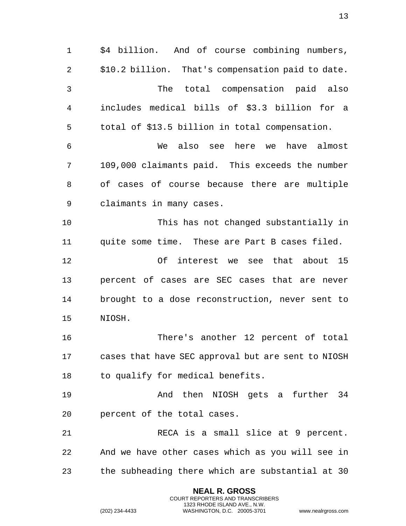\$4 billion. And of course combining numbers, \$10.2 billion. That's compensation paid to date. The total compensation paid also includes medical bills of \$3.3 billion for a total of \$13.5 billion in total compensation. We also see here we have almost 109,000 claimants paid. This exceeds the number of cases of course because there are multiple claimants in many cases. This has not changed substantially in quite some time. These are Part B cases filed. Of interest we see that about 15 percent of cases are SEC cases that are never brought to a dose reconstruction, never sent to NIOSH. There's another 12 percent of total cases that have SEC approval but are sent to NIOSH 18 to qualify for medical benefits. And then NIOSH gets a further 34 percent of the total cases. RECA is a small slice at 9 percent. And we have other cases which as you will see in the subheading there which are substantial at 30

> **NEAL R. GROSS** COURT REPORTERS AND TRANSCRIBERS 1323 RHODE ISLAND AVE., N.W.

(202) 234-4433 WASHINGTON, D.C. 20005-3701 www.nealrgross.com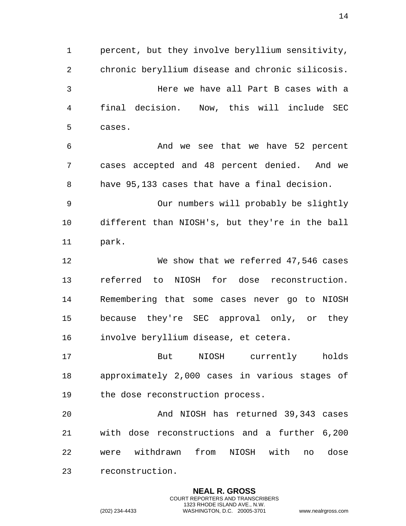percent, but they involve beryllium sensitivity, chronic beryllium disease and chronic silicosis. Here we have all Part B cases with a final decision. Now, this will include SEC cases. And we see that we have 52 percent cases accepted and 48 percent denied. And we have 95,133 cases that have a final decision. Our numbers will probably be slightly different than NIOSH's, but they're in the ball park. We show that we referred 47,546 cases referred to NIOSH for dose reconstruction. Remembering that some cases never go to NIOSH because they're SEC approval only, or they involve beryllium disease, et cetera. But NIOSH currently holds approximately 2,000 cases in various stages of the dose reconstruction process. And NIOSH has returned 39,343 cases with dose reconstructions and a further 6,200 were withdrawn from NIOSH with no dose reconstruction.

> **NEAL R. GROSS** COURT REPORTERS AND TRANSCRIBERS 1323 RHODE ISLAND AVE., N.W.

(202) 234-4433 WASHINGTON, D.C. 20005-3701 www.nealrgross.com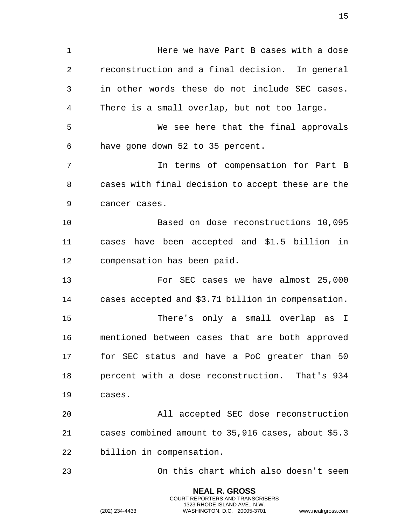Here we have Part B cases with a dose reconstruction and a final decision. In general in other words these do not include SEC cases. There is a small overlap, but not too large. We see here that the final approvals have gone down 52 to 35 percent. In terms of compensation for Part B cases with final decision to accept these are the cancer cases. Based on dose reconstructions 10,095 cases have been accepted and \$1.5 billion in compensation has been paid. For SEC cases we have almost 25,000 cases accepted and \$3.71 billion in compensation. There's only a small overlap as I mentioned between cases that are both approved for SEC status and have a PoC greater than 50 percent with a dose reconstruction. That's 934 cases. All accepted SEC dose reconstruction cases combined amount to 35,916 cases, about \$5.3 billion in compensation. On this chart which also doesn't seem

> **NEAL R. GROSS** COURT REPORTERS AND TRANSCRIBERS 1323 RHODE ISLAND AVE., N.W.

(202) 234-4433 WASHINGTON, D.C. 20005-3701 www.nealrgross.com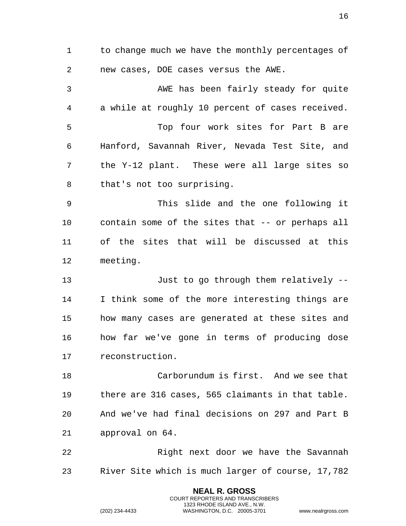1 to change much we have the monthly percentages of new cases, DOE cases versus the AWE. AWE has been fairly steady for quite a while at roughly 10 percent of cases received. Top four work sites for Part B are Hanford, Savannah River, Nevada Test Site, and the Y-12 plant. These were all large sites so that's not too surprising. This slide and the one following it contain some of the sites that -- or perhaps all of the sites that will be discussed at this meeting. Just to go through them relatively -- I think some of the more interesting things are how many cases are generated at these sites and how far we've gone in terms of producing dose reconstruction. Carborundum is first. And we see that there are 316 cases, 565 claimants in that table. And we've had final decisions on 297 and Part B approval on 64. Right next door we have the Savannah River Site which is much larger of course, 17,782

> **NEAL R. GROSS** COURT REPORTERS AND TRANSCRIBERS 1323 RHODE ISLAND AVE., N.W.

(202) 234-4433 WASHINGTON, D.C. 20005-3701 www.nealrgross.com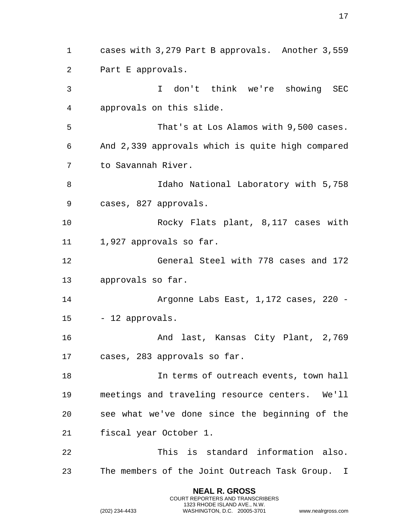**NEAL R. GROSS** cases with 3,279 Part B approvals. Another 3,559 Part E approvals. I don't think we're showing SEC approvals on this slide. That's at Los Alamos with 9,500 cases. And 2,339 approvals which is quite high compared to Savannah River. Idaho National Laboratory with 5,758 cases, 827 approvals. Rocky Flats plant, 8,117 cases with 1,927 approvals so far. General Steel with 778 cases and 172 approvals so far. Argonne Labs East, 1,172 cases, 220 - - 12 approvals. And last, Kansas City Plant, 2,769 cases, 283 approvals so far. In terms of outreach events, town hall meetings and traveling resource centers. We'll see what we've done since the beginning of the fiscal year October 1. This is standard information also. The members of the Joint Outreach Task Group. I

> COURT REPORTERS AND TRANSCRIBERS 1323 RHODE ISLAND AVE., N.W.

(202) 234-4433 WASHINGTON, D.C. 20005-3701 www.nealrgross.com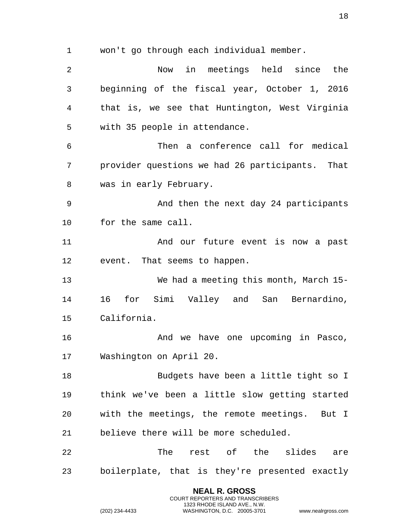won't go through each individual member.

 Now in meetings held since the beginning of the fiscal year, October 1, 2016 that is, we see that Huntington, West Virginia with 35 people in attendance. Then a conference call for medical provider questions we had 26 participants. That was in early February. And then the next day 24 participants for the same call. And our future event is now a past event. That seems to happen. We had a meeting this month, March 15- 16 for Simi Valley and San Bernardino, California. 16 And we have one upcoming in Pasco, Washington on April 20. Budgets have been a little tight so I think we've been a little slow getting started with the meetings, the remote meetings. But I believe there will be more scheduled. 22 The rest of the slides are boilerplate, that is they're presented exactly

> **NEAL R. GROSS** COURT REPORTERS AND TRANSCRIBERS 1323 RHODE ISLAND AVE., N.W.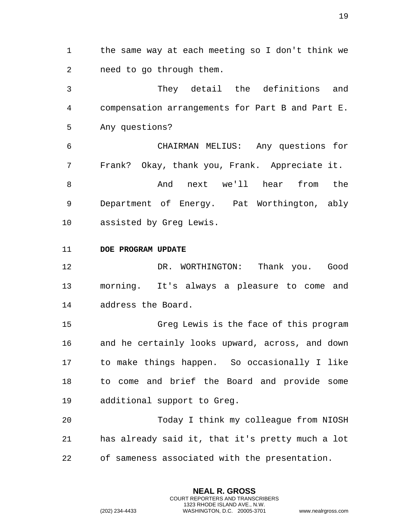the same way at each meeting so I don't think we need to go through them.

 They detail the definitions and compensation arrangements for Part B and Part E. Any questions?

 CHAIRMAN MELIUS: Any questions for Frank? Okay, thank you, Frank. Appreciate it.

 And next we'll hear from the Department of Energy. Pat Worthington, ably assisted by Greg Lewis.

<span id="page-18-0"></span>**DOE PROGRAM UPDATE**

 DR. WORTHINGTON: Thank you. Good morning. It's always a pleasure to come and address the Board.

 Greg Lewis is the face of this program and he certainly looks upward, across, and down to make things happen. So occasionally I like to come and brief the Board and provide some additional support to Greg.

 Today I think my colleague from NIOSH has already said it, that it's pretty much a lot of sameness associated with the presentation.

> **NEAL R. GROSS** COURT REPORTERS AND TRANSCRIBERS 1323 RHODE ISLAND AVE., N.W.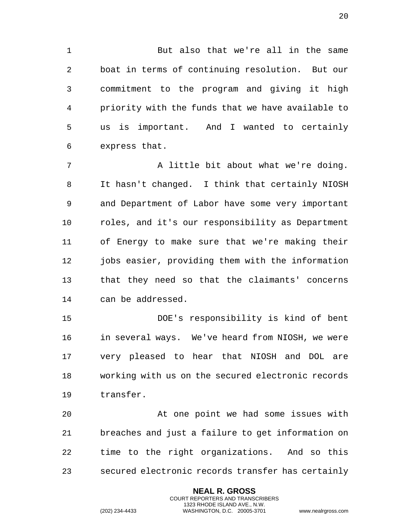But also that we're all in the same boat in terms of continuing resolution. But our commitment to the program and giving it high priority with the funds that we have available to us is important. And I wanted to certainly express that.

7 A little bit about what we're doing. It hasn't changed. I think that certainly NIOSH and Department of Labor have some very important roles, and it's our responsibility as Department of Energy to make sure that we're making their 12 jobs easier, providing them with the information that they need so that the claimants' concerns can be addressed.

 DOE's responsibility is kind of bent in several ways. We've heard from NIOSH, we were very pleased to hear that NIOSH and DOL are working with us on the secured electronic records transfer.

 At one point we had some issues with breaches and just a failure to get information on time to the right organizations. And so this secured electronic records transfer has certainly

> **NEAL R. GROSS** COURT REPORTERS AND TRANSCRIBERS 1323 RHODE ISLAND AVE., N.W.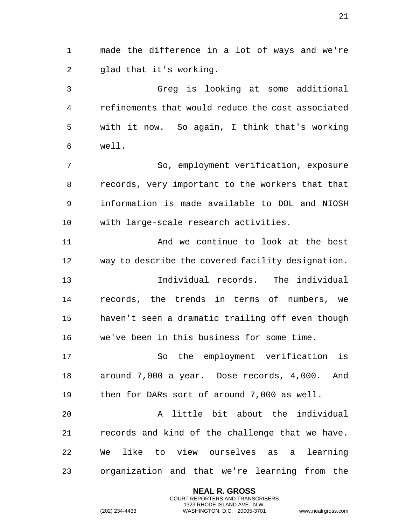made the difference in a lot of ways and we're glad that it's working.

 Greg is looking at some additional refinements that would reduce the cost associated with it now. So again, I think that's working well.

 So, employment verification, exposure records, very important to the workers that that information is made available to DOL and NIOSH with large-scale research activities.

 And we continue to look at the best way to describe the covered facility designation.

 Individual records. The individual records, the trends in terms of numbers, we haven't seen a dramatic trailing off even though we've been in this business for some time.

 So the employment verification is around 7,000 a year. Dose records, 4,000. And then for DARs sort of around 7,000 as well.

 A little bit about the individual records and kind of the challenge that we have. We like to view ourselves as a learning organization and that we're learning from the

> **NEAL R. GROSS** COURT REPORTERS AND TRANSCRIBERS 1323 RHODE ISLAND AVE., N.W.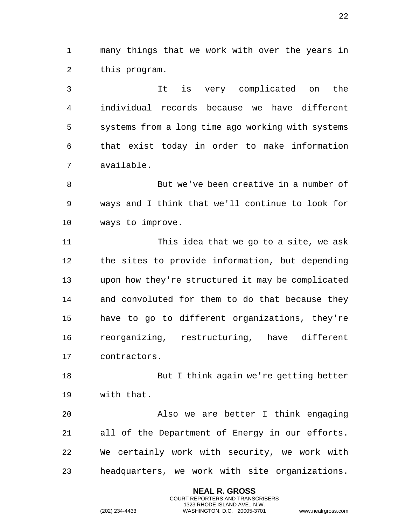many things that we work with over the years in this program.

 It is very complicated on the individual records because we have different systems from a long time ago working with systems that exist today in order to make information available.

 But we've been creative in a number of ways and I think that we'll continue to look for ways to improve.

 This idea that we go to a site, we ask the sites to provide information, but depending upon how they're structured it may be complicated and convoluted for them to do that because they have to go to different organizations, they're reorganizing, restructuring, have different contractors.

 But I think again we're getting better with that.

 Also we are better I think engaging all of the Department of Energy in our efforts. We certainly work with security, we work with headquarters, we work with site organizations.

> **NEAL R. GROSS** COURT REPORTERS AND TRANSCRIBERS 1323 RHODE ISLAND AVE., N.W.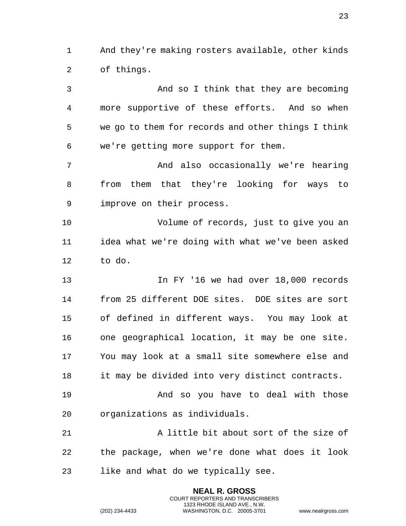And they're making rosters available, other kinds of things.

 And so I think that they are becoming more supportive of these efforts. And so when we go to them for records and other things I think we're getting more support for them. And also occasionally we're hearing from them that they're looking for ways to improve on their process. Volume of records, just to give you an idea what we're doing with what we've been asked to do. In FY '16 we had over 18,000 records from 25 different DOE sites. DOE sites are sort of defined in different ways. You may look at one geographical location, it may be one site. You may look at a small site somewhere else and it may be divided into very distinct contracts. 19 And so you have to deal with those organizations as individuals. A little bit about sort of the size of the package, when we're done what does it look like and what do we typically see.

> **NEAL R. GROSS** COURT REPORTERS AND TRANSCRIBERS 1323 RHODE ISLAND AVE., N.W.

(202) 234-4433 WASHINGTON, D.C. 20005-3701 www.nealrgross.com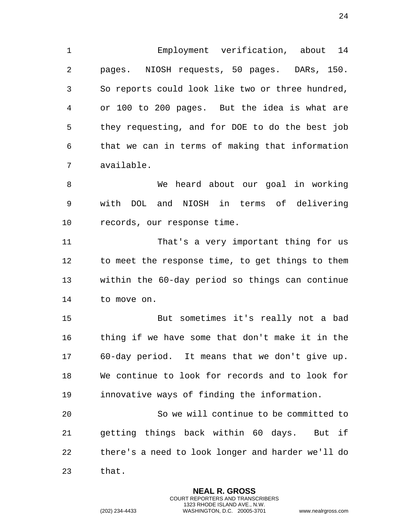Employment verification, about 14 pages. NIOSH requests, 50 pages. DARs, 150. So reports could look like two or three hundred, or 100 to 200 pages. But the idea is what are they requesting, and for DOE to do the best job that we can in terms of making that information available.

 We heard about our goal in working with DOL and NIOSH in terms of delivering records, our response time.

 That's a very important thing for us to meet the response time, to get things to them within the 60-day period so things can continue to move on.

 But sometimes it's really not a bad thing if we have some that don't make it in the 60-day period. It means that we don't give up. We continue to look for records and to look for innovative ways of finding the information.

 So we will continue to be committed to getting things back within 60 days. But if there's a need to look longer and harder we'll do that.

> **NEAL R. GROSS** COURT REPORTERS AND TRANSCRIBERS 1323 RHODE ISLAND AVE., N.W.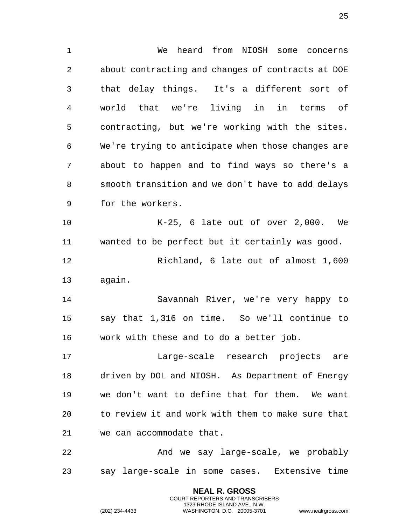**NEAL R. GROSS** We heard from NIOSH some concerns about contracting and changes of contracts at DOE that delay things. It's a different sort of world that we're living in in terms of contracting, but we're working with the sites. We're trying to anticipate when those changes are about to happen and to find ways so there's a smooth transition and we don't have to add delays for the workers. K-25, 6 late out of over 2,000. We wanted to be perfect but it certainly was good. Richland, 6 late out of almost 1,600 again. Savannah River, we're very happy to say that 1,316 on time. So we'll continue to work with these and to do a better job. Large-scale research projects are driven by DOL and NIOSH. As Department of Energy we don't want to define that for them. We want to review it and work with them to make sure that we can accommodate that. And we say large-scale, we probably say large-scale in some cases. Extensive time

> COURT REPORTERS AND TRANSCRIBERS 1323 RHODE ISLAND AVE., N.W.

(202) 234-4433 WASHINGTON, D.C. 20005-3701 www.nealrgross.com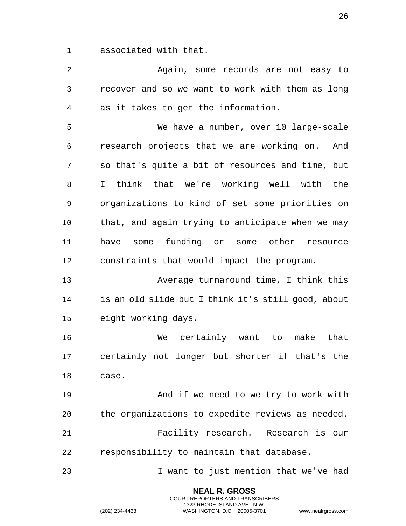associated with that.

 Again, some records are not easy to recover and so we want to work with them as long as it takes to get the information. We have a number, over 10 large-scale research projects that we are working on. And so that's quite a bit of resources and time, but I think that we're working well with the organizations to kind of set some priorities on that, and again trying to anticipate when we may have some funding or some other resource constraints that would impact the program. Average turnaround time, I think this is an old slide but I think it's still good, about eight working days. We certainly want to make that certainly not longer but shorter if that's the case. And if we need to we try to work with the organizations to expedite reviews as needed. Facility research. Research is our responsibility to maintain that database. I want to just mention that we've had

> **NEAL R. GROSS** COURT REPORTERS AND TRANSCRIBERS 1323 RHODE ISLAND AVE., N.W.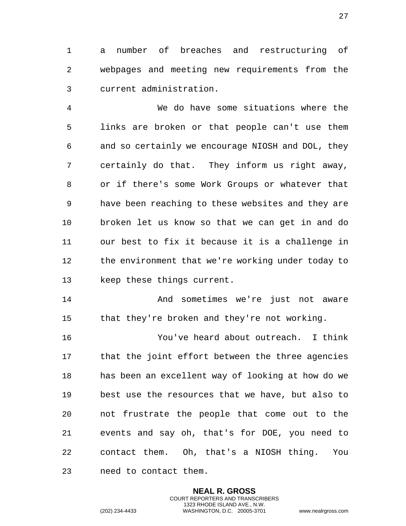a number of breaches and restructuring of webpages and meeting new requirements from the current administration.

 We do have some situations where the links are broken or that people can't use them and so certainly we encourage NIOSH and DOL, they certainly do that. They inform us right away, or if there's some Work Groups or whatever that have been reaching to these websites and they are broken let us know so that we can get in and do our best to fix it because it is a challenge in the environment that we're working under today to keep these things current.

 And sometimes we're just not aware that they're broken and they're not working.

 You've heard about outreach. I think that the joint effort between the three agencies has been an excellent way of looking at how do we best use the resources that we have, but also to not frustrate the people that come out to the events and say oh, that's for DOE, you need to contact them. Oh, that's a NIOSH thing. You need to contact them.

> **NEAL R. GROSS** COURT REPORTERS AND TRANSCRIBERS 1323 RHODE ISLAND AVE., N.W.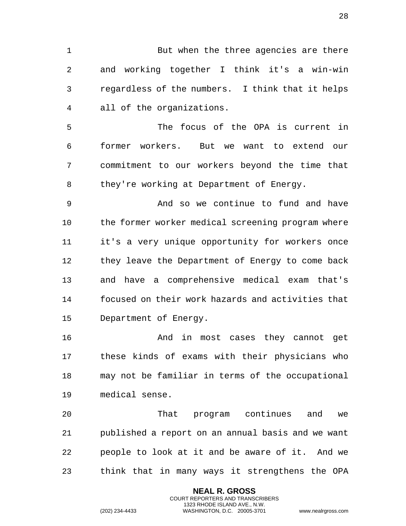But when the three agencies are there and working together I think it's a win-win regardless of the numbers. I think that it helps all of the organizations.

 The focus of the OPA is current in former workers. But we want to extend our commitment to our workers beyond the time that 8 they're working at Department of Energy.

 And so we continue to fund and have the former worker medical screening program where it's a very unique opportunity for workers once they leave the Department of Energy to come back and have a comprehensive medical exam that's focused on their work hazards and activities that Department of Energy.

 And in most cases they cannot get these kinds of exams with their physicians who may not be familiar in terms of the occupational medical sense.

 That program continues and we published a report on an annual basis and we want people to look at it and be aware of it. And we think that in many ways it strengthens the OPA

> **NEAL R. GROSS** COURT REPORTERS AND TRANSCRIBERS 1323 RHODE ISLAND AVE., N.W.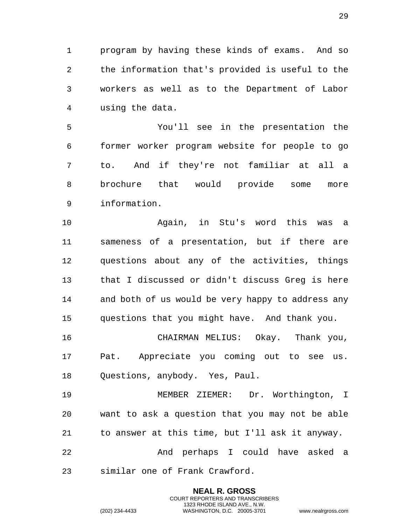program by having these kinds of exams. And so the information that's provided is useful to the workers as well as to the Department of Labor using the data.

 You'll see in the presentation the former worker program website for people to go to. And if they're not familiar at all a brochure that would provide some more information.

 Again, in Stu's word this was a sameness of a presentation, but if there are questions about any of the activities, things that I discussed or didn't discuss Greg is here and both of us would be very happy to address any questions that you might have. And thank you.

 CHAIRMAN MELIUS: Okay. Thank you, Pat. Appreciate you coming out to see us. Questions, anybody. Yes, Paul.

 MEMBER ZIEMER: Dr. Worthington, I want to ask a question that you may not be able to answer at this time, but I'll ask it anyway. And perhaps I could have asked a

> **NEAL R. GROSS** COURT REPORTERS AND TRANSCRIBERS 1323 RHODE ISLAND AVE., N.W.

similar one of Frank Crawford.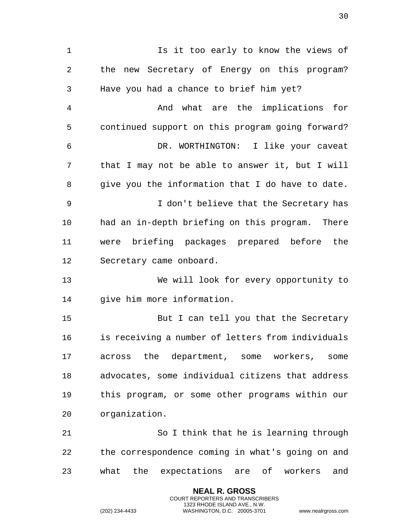Is it too early to know the views of the new Secretary of Energy on this program? Have you had a chance to brief him yet? And what are the implications for continued support on this program going forward? DR. WORTHINGTON: I like your caveat that I may not be able to answer it, but I will give you the information that I do have to date. I don't believe that the Secretary has had an in-depth briefing on this program. There were briefing packages prepared before the Secretary came onboard. We will look for every opportunity to 14 qive him more information. But I can tell you that the Secretary is receiving a number of letters from individuals across the department, some workers, some advocates, some individual citizens that address this program, or some other programs within our organization. So I think that he is learning through the correspondence coming in what's going on and what the expectations are of workers and

> **NEAL R. GROSS** COURT REPORTERS AND TRANSCRIBERS 1323 RHODE ISLAND AVE., N.W.

(202) 234-4433 WASHINGTON, D.C. 20005-3701 www.nealrgross.com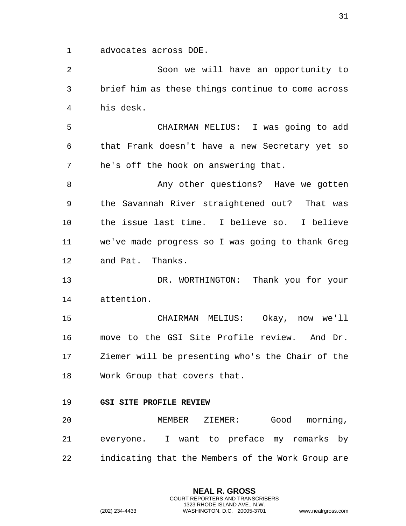advocates across DOE.

 Soon we will have an opportunity to brief him as these things continue to come across his desk.

 CHAIRMAN MELIUS: I was going to add that Frank doesn't have a new Secretary yet so he's off the hook on answering that.

8 Any other questions? Have we gotten the Savannah River straightened out? That was the issue last time. I believe so. I believe we've made progress so I was going to thank Greg and Pat. Thanks.

 DR. WORTHINGTON: Thank you for your attention.

 CHAIRMAN MELIUS: Okay, now we'll move to the GSI Site Profile review. And Dr. Ziemer will be presenting who's the Chair of the Work Group that covers that.

## <span id="page-30-0"></span>**GSI SITE PROFILE REVIEW**

 MEMBER ZIEMER: Good morning, everyone. I want to preface my remarks by indicating that the Members of the Work Group are

> **NEAL R. GROSS** COURT REPORTERS AND TRANSCRIBERS 1323 RHODE ISLAND AVE., N.W.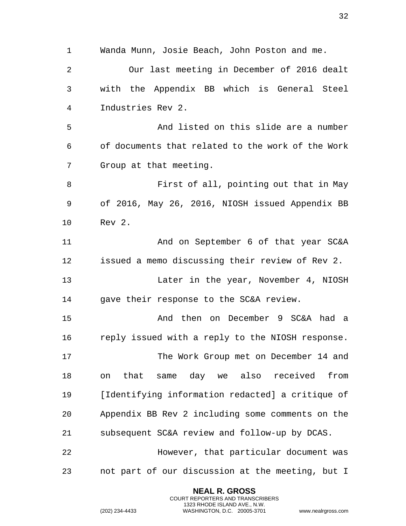Wanda Munn, Josie Beach, John Poston and me. Our last meeting in December of 2016 dealt with the Appendix BB which is General Steel Industries Rev 2. And listed on this slide are a number of documents that related to the work of the Work Group at that meeting. First of all, pointing out that in May of 2016, May 26, 2016, NIOSH issued Appendix BB Rev 2. And on September 6 of that year SC&A issued a memo discussing their review of Rev 2. Later in the year, November 4, NIOSH gave their response to the SC&A review. And then on December 9 SC&A had a reply issued with a reply to the NIOSH response. The Work Group met on December 14 and on that same day we also received from [Identifying information redacted] a critique of Appendix BB Rev 2 including some comments on the subsequent SC&A review and follow-up by DCAS. However, that particular document was not part of our discussion at the meeting, but I

> **NEAL R. GROSS** COURT REPORTERS AND TRANSCRIBERS 1323 RHODE ISLAND AVE., N.W.

(202) 234-4433 WASHINGTON, D.C. 20005-3701 www.nealrgross.com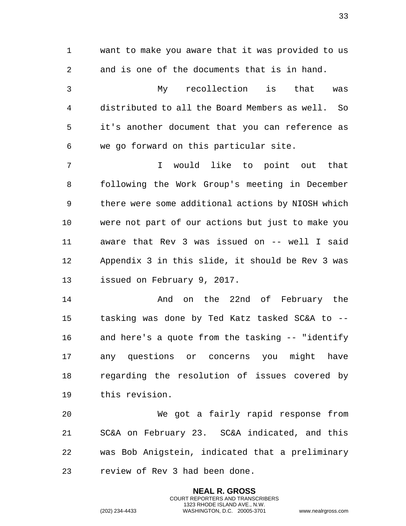want to make you aware that it was provided to us and is one of the documents that is in hand. My recollection is that was distributed to all the Board Members as well. So it's another document that you can reference as we go forward on this particular site. I would like to point out that following the Work Group's meeting in December there were some additional actions by NIOSH which were not part of our actions but just to make you aware that Rev 3 was issued on -- well I said Appendix 3 in this slide, it should be Rev 3 was issued on February 9, 2017. And on the 22nd of February the tasking was done by Ted Katz tasked SC&A to --

 We got a fairly rapid response from SC&A on February 23. SC&A indicated, and this was Bob Anigstein, indicated that a preliminary review of Rev 3 had been done.

and here's a quote from the tasking -- "identify

any questions or concerns you might have

regarding the resolution of issues covered by

**NEAL R. GROSS** COURT REPORTERS AND TRANSCRIBERS 1323 RHODE ISLAND AVE., N.W.

this revision.

(202) 234-4433 WASHINGTON, D.C. 20005-3701 www.nealrgross.com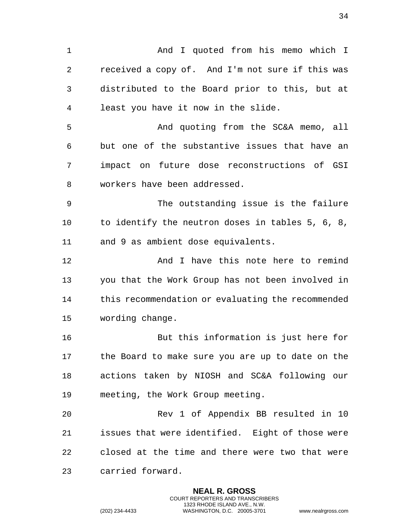And I quoted from his memo which I received a copy of. And I'm not sure if this was distributed to the Board prior to this, but at least you have it now in the slide. And quoting from the SC&A memo, all but one of the substantive issues that have an impact on future dose reconstructions of GSI workers have been addressed. The outstanding issue is the failure to identify the neutron doses in tables 5, 6, 8, and 9 as ambient dose equivalents. **And I have this note here to remind**  you that the Work Group has not been involved in this recommendation or evaluating the recommended wording change. But this information is just here for the Board to make sure you are up to date on the actions taken by NIOSH and SC&A following our meeting, the Work Group meeting. Rev 1 of Appendix BB resulted in 10 issues that were identified. Eight of those were closed at the time and there were two that were carried forward.

> **NEAL R. GROSS** COURT REPORTERS AND TRANSCRIBERS 1323 RHODE ISLAND AVE., N.W.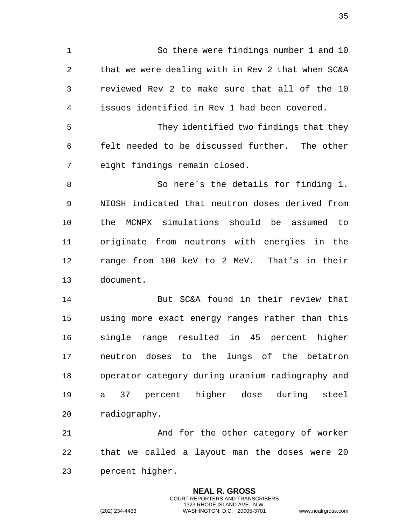So there were findings number 1 and 10 that we were dealing with in Rev 2 that when SC&A reviewed Rev 2 to make sure that all of the 10 issues identified in Rev 1 had been covered. They identified two findings that they felt needed to be discussed further. The other eight findings remain closed. So here's the details for finding 1. NIOSH indicated that neutron doses derived from the MCNPX simulations should be assumed to originate from neutrons with energies in the range from 100 keV to 2 MeV. That's in their document. But SC&A found in their review that using more exact energy ranges rather than this single range resulted in 45 percent higher neutron doses to the lungs of the betatron operator category during uranium radiography and a 37 percent higher dose during steel radiography.

21 And for the other category of worker that we called a layout man the doses were 20 percent higher.

> **NEAL R. GROSS** COURT REPORTERS AND TRANSCRIBERS 1323 RHODE ISLAND AVE., N.W.

(202) 234-4433 WASHINGTON, D.C. 20005-3701 www.nealrgross.com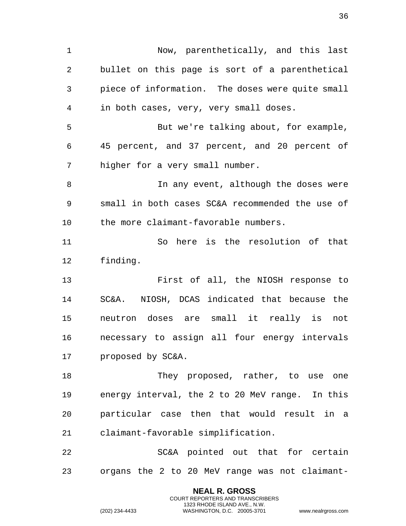Now, parenthetically, and this last bullet on this page is sort of a parenthetical piece of information. The doses were quite small in both cases, very, very small doses. But we're talking about, for example, 45 percent, and 37 percent, and 20 percent of higher for a very small number. In any event, although the doses were small in both cases SC&A recommended the use of the more claimant-favorable numbers. So here is the resolution of that finding. First of all, the NIOSH response to SC&A. NIOSH, DCAS indicated that because the neutron doses are small it really is not necessary to assign all four energy intervals proposed by SC&A. 18 They proposed, rather, to use one energy interval, the 2 to 20 MeV range. In this particular case then that would result in a claimant-favorable simplification. SC&A pointed out that for certain organs the 2 to 20 MeV range was not claimant-

> **NEAL R. GROSS** COURT REPORTERS AND TRANSCRIBERS 1323 RHODE ISLAND AVE., N.W.

(202) 234-4433 WASHINGTON, D.C. 20005-3701 www.nealrgross.com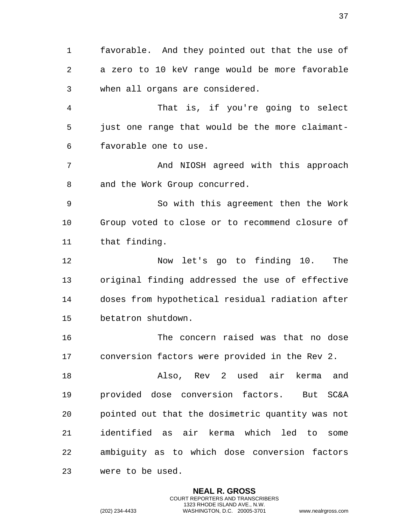favorable. And they pointed out that the use of a zero to 10 keV range would be more favorable when all organs are considered.

 That is, if you're going to select just one range that would be the more claimant-favorable one to use.

 And NIOSH agreed with this approach 8 and the Work Group concurred.

 So with this agreement then the Work Group voted to close or to recommend closure of that finding.

 Now let's go to finding 10. The original finding addressed the use of effective doses from hypothetical residual radiation after betatron shutdown.

 The concern raised was that no dose conversion factors were provided in the Rev 2.

 Also, Rev 2 used air kerma and provided dose conversion factors. But SC&A pointed out that the dosimetric quantity was not identified as air kerma which led to some ambiguity as to which dose conversion factors were to be used.

> **NEAL R. GROSS** COURT REPORTERS AND TRANSCRIBERS 1323 RHODE ISLAND AVE., N.W.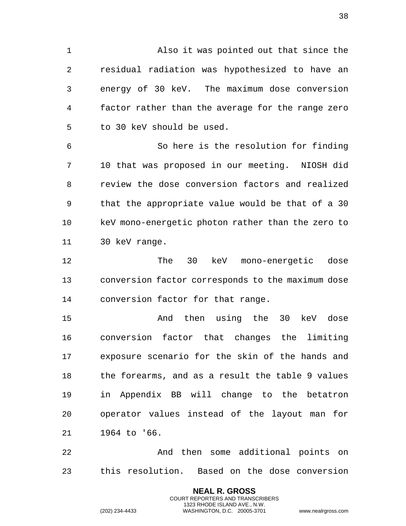Also it was pointed out that since the residual radiation was hypothesized to have an energy of 30 keV. The maximum dose conversion factor rather than the average for the range zero to 30 keV should be used.

 So here is the resolution for finding 10 that was proposed in our meeting. NIOSH did review the dose conversion factors and realized that the appropriate value would be that of a 30 keV mono-energetic photon rather than the zero to 30 keV range.

 The 30 keV mono-energetic dose conversion factor corresponds to the maximum dose conversion factor for that range.

 And then using the 30 keV dose conversion factor that changes the limiting exposure scenario for the skin of the hands and the forearms, and as a result the table 9 values in Appendix BB will change to the betatron operator values instead of the layout man for 1964 to '66.

 And then some additional points on this resolution. Based on the dose conversion

> **NEAL R. GROSS** COURT REPORTERS AND TRANSCRIBERS 1323 RHODE ISLAND AVE., N.W.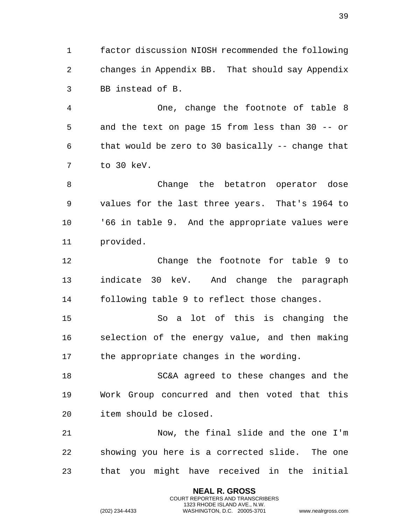factor discussion NIOSH recommended the following changes in Appendix BB. That should say Appendix BB instead of B.

 One, change the footnote of table 8 and the text on page 15 from less than 30 -- or that would be zero to 30 basically -- change that to 30 keV.

 Change the betatron operator dose values for the last three years. That's 1964 to '66 in table 9. And the appropriate values were provided.

 Change the footnote for table 9 to indicate 30 keV. And change the paragraph following table 9 to reflect those changes.

 So a lot of this is changing the selection of the energy value, and then making the appropriate changes in the wording.

 SC&A agreed to these changes and the Work Group concurred and then voted that this item should be closed.

 Now, the final slide and the one I'm showing you here is a corrected slide. The one that you might have received in the initial

> **NEAL R. GROSS** COURT REPORTERS AND TRANSCRIBERS 1323 RHODE ISLAND AVE., N.W.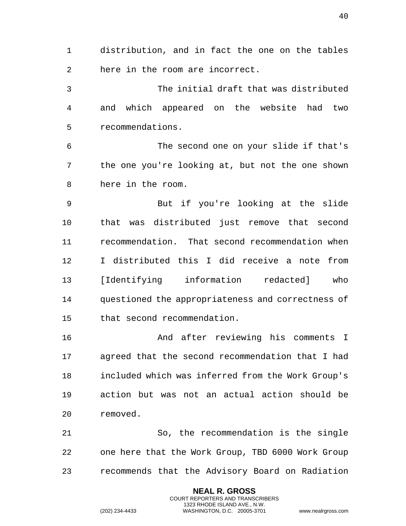distribution, and in fact the one on the tables here in the room are incorrect.

 The initial draft that was distributed and which appeared on the website had two recommendations.

 The second one on your slide if that's the one you're looking at, but not the one shown here in the room.

 But if you're looking at the slide that was distributed just remove that second recommendation. That second recommendation when I distributed this I did receive a note from [Identifying information redacted] who questioned the appropriateness and correctness of that second recommendation.

 And after reviewing his comments I agreed that the second recommendation that I had included which was inferred from the Work Group's action but was not an actual action should be removed.

 So, the recommendation is the single one here that the Work Group, TBD 6000 Work Group recommends that the Advisory Board on Radiation

> **NEAL R. GROSS** COURT REPORTERS AND TRANSCRIBERS 1323 RHODE ISLAND AVE., N.W.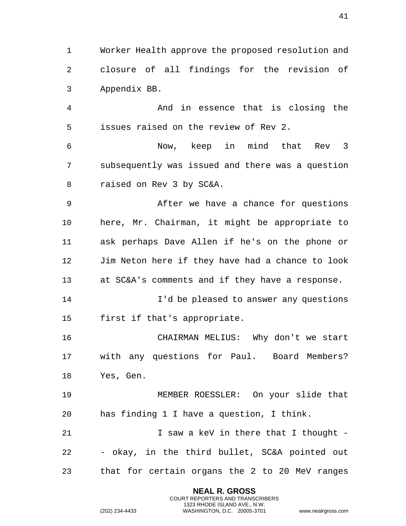Worker Health approve the proposed resolution and closure of all findings for the revision of Appendix BB.

 And in essence that is closing the issues raised on the review of Rev 2.

 Now, keep in mind that Rev 3 subsequently was issued and there was a question raised on Rev 3 by SC&A.

 After we have a chance for questions here, Mr. Chairman, it might be appropriate to ask perhaps Dave Allen if he's on the phone or Jim Neton here if they have had a chance to look at SC&A's comments and if they have a response.

 I'd be pleased to answer any questions first if that's appropriate.

 CHAIRMAN MELIUS: Why don't we start with any questions for Paul. Board Members? Yes, Gen.

 MEMBER ROESSLER: On your slide that has finding 1 I have a question, I think.

**I** saw a keV in there that I thought - - okay, in the third bullet, SC&A pointed out that for certain organs the 2 to 20 MeV ranges

> **NEAL R. GROSS** COURT REPORTERS AND TRANSCRIBERS 1323 RHODE ISLAND AVE., N.W.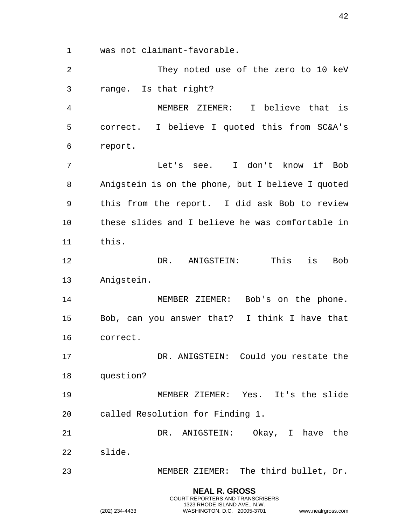was not claimant-favorable.

**NEAL R. GROSS** COURT REPORTERS AND TRANSCRIBERS They noted use of the zero to 10 keV range. Is that right? MEMBER ZIEMER: I believe that is correct. I believe I quoted this from SC&A's report. Let's see. I don't know if Bob Anigstein is on the phone, but I believe I quoted this from the report. I did ask Bob to review these slides and I believe he was comfortable in this. DR. ANIGSTEIN: This is Bob Anigstein. 14 MEMBER ZIEMER: Bob's on the phone. Bob, can you answer that? I think I have that correct. DR. ANIGSTEIN: Could you restate the question? MEMBER ZIEMER: Yes. It's the slide called Resolution for Finding 1. DR. ANIGSTEIN: Okay, I have the slide. MEMBER ZIEMER: The third bullet, Dr.

1323 RHODE ISLAND AVE., N.W.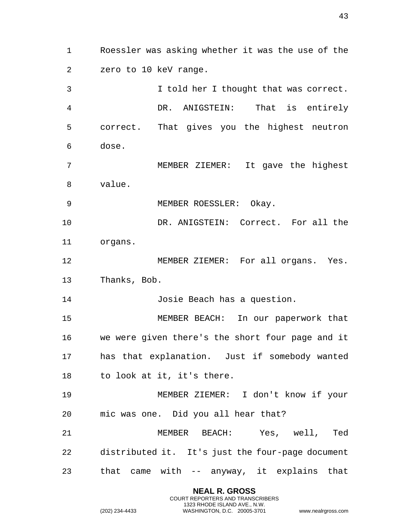Roessler was asking whether it was the use of the zero to 10 keV range. I told her I thought that was correct. DR. ANIGSTEIN: That is entirely correct. That gives you the highest neutron dose. MEMBER ZIEMER: It gave the highest value. MEMBER ROESSLER: Okay. DR. ANIGSTEIN: Correct. For all the organs. MEMBER ZIEMER: For all organs. Yes. Thanks, Bob. Josie Beach has a question. MEMBER BEACH: In our paperwork that we were given there's the short four page and it has that explanation. Just if somebody wanted to look at it, it's there. MEMBER ZIEMER: I don't know if your mic was one. Did you all hear that? MEMBER BEACH: Yes, well, Ted distributed it. It's just the four-page document that came with -- anyway, it explains that

> **NEAL R. GROSS** COURT REPORTERS AND TRANSCRIBERS 1323 RHODE ISLAND AVE., N.W.

(202) 234-4433 WASHINGTON, D.C. 20005-3701 www.nealrgross.com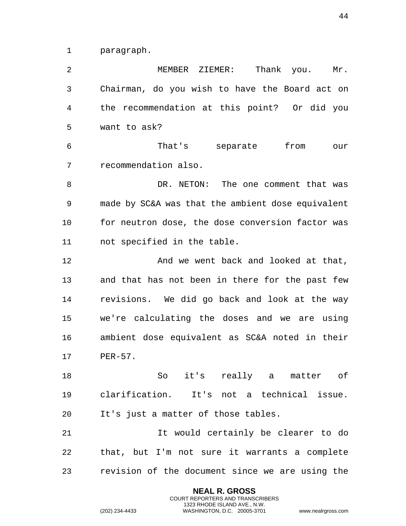paragraph.

 MEMBER ZIEMER: Thank you. Mr. Chairman, do you wish to have the Board act on the recommendation at this point? Or did you want to ask? That's separate from our recommendation also. 8 DR. NETON: The one comment that was made by SC&A was that the ambient dose equivalent for neutron dose, the dose conversion factor was not specified in the table. **And we went back and looked at that,**  and that has not been in there for the past few revisions. We did go back and look at the way we're calculating the doses and we are using ambient dose equivalent as SC&A noted in their PER-57. So it's really a matter of clarification. It's not a technical issue. It's just a matter of those tables. It would certainly be clearer to do that, but I'm not sure it warrants a complete revision of the document since we are using the

> **NEAL R. GROSS** COURT REPORTERS AND TRANSCRIBERS 1323 RHODE ISLAND AVE., N.W.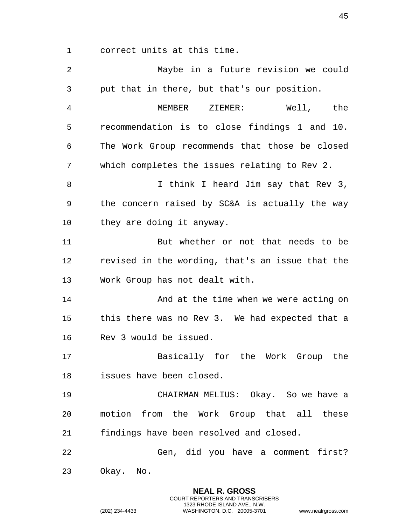correct units at this time.

 Maybe in a future revision we could put that in there, but that's our position. MEMBER ZIEMER: Well, the recommendation is to close findings 1 and 10. The Work Group recommends that those be closed which completes the issues relating to Rev 2. 8 I think I heard Jim say that Rev 3, the concern raised by SC&A is actually the way 10 they are doing it anyway. But whether or not that needs to be revised in the wording, that's an issue that the Work Group has not dealt with. **And at the time when we were acting on**  this there was no Rev 3. We had expected that a Rev 3 would be issued. Basically for the Work Group the issues have been closed. CHAIRMAN MELIUS: Okay. So we have a motion from the Work Group that all these findings have been resolved and closed. Gen, did you have a comment first? Okay. No.

> **NEAL R. GROSS** COURT REPORTERS AND TRANSCRIBERS 1323 RHODE ISLAND AVE., N.W.

(202) 234-4433 WASHINGTON, D.C. 20005-3701 www.nealrgross.com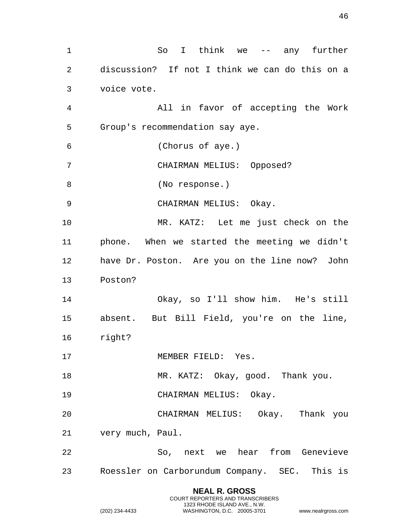**NEAL R. GROSS** So I think we -- any further discussion? If not I think we can do this on a voice vote. All in favor of accepting the Work Group's recommendation say aye. (Chorus of aye.) CHAIRMAN MELIUS: Opposed? (No response.) CHAIRMAN MELIUS: Okay. MR. KATZ: Let me just check on the phone. When we started the meeting we didn't have Dr. Poston. Are you on the line now? John Poston? Okay, so I'll show him. He's still absent. But Bill Field, you're on the line, right? 17 MEMBER FIELD: Yes. 18 MR. KATZ: Okay, good. Thank you. CHAIRMAN MELIUS: Okay. CHAIRMAN MELIUS: Okay. Thank you very much, Paul. So, next we hear from Genevieve Roessler on Carborundum Company. SEC. This is

COURT REPORTERS AND TRANSCRIBERS 1323 RHODE ISLAND AVE., N.W.

(202) 234-4433 WASHINGTON, D.C. 20005-3701 www.nealrgross.com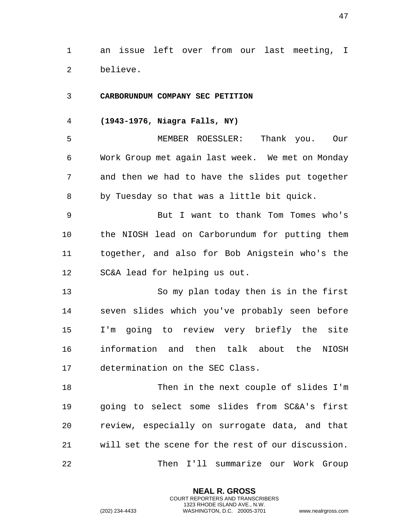an issue left over from our last meeting, I believe.

## **CARBORUNDUM COMPANY SEC PETITION**

**(1943-1976, Niagra Falls, NY)**

 MEMBER ROESSLER: Thank you. Our Work Group met again last week. We met on Monday and then we had to have the slides put together by Tuesday so that was a little bit quick.

 But I want to thank Tom Tomes who's the NIOSH lead on Carborundum for putting them together, and also for Bob Anigstein who's the SC&A lead for helping us out.

 So my plan today then is in the first seven slides which you've probably seen before I'm going to review very briefly the site information and then talk about the NIOSH determination on the SEC Class.

 Then in the next couple of slides I'm going to select some slides from SC&A's first review, especially on surrogate data, and that will set the scene for the rest of our discussion. Then I'll summarize our Work Group

> **NEAL R. GROSS** COURT REPORTERS AND TRANSCRIBERS 1323 RHODE ISLAND AVE., N.W.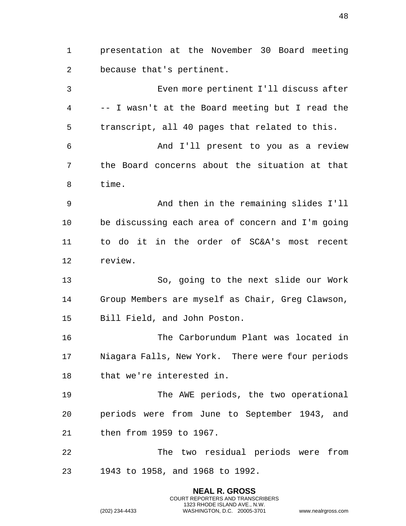presentation at the November 30 Board meeting because that's pertinent. Even more pertinent I'll discuss after -- I wasn't at the Board meeting but I read the transcript, all 40 pages that related to this. And I'll present to you as a review the Board concerns about the situation at that time. And then in the remaining slides I'll be discussing each area of concern and I'm going to do it in the order of SC&A's most recent review. So, going to the next slide our Work Group Members are myself as Chair, Greg Clawson, Bill Field, and John Poston. The Carborundum Plant was located in Niagara Falls, New York. There were four periods that we're interested in. The AWE periods, the two operational periods were from June to September 1943, and then from 1959 to 1967. The two residual periods were from 1943 to 1958, and 1968 to 1992.

> **NEAL R. GROSS** COURT REPORTERS AND TRANSCRIBERS 1323 RHODE ISLAND AVE., N.W.

(202) 234-4433 WASHINGTON, D.C. 20005-3701 www.nealrgross.com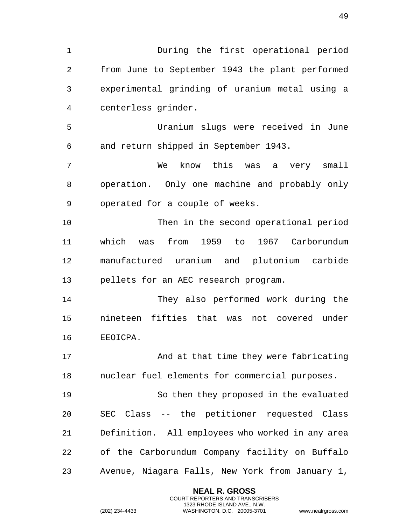During the first operational period from June to September 1943 the plant performed experimental grinding of uranium metal using a centerless grinder. Uranium slugs were received in June and return shipped in September 1943. We know this was a very small operation. Only one machine and probably only operated for a couple of weeks. Then in the second operational period which was from 1959 to 1967 Carborundum

 manufactured uranium and plutonium carbide pellets for an AEC research program.

 They also performed work during the nineteen fifties that was not covered under EEOICPA.

17 And at that time they were fabricating nuclear fuel elements for commercial purposes.

 So then they proposed in the evaluated SEC Class -- the petitioner requested Class Definition. All employees who worked in any area of the Carborundum Company facility on Buffalo Avenue, Niagara Falls, New York from January 1,

> **NEAL R. GROSS** COURT REPORTERS AND TRANSCRIBERS 1323 RHODE ISLAND AVE., N.W.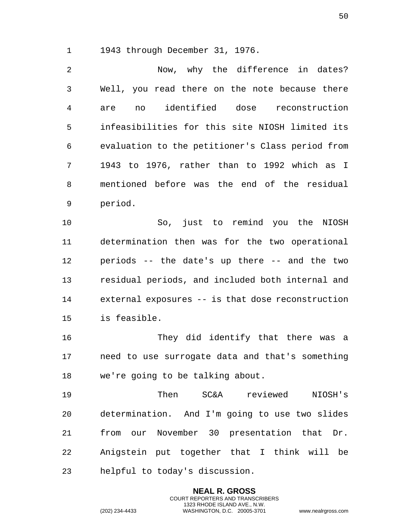1943 through December 31, 1976.

 Now, why the difference in dates? Well, you read there on the note because there are no identified dose reconstruction infeasibilities for this site NIOSH limited its evaluation to the petitioner's Class period from 1943 to 1976, rather than to 1992 which as I mentioned before was the end of the residual period.

 So, just to remind you the NIOSH determination then was for the two operational periods -- the date's up there -- and the two residual periods, and included both internal and external exposures -- is that dose reconstruction is feasible.

 They did identify that there was a need to use surrogate data and that's something we're going to be talking about.

 Then SC&A reviewed NIOSH's determination. And I'm going to use two slides from our November 30 presentation that Dr. Anigstein put together that I think will be helpful to today's discussion.

> **NEAL R. GROSS** COURT REPORTERS AND TRANSCRIBERS 1323 RHODE ISLAND AVE., N.W.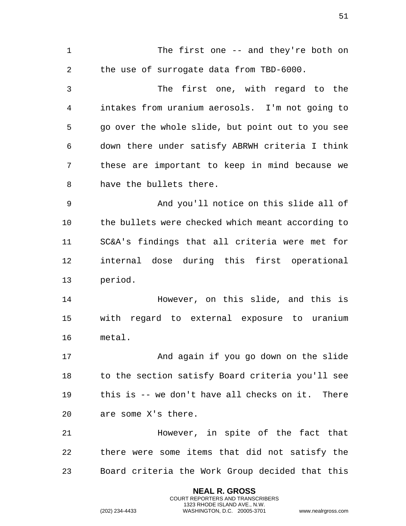1 The first one -- and they're both on the use of surrogate data from TBD-6000. The first one, with regard to the intakes from uranium aerosols. I'm not going to go over the whole slide, but point out to you see down there under satisfy ABRWH criteria I think these are important to keep in mind because we have the bullets there. And you'll notice on this slide all of the bullets were checked which meant according to SC&A's findings that all criteria were met for internal dose during this first operational period. However, on this slide, and this is with regard to external exposure to uranium metal. 17 And again if you go down on the slide to the section satisfy Board criteria you'll see this is -- we don't have all checks on it. There are some X's there. However, in spite of the fact that there were some items that did not satisfy the Board criteria the Work Group decided that this

> **NEAL R. GROSS** COURT REPORTERS AND TRANSCRIBERS 1323 RHODE ISLAND AVE., N.W.

(202) 234-4433 WASHINGTON, D.C. 20005-3701 www.nealrgross.com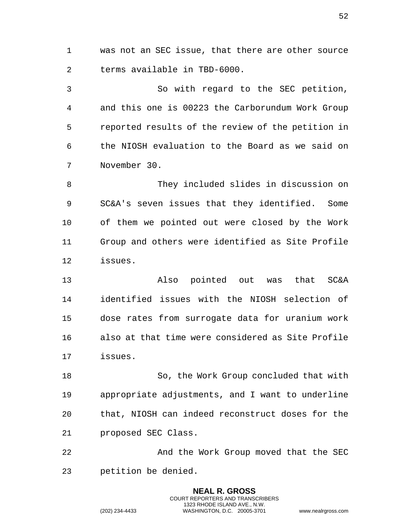was not an SEC issue, that there are other source terms available in TBD-6000.

 So with regard to the SEC petition, and this one is 00223 the Carborundum Work Group reported results of the review of the petition in the NIOSH evaluation to the Board as we said on November 30.

 They included slides in discussion on SC&A's seven issues that they identified. Some of them we pointed out were closed by the Work Group and others were identified as Site Profile issues.

 Also pointed out was that SC&A identified issues with the NIOSH selection of dose rates from surrogate data for uranium work also at that time were considered as Site Profile issues.

 So, the Work Group concluded that with appropriate adjustments, and I want to underline that, NIOSH can indeed reconstruct doses for the proposed SEC Class.

 And the Work Group moved that the SEC petition be denied.

> **NEAL R. GROSS** COURT REPORTERS AND TRANSCRIBERS 1323 RHODE ISLAND AVE., N.W.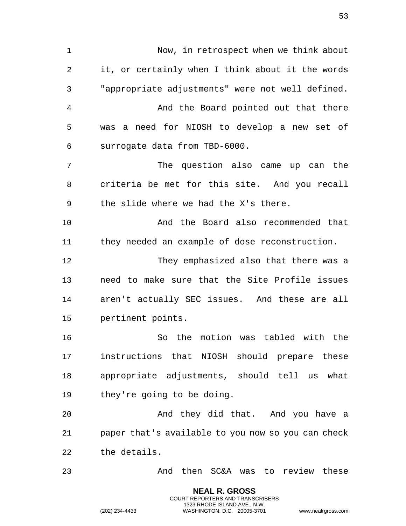Now, in retrospect when we think about it, or certainly when I think about it the words "appropriate adjustments" were not well defined. And the Board pointed out that there was a need for NIOSH to develop a new set of surrogate data from TBD-6000. The question also came up can the criteria be met for this site. And you recall the slide where we had the X's there. And the Board also recommended that they needed an example of dose reconstruction. They emphasized also that there was a need to make sure that the Site Profile issues aren't actually SEC issues. And these are all pertinent points. So the motion was tabled with the instructions that NIOSH should prepare these appropriate adjustments, should tell us what they're going to be doing. And they did that. And you have a paper that's available to you now so you can check the details. And then SC&A was to review these

> **NEAL R. GROSS** COURT REPORTERS AND TRANSCRIBERS 1323 RHODE ISLAND AVE., N.W.

(202) 234-4433 WASHINGTON, D.C. 20005-3701 www.nealrgross.com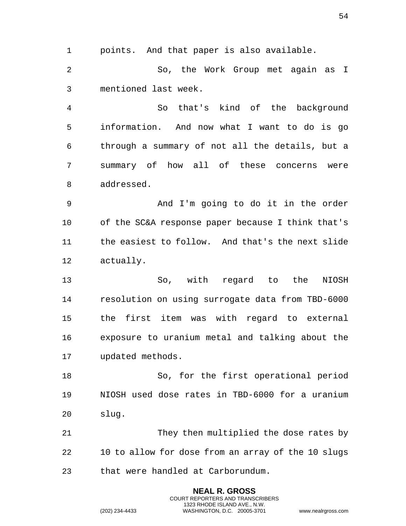points. And that paper is also available.

 So, the Work Group met again as I mentioned last week.

 So that's kind of the background information. And now what I want to do is go through a summary of not all the details, but a summary of how all of these concerns were addressed.

 And I'm going to do it in the order of the SC&A response paper because I think that's the easiest to follow. And that's the next slide actually.

 So, with regard to the NIOSH resolution on using surrogate data from TBD-6000 the first item was with regard to external exposure to uranium metal and talking about the updated methods.

 So, for the first operational period NIOSH used dose rates in TBD-6000 for a uranium slug.

 They then multiplied the dose rates by 10 to allow for dose from an array of the 10 slugs that were handled at Carborundum.

> **NEAL R. GROSS** COURT REPORTERS AND TRANSCRIBERS 1323 RHODE ISLAND AVE., N.W.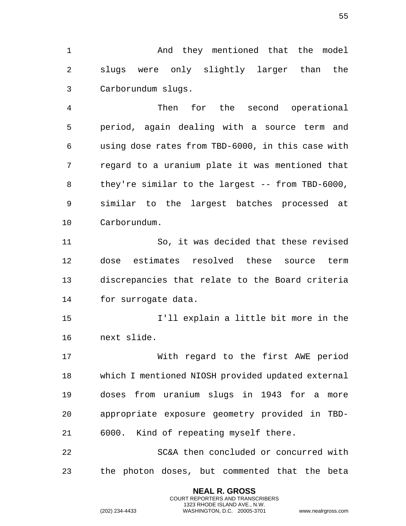1 And they mentioned that the model slugs were only slightly larger than the Carborundum slugs.

 Then for the second operational period, again dealing with a source term and using dose rates from TBD-6000, in this case with regard to a uranium plate it was mentioned that they're similar to the largest -- from TBD-6000, similar to the largest batches processed at Carborundum.

 So, it was decided that these revised dose estimates resolved these source term discrepancies that relate to the Board criteria for surrogate data.

 I'll explain a little bit more in the next slide.

 With regard to the first AWE period which I mentioned NIOSH provided updated external doses from uranium slugs in 1943 for a more appropriate exposure geometry provided in TBD-6000. Kind of repeating myself there.

 SC&A then concluded or concurred with the photon doses, but commented that the beta

> **NEAL R. GROSS** COURT REPORTERS AND TRANSCRIBERS 1323 RHODE ISLAND AVE., N.W.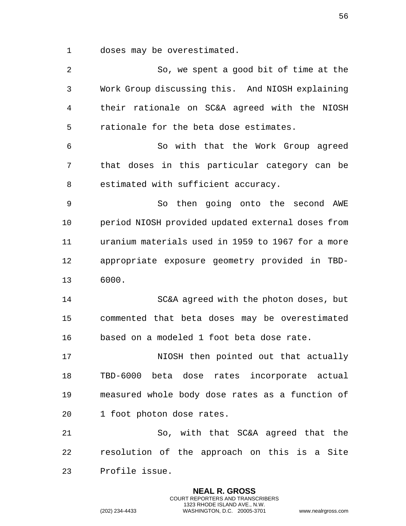doses may be overestimated.

 So, we spent a good bit of time at the Work Group discussing this. And NIOSH explaining their rationale on SC&A agreed with the NIOSH rationale for the beta dose estimates. So with that the Work Group agreed that doses in this particular category can be estimated with sufficient accuracy. So then going onto the second AWE period NIOSH provided updated external doses from uranium materials used in 1959 to 1967 for a more appropriate exposure geometry provided in TBD- 6000. SC&A agreed with the photon doses, but commented that beta doses may be overestimated based on a modeled 1 foot beta dose rate. 17 NIOSH then pointed out that actually TBD-6000 beta dose rates incorporate actual measured whole body dose rates as a function of 1 foot photon dose rates. So, with that SC&A agreed that the resolution of the approach on this is a Site Profile issue.

> **NEAL R. GROSS** COURT REPORTERS AND TRANSCRIBERS 1323 RHODE ISLAND AVE., N.W.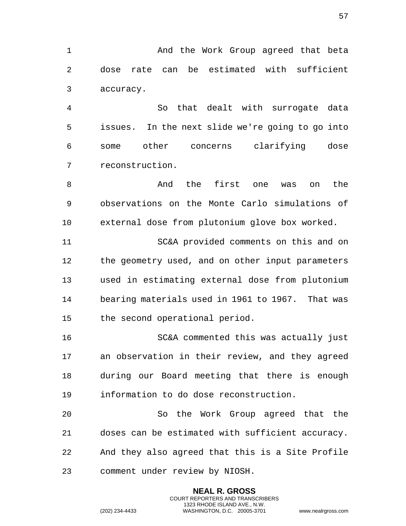1 And the Work Group agreed that beta dose rate can be estimated with sufficient accuracy.

 So that dealt with surrogate data issues. In the next slide we're going to go into some other concerns clarifying dose reconstruction.

8 And the first one was on the observations on the Monte Carlo simulations of external dose from plutonium glove box worked.

 SC&A provided comments on this and on the geometry used, and on other input parameters used in estimating external dose from plutonium bearing materials used in 1961 to 1967. That was the second operational period.

 SC&A commented this was actually just an observation in their review, and they agreed during our Board meeting that there is enough information to do dose reconstruction.

 So the Work Group agreed that the doses can be estimated with sufficient accuracy. And they also agreed that this is a Site Profile comment under review by NIOSH.

> **NEAL R. GROSS** COURT REPORTERS AND TRANSCRIBERS 1323 RHODE ISLAND AVE., N.W.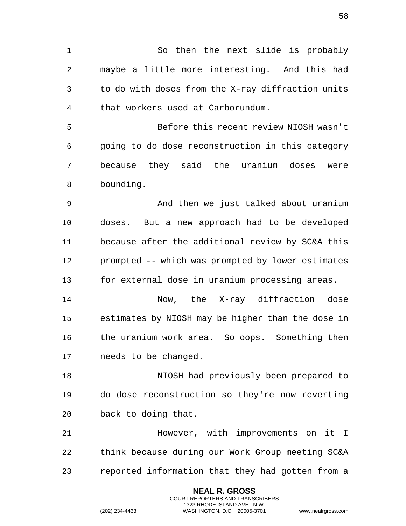So then the next slide is probably maybe a little more interesting. And this had to do with doses from the X-ray diffraction units that workers used at Carborundum.

 Before this recent review NIOSH wasn't going to do dose reconstruction in this category because they said the uranium doses were bounding.

 And then we just talked about uranium doses. But a new approach had to be developed because after the additional review by SC&A this prompted -- which was prompted by lower estimates for external dose in uranium processing areas.

 Now, the X-ray diffraction dose estimates by NIOSH may be higher than the dose in the uranium work area. So oops. Something then needs to be changed.

 NIOSH had previously been prepared to do dose reconstruction so they're now reverting back to doing that.

 However, with improvements on it I think because during our Work Group meeting SC&A reported information that they had gotten from a

> **NEAL R. GROSS** COURT REPORTERS AND TRANSCRIBERS 1323 RHODE ISLAND AVE., N.W.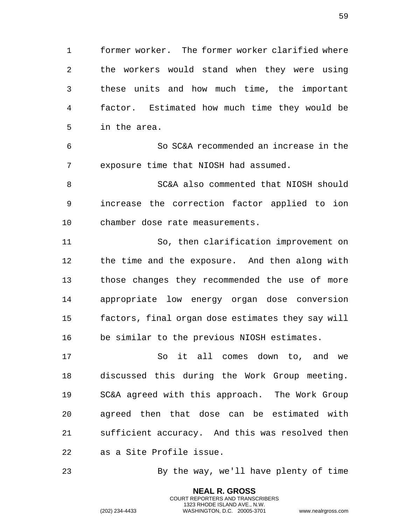former worker. The former worker clarified where the workers would stand when they were using these units and how much time, the important factor. Estimated how much time they would be in the area.

 So SC&A recommended an increase in the exposure time that NIOSH had assumed.

 SC&A also commented that NIOSH should increase the correction factor applied to ion chamber dose rate measurements.

 So, then clarification improvement on the time and the exposure. And then along with those changes they recommended the use of more appropriate low energy organ dose conversion factors, final organ dose estimates they say will be similar to the previous NIOSH estimates.

 So it all comes down to, and we discussed this during the Work Group meeting. SC&A agreed with this approach. The Work Group agreed then that dose can be estimated with sufficient accuracy. And this was resolved then as a Site Profile issue.

By the way, we'll have plenty of time

**NEAL R. GROSS** COURT REPORTERS AND TRANSCRIBERS 1323 RHODE ISLAND AVE., N.W.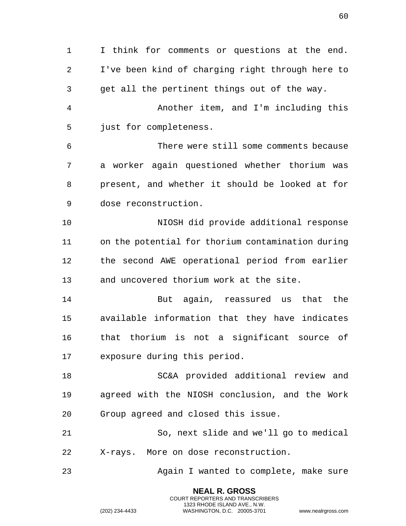I think for comments or questions at the end. I've been kind of charging right through here to get all the pertinent things out of the way. Another item, and I'm including this just for completeness. There were still some comments because a worker again questioned whether thorium was present, and whether it should be looked at for dose reconstruction. NIOSH did provide additional response on the potential for thorium contamination during the second AWE operational period from earlier and uncovered thorium work at the site. But again, reassured us that the available information that they have indicates that thorium is not a significant source of exposure during this period. SC&A provided additional review and agreed with the NIOSH conclusion, and the Work Group agreed and closed this issue. So, next slide and we'll go to medical X-rays. More on dose reconstruction. Again I wanted to complete, make sure

> **NEAL R. GROSS** COURT REPORTERS AND TRANSCRIBERS 1323 RHODE ISLAND AVE., N.W.

(202) 234-4433 WASHINGTON, D.C. 20005-3701 www.nealrgross.com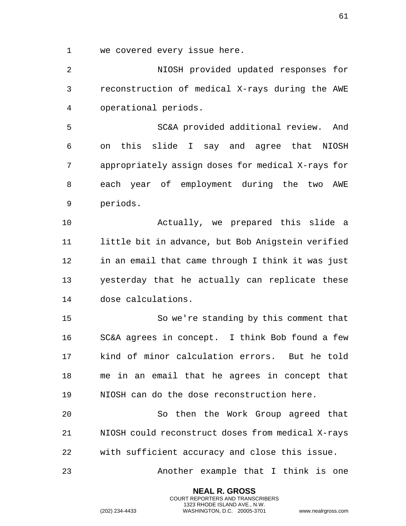we covered every issue here.

 NIOSH provided updated responses for reconstruction of medical X-rays during the AWE operational periods.

 SC&A provided additional review. And on this slide I say and agree that NIOSH appropriately assign doses for medical X-rays for each year of employment during the two AWE periods.

 Actually, we prepared this slide a little bit in advance, but Bob Anigstein verified in an email that came through I think it was just yesterday that he actually can replicate these dose calculations.

 So we're standing by this comment that SC&A agrees in concept. I think Bob found a few kind of minor calculation errors. But he told me in an email that he agrees in concept that NIOSH can do the dose reconstruction here.

 So then the Work Group agreed that NIOSH could reconstruct doses from medical X-rays with sufficient accuracy and close this issue.

Another example that I think is one

**NEAL R. GROSS** COURT REPORTERS AND TRANSCRIBERS 1323 RHODE ISLAND AVE., N.W.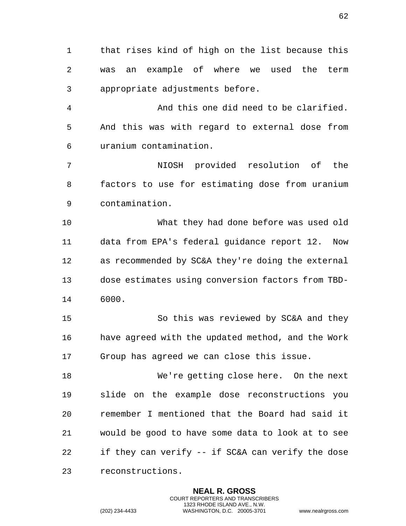that rises kind of high on the list because this was an example of where we used the term appropriate adjustments before.

 And this one did need to be clarified. And this was with regard to external dose from uranium contamination.

 NIOSH provided resolution of the factors to use for estimating dose from uranium contamination.

 What they had done before was used old data from EPA's federal guidance report 12. Now as recommended by SC&A they're doing the external dose estimates using conversion factors from TBD-6000.

 So this was reviewed by SC&A and they have agreed with the updated method, and the Work Group has agreed we can close this issue.

 We're getting close here. On the next slide on the example dose reconstructions you remember I mentioned that the Board had said it would be good to have some data to look at to see if they can verify -- if SC&A can verify the dose reconstructions.

> **NEAL R. GROSS** COURT REPORTERS AND TRANSCRIBERS 1323 RHODE ISLAND AVE., N.W.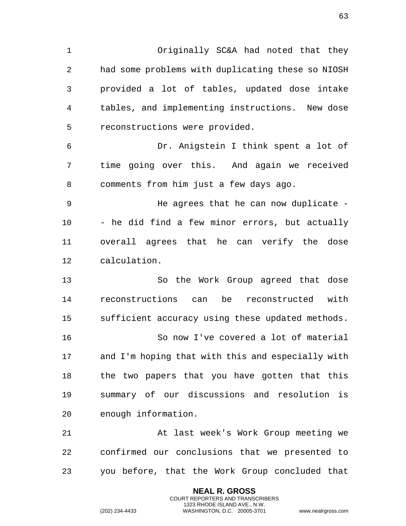Originally SC&A had noted that they had some problems with duplicating these so NIOSH provided a lot of tables, updated dose intake tables, and implementing instructions. New dose reconstructions were provided.

 Dr. Anigstein I think spent a lot of time going over this. And again we received comments from him just a few days ago.

 He agrees that he can now duplicate - - he did find a few minor errors, but actually overall agrees that he can verify the dose calculation.

 So the Work Group agreed that dose reconstructions can be reconstructed with sufficient accuracy using these updated methods. So now I've covered a lot of material and I'm hoping that with this and especially with the two papers that you have gotten that this summary of our discussions and resolution is enough information.

 At last week's Work Group meeting we confirmed our conclusions that we presented to you before, that the Work Group concluded that

> **NEAL R. GROSS** COURT REPORTERS AND TRANSCRIBERS 1323 RHODE ISLAND AVE., N.W.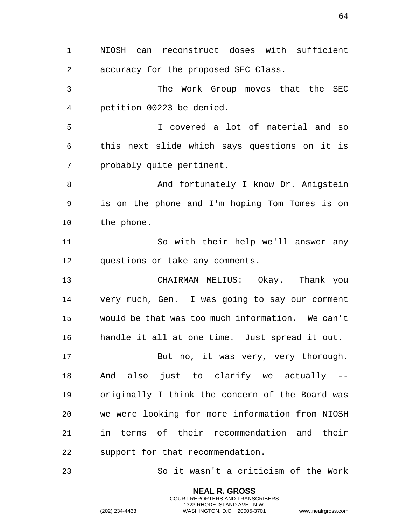NIOSH can reconstruct doses with sufficient accuracy for the proposed SEC Class. The Work Group moves that the SEC petition 00223 be denied. I covered a lot of material and so this next slide which says questions on it is probably quite pertinent. 8 And fortunately I know Dr. Anigstein is on the phone and I'm hoping Tom Tomes is on the phone. So with their help we'll answer any questions or take any comments. CHAIRMAN MELIUS: Okay. Thank you very much, Gen. I was going to say our comment would be that was too much information. We can't handle it all at one time. Just spread it out. 17 But no, it was very, very thorough. And also just to clarify we actually -- originally I think the concern of the Board was we were looking for more information from NIOSH in terms of their recommendation and their support for that recommendation. So it wasn't a criticism of the Work

> **NEAL R. GROSS** COURT REPORTERS AND TRANSCRIBERS 1323 RHODE ISLAND AVE., N.W.

(202) 234-4433 WASHINGTON, D.C. 20005-3701 www.nealrgross.com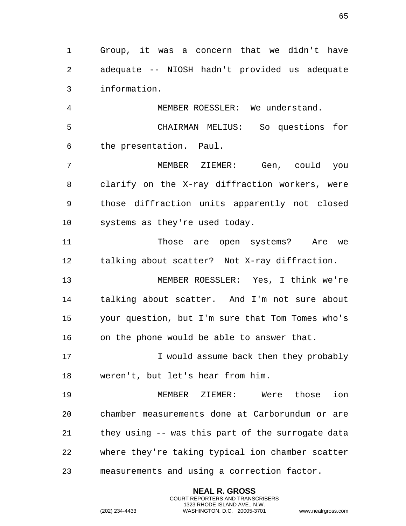Group, it was a concern that we didn't have adequate -- NIOSH hadn't provided us adequate information.

 MEMBER ROESSLER: We understand. CHAIRMAN MELIUS: So questions for the presentation. Paul.

 MEMBER ZIEMER: Gen, could you clarify on the X-ray diffraction workers, were those diffraction units apparently not closed systems as they're used today.

 Those are open systems? Are we talking about scatter? Not X-ray diffraction.

 MEMBER ROESSLER: Yes, I think we're talking about scatter. And I'm not sure about your question, but I'm sure that Tom Tomes who's on the phone would be able to answer that.

 I would assume back then they probably weren't, but let's hear from him.

 MEMBER ZIEMER: Were those ion chamber measurements done at Carborundum or are they using -- was this part of the surrogate data where they're taking typical ion chamber scatter measurements and using a correction factor.

> **NEAL R. GROSS** COURT REPORTERS AND TRANSCRIBERS 1323 RHODE ISLAND AVE., N.W.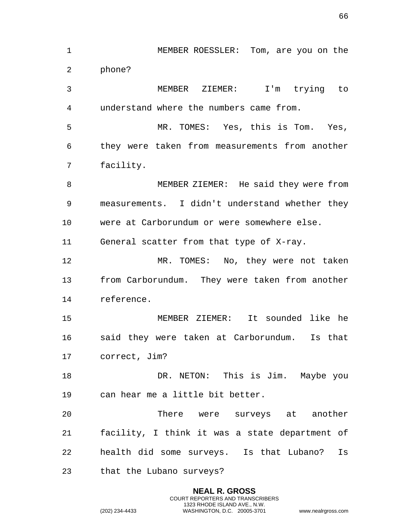MEMBER ROESSLER: Tom, are you on the phone? MEMBER ZIEMER: I'm trying to understand where the numbers came from. MR. TOMES: Yes, this is Tom. Yes, they were taken from measurements from another facility. MEMBER ZIEMER: He said they were from measurements. I didn't understand whether they were at Carborundum or were somewhere else. General scatter from that type of X-ray. MR. TOMES: No, they were not taken from Carborundum. They were taken from another reference. MEMBER ZIEMER: It sounded like he said they were taken at Carborundum. Is that correct, Jim? 18 DR. NETON: This is Jim. Maybe you can hear me a little bit better. There were surveys at another facility, I think it was a state department of health did some surveys. Is that Lubano? Is that the Lubano surveys?

> **NEAL R. GROSS** COURT REPORTERS AND TRANSCRIBERS 1323 RHODE ISLAND AVE., N.W.

(202) 234-4433 WASHINGTON, D.C. 20005-3701 www.nealrgross.com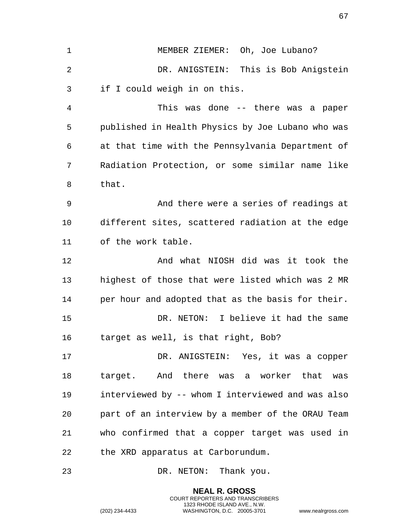MEMBER ZIEMER: Oh, Joe Lubano? DR. ANIGSTEIN: This is Bob Anigstein if I could weigh in on this. This was done -- there was a paper published in Health Physics by Joe Lubano who was at that time with the Pennsylvania Department of Radiation Protection, or some similar name like that. And there were a series of readings at different sites, scattered radiation at the edge of the work table. And what NIOSH did was it took the highest of those that were listed which was 2 MR per hour and adopted that as the basis for their. DR. NETON: I believe it had the same target as well, is that right, Bob? DR. ANIGSTEIN: Yes, it was a copper target. And there was a worker that was interviewed by -- whom I interviewed and was also part of an interview by a member of the ORAU Team who confirmed that a copper target was used in the XRD apparatus at Carborundum. 23 DR. NETON: Thank you.

> **NEAL R. GROSS** COURT REPORTERS AND TRANSCRIBERS 1323 RHODE ISLAND AVE., N.W.

(202) 234-4433 WASHINGTON, D.C. 20005-3701 www.nealrgross.com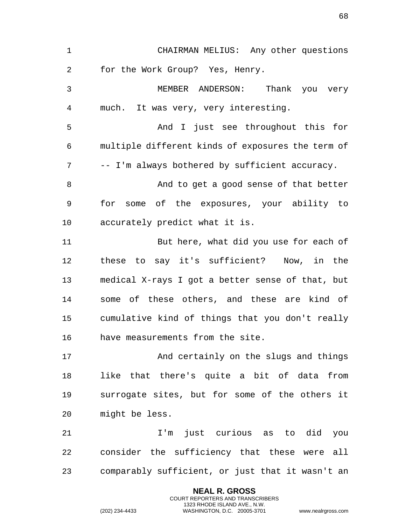| $\mathbf{1}$ | CHAIRMAN MELIUS: Any other questions              |
|--------------|---------------------------------------------------|
| 2            | for the Work Group? Yes, Henry.                   |
| 3            | MEMBER ANDERSON: Thank you very                   |
| 4            | much. It was very, very interesting.              |
| 5            | And I just see throughout this for                |
| 6            | multiple different kinds of exposures the term of |
| 7            | -- I'm always bothered by sufficient accuracy.    |
| 8            | And to get a good sense of that better            |
| 9            | for some of the exposures, your ability to        |
| 10           | accurately predict what it is.                    |
| 11           | But here, what did you use for each of            |
| 12           | these to say it's sufficient? Now, in the         |
| 13           | medical X-rays I got a better sense of that, but  |
| 14           | some of these others, and these are kind of       |
| 15           | cumulative kind of things that you don't really   |
| 16           | have measurements from the site.                  |
| 17           | And certainly on the slugs and things             |
| 18           | like that there's quite a bit of data from        |
| 19           | surrogate sites, but for some of the others it    |
| 20           | might be less.                                    |
| 21           | I'm just curious as to did<br>you                 |
| 22           | consider the sufficiency that these were all      |
| 23           | comparably sufficient, or just that it wasn't an  |
|              |                                                   |

**NEAL R. GROSS** COURT REPORTERS AND TRANSCRIBERS 1323 RHODE ISLAND AVE., N.W.

(202) 234-4433 WASHINGTON, D.C. 20005-3701 www.nealrgross.com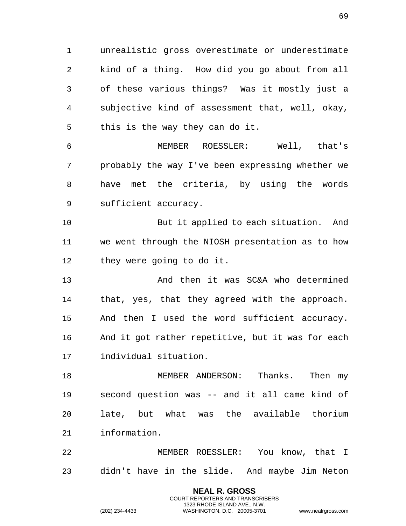unrealistic gross overestimate or underestimate kind of a thing. How did you go about from all of these various things? Was it mostly just a subjective kind of assessment that, well, okay, this is the way they can do it.

 MEMBER ROESSLER: Well, that's probably the way I've been expressing whether we have met the criteria, by using the words sufficient accuracy.

 But it applied to each situation. And we went through the NIOSH presentation as to how they were going to do it.

 And then it was SC&A who determined that, yes, that they agreed with the approach. And then I used the word sufficient accuracy. And it got rather repetitive, but it was for each individual situation.

 MEMBER ANDERSON: Thanks. Then my second question was -- and it all came kind of late, but what was the available thorium information.

 MEMBER ROESSLER: You know, that I didn't have in the slide. And maybe Jim Neton

> **NEAL R. GROSS** COURT REPORTERS AND TRANSCRIBERS 1323 RHODE ISLAND AVE., N.W.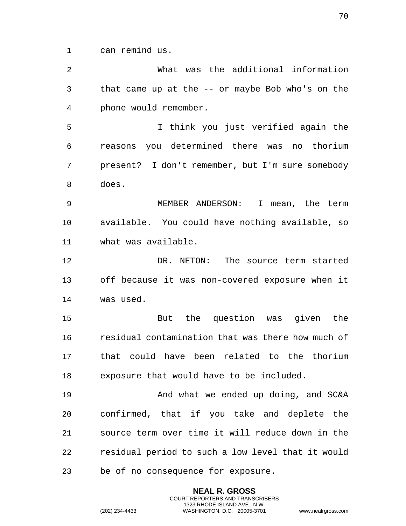can remind us.

 What was the additional information that came up at the -- or maybe Bob who's on the phone would remember. I think you just verified again the reasons you determined there was no thorium present? I don't remember, but I'm sure somebody does. MEMBER ANDERSON: I mean, the term available. You could have nothing available, so what was available. DR. NETON: The source term started off because it was non-covered exposure when it was used. But the question was given the residual contamination that was there how much of that could have been related to the thorium exposure that would have to be included. And what we ended up doing, and SC&A confirmed, that if you take and deplete the source term over time it will reduce down in the residual period to such a low level that it would be of no consequence for exposure.

> **NEAL R. GROSS** COURT REPORTERS AND TRANSCRIBERS 1323 RHODE ISLAND AVE., N.W.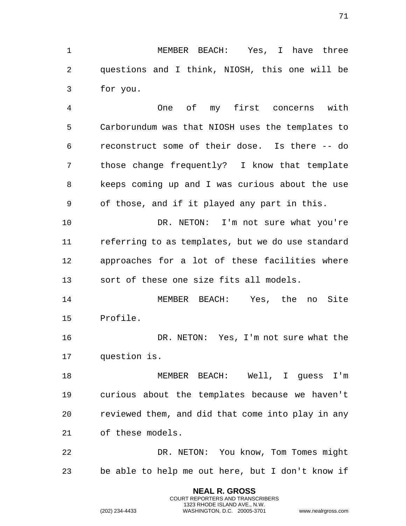MEMBER BEACH: Yes, I have three questions and I think, NIOSH, this one will be for you.

 One of my first concerns with Carborundum was that NIOSH uses the templates to reconstruct some of their dose. Is there -- do those change frequently? I know that template keeps coming up and I was curious about the use of those, and if it played any part in this.

10 DR. NETON: I'm not sure what you're referring to as templates, but we do use standard approaches for a lot of these facilities where sort of these one size fits all models.

 MEMBER BEACH: Yes, the no Site Profile.

 DR. NETON: Yes, I'm not sure what the question is.

 MEMBER BEACH: Well, I guess I'm curious about the templates because we haven't reviewed them, and did that come into play in any of these models.

 DR. NETON: You know, Tom Tomes might be able to help me out here, but I don't know if

> **NEAL R. GROSS** COURT REPORTERS AND TRANSCRIBERS 1323 RHODE ISLAND AVE., N.W.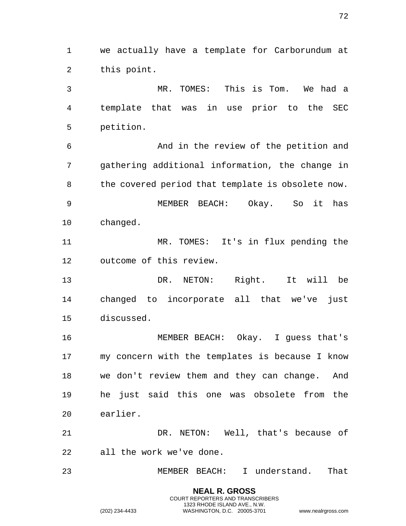we actually have a template for Carborundum at this point.

 MR. TOMES: This is Tom. We had a template that was in use prior to the SEC petition.

 And in the review of the petition and gathering additional information, the change in 8 the covered period that template is obsolete now. MEMBER BEACH: Okay. So it has changed.

 MR. TOMES: It's in flux pending the outcome of this review.

 DR. NETON: Right. It will be changed to incorporate all that we've just discussed.

 MEMBER BEACH: Okay. I guess that's my concern with the templates is because I know we don't review them and they can change. And he just said this one was obsolete from the earlier.

 DR. NETON: Well, that's because of all the work we've done.

MEMBER BEACH: I understand. That

**NEAL R. GROSS** COURT REPORTERS AND TRANSCRIBERS 1323 RHODE ISLAND AVE., N.W.

(202) 234-4433 WASHINGTON, D.C. 20005-3701 www.nealrgross.com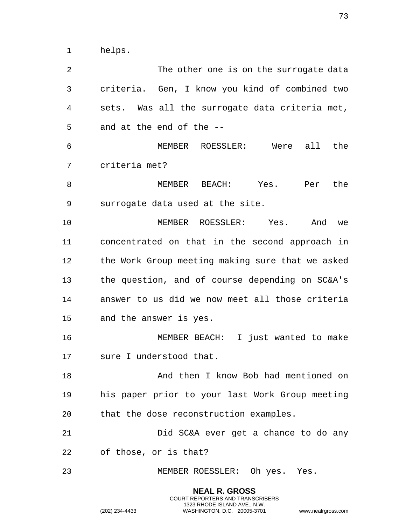helps.

 The other one is on the surrogate data criteria. Gen, I know you kind of combined two sets. Was all the surrogate data criteria met, and at the end of the -- MEMBER ROESSLER: Were all the criteria met? MEMBER BEACH: Yes. Per the surrogate data used at the site. MEMBER ROESSLER: Yes. And we concentrated on that in the second approach in the Work Group meeting making sure that we asked the question, and of course depending on SC&A's answer to us did we now meet all those criteria and the answer is yes. MEMBER BEACH: I just wanted to make sure I understood that. And then I know Bob had mentioned on his paper prior to your last Work Group meeting that the dose reconstruction examples. Did SC&A ever get a chance to do any of those, or is that? MEMBER ROESSLER: Oh yes. Yes.

> **NEAL R. GROSS** COURT REPORTERS AND TRANSCRIBERS 1323 RHODE ISLAND AVE., N.W.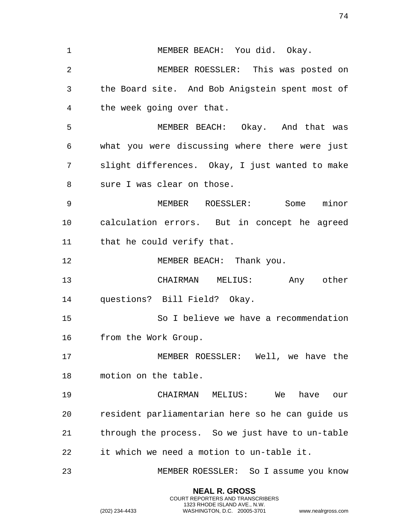1 MEMBER BEACH: You did. Okay. MEMBER ROESSLER: This was posted on the Board site. And Bob Anigstein spent most of the week going over that. MEMBER BEACH: Okay. And that was what you were discussing where there were just slight differences. Okay, I just wanted to make sure I was clear on those. MEMBER ROESSLER: Some minor calculation errors. But in concept he agreed that he could verify that. 12 MEMBER BEACH: Thank you. CHAIRMAN MELIUS: Any other questions? Bill Field? Okay. So I believe we have a recommendation from the Work Group. MEMBER ROESSLER: Well, we have the motion on the table. CHAIRMAN MELIUS: We have our resident parliamentarian here so he can guide us through the process. So we just have to un-table it which we need a motion to un-table it. MEMBER ROESSLER: So I assume you know

> **NEAL R. GROSS** COURT REPORTERS AND TRANSCRIBERS 1323 RHODE ISLAND AVE., N.W.

(202) 234-4433 WASHINGTON, D.C. 20005-3701 www.nealrgross.com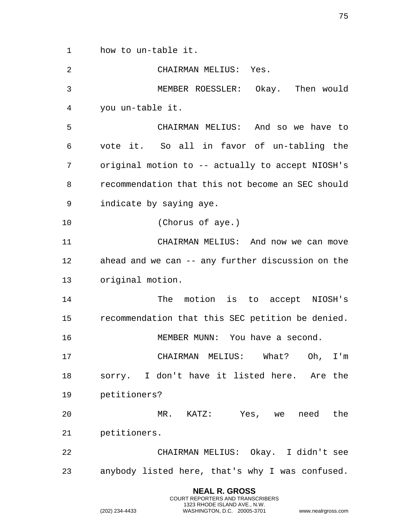how to un-table it.

| $\overline{2}$ | CHAIRMAN MELIUS: Yes.                             |
|----------------|---------------------------------------------------|
| 3              | MEMBER ROESSLER: Okay. Then would                 |
| 4              | you un-table it.                                  |
| 5              | CHAIRMAN MELIUS: And so we have to                |
| 6              | vote it. So all in favor of un-tabling the        |
| 7              | original motion to -- actually to accept NIOSH's  |
| 8              | recommendation that this not become an SEC should |
| 9              | indicate by saying aye.                           |
| 10             | (Chorus of aye.)                                  |
| 11             | CHAIRMAN MELIUS: And now we can move              |
| 12             | ahead and we can -- any further discussion on the |
| 13             | original motion.                                  |
| 14             | The motion is to accept NIOSH's                   |
| 15             | recommendation that this SEC petition be denied.  |
| 16             | MEMBER MUNN: You have a second.                   |
| 17             | CHAIRMAN MELIUS: What? Oh, I'm                    |
| 18             | sorry. I don't have it listed here. Are the       |
| 19             | petitioners?                                      |
| 20             | MR. KATZ: Yes, we need the                        |
| 21             | petitioners.                                      |
| 22             | CHAIRMAN MELIUS: Okay. I didn't see               |
| 23             | anybody listed here, that's why I was confused.   |
|                | <b>NEAL R. GROSS</b>                              |

COURT REPORTERS AND TRANSCRIBERS 1323 RHODE ISLAND AVE., N.W.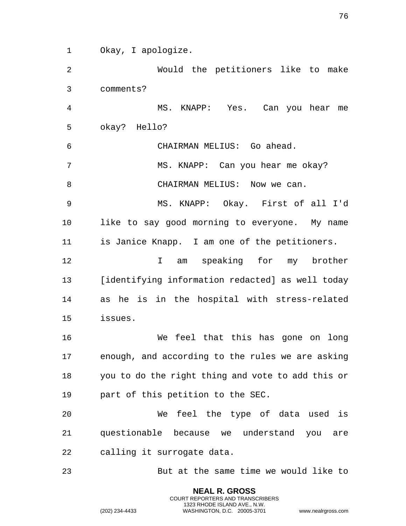Okay, I apologize.

 Would the petitioners like to make comments? MS. KNAPP: Yes. Can you hear me okay? Hello? CHAIRMAN MELIUS: Go ahead. MS. KNAPP: Can you hear me okay? 8 CHAIRMAN MELIUS: Now we can. MS. KNAPP: Okay. First of all I'd like to say good morning to everyone. My name is Janice Knapp. I am one of the petitioners. I am speaking for my brother [identifying information redacted] as well today as he is in the hospital with stress-related issues. We feel that this has gone on long enough, and according to the rules we are asking you to do the right thing and vote to add this or part of this petition to the SEC. We feel the type of data used is questionable because we understand you are calling it surrogate data. But at the same time we would like to

> **NEAL R. GROSS** COURT REPORTERS AND TRANSCRIBERS 1323 RHODE ISLAND AVE., N.W.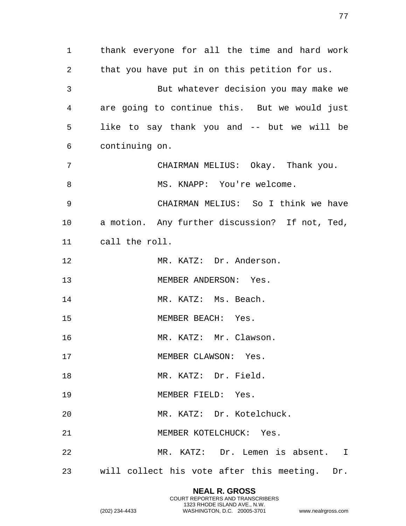thank everyone for all the time and hard work that you have put in on this petition for us. But whatever decision you may make we are going to continue this. But we would just like to say thank you and -- but we will be continuing on. CHAIRMAN MELIUS: Okay. Thank you. 8 MS. KNAPP: You're welcome. CHAIRMAN MELIUS: So I think we have a motion. Any further discussion? If not, Ted, call the roll. MR. KATZ: Dr. Anderson. MEMBER ANDERSON: Yes. 14 MR. KATZ: Ms. Beach. 15 MEMBER BEACH: Yes. 16 MR. KATZ: Mr. Clawson. 17 MEMBER CLAWSON: Yes. 18 MR. KATZ: Dr. Field. MEMBER FIELD: Yes. MR. KATZ: Dr. Kotelchuck. MEMBER KOTELCHUCK: Yes. MR. KATZ: Dr. Lemen is absent. I will collect his vote after this meeting. Dr.

> **NEAL R. GROSS** COURT REPORTERS AND TRANSCRIBERS 1323 RHODE ISLAND AVE., N.W.

(202) 234-4433 WASHINGTON, D.C. 20005-3701 www.nealrgross.com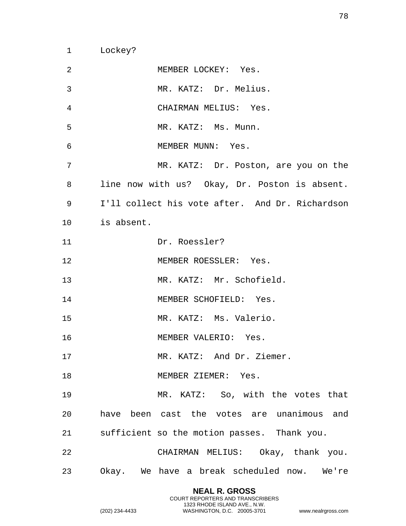Lockey?

 MEMBER LOCKEY: Yes. MR. KATZ: Dr. Melius. CHAIRMAN MELIUS: Yes. MR. KATZ: Ms. Munn. 6 MEMBER MUNN: Yes. 7 MR. KATZ: Dr. Poston, are you on the line now with us? Okay, Dr. Poston is absent. I'll collect his vote after. And Dr. Richardson is absent. Dr. Roessler? MEMBER ROESSLER: Yes. MR. KATZ: Mr. Schofield. 14 MEMBER SCHOFIELD: Yes. MR. KATZ: Ms. Valerio. MEMBER VALERIO: Yes. 17 MR. KATZ: And Dr. Ziemer. 18 MEMBER ZIEMER: Yes. MR. KATZ: So, with the votes that have been cast the votes are unanimous and sufficient so the motion passes. Thank you. CHAIRMAN MELIUS: Okay, thank you. Okay. We have a break scheduled now. We're

> **NEAL R. GROSS** COURT REPORTERS AND TRANSCRIBERS 1323 RHODE ISLAND AVE., N.W.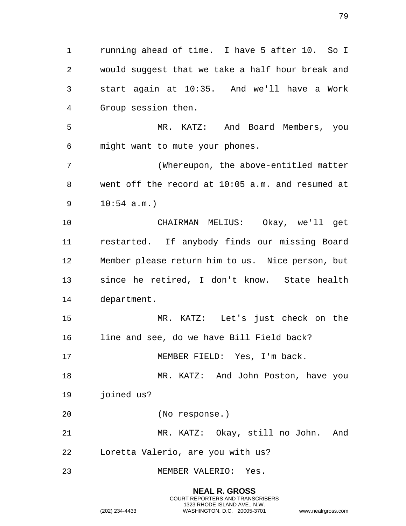running ahead of time. I have 5 after 10. So I would suggest that we take a half hour break and start again at 10:35. And we'll have a Work Group session then.

 MR. KATZ: And Board Members, you might want to mute your phones.

 (Whereupon, the above-entitled matter went off the record at 10:05 a.m. and resumed at 10:54 a.m.)

 CHAIRMAN MELIUS: Okay, we'll get restarted. If anybody finds our missing Board Member please return him to us. Nice person, but since he retired, I don't know. State health department.

 MR. KATZ: Let's just check on the line and see, do we have Bill Field back?

17 MEMBER FIELD: Yes, I'm back.

18 MR. KATZ: And John Poston, have you joined us?

(No response.)

 MR. KATZ: Okay, still no John. And Loretta Valerio, are you with us?

MEMBER VALERIO: Yes.

**NEAL R. GROSS** COURT REPORTERS AND TRANSCRIBERS 1323 RHODE ISLAND AVE., N.W. (202) 234-4433 WASHINGTON, D.C. 20005-3701 www.nealrgross.com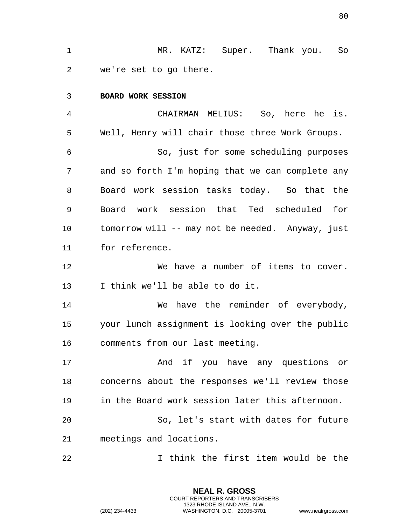MR. KATZ: Super. Thank you. So we're set to go there.

## **BOARD WORK SESSION**

 CHAIRMAN MELIUS: So, here he is. Well, Henry will chair those three Work Groups. So, just for some scheduling purposes and so forth I'm hoping that we can complete any Board work session tasks today. So that the Board work session that Ted scheduled for tomorrow will -- may not be needed. Anyway, just for reference.

 We have a number of items to cover. I think we'll be able to do it.

 We have the reminder of everybody, your lunch assignment is looking over the public comments from our last meeting.

 And if you have any questions or concerns about the responses we'll review those in the Board work session later this afternoon.

 So, let's start with dates for future meetings and locations.

I think the first item would be the

**NEAL R. GROSS** COURT REPORTERS AND TRANSCRIBERS 1323 RHODE ISLAND AVE., N.W.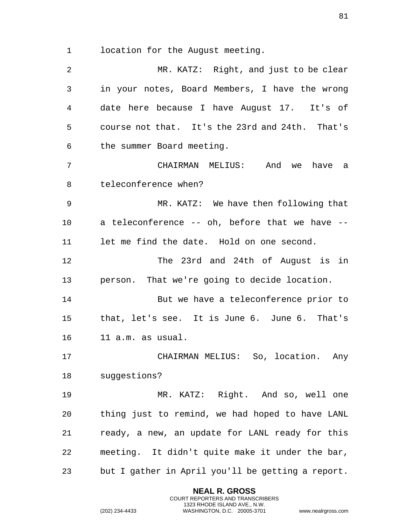location for the August meeting.

 MR. KATZ: Right, and just to be clear in your notes, Board Members, I have the wrong date here because I have August 17. It's of course not that. It's the 23rd and 24th. That's the summer Board meeting. CHAIRMAN MELIUS: And we have a teleconference when? MR. KATZ: We have then following that a teleconference -- oh, before that we have -- let me find the date. Hold on one second. The 23rd and 24th of August is in person. That we're going to decide location. But we have a teleconference prior to that, let's see. It is June 6. June 6. That's 11 a.m. as usual. CHAIRMAN MELIUS: So, location. Any suggestions? MR. KATZ: Right. And so, well one thing just to remind, we had hoped to have LANL ready, a new, an update for LANL ready for this meeting. It didn't quite make it under the bar, but I gather in April you'll be getting a report.

> **NEAL R. GROSS** COURT REPORTERS AND TRANSCRIBERS 1323 RHODE ISLAND AVE., N.W.

(202) 234-4433 WASHINGTON, D.C. 20005-3701 www.nealrgross.com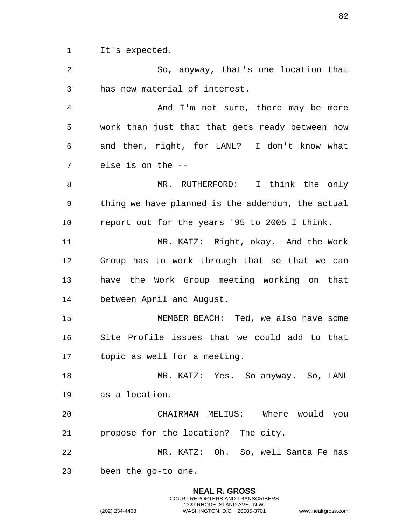It's expected.

 So, anyway, that's one location that has new material of interest.

 And I'm not sure, there may be more work than just that that gets ready between now and then, right, for LANL? I don't know what else is on the --

 MR. RUTHERFORD: I think the only thing we have planned is the addendum, the actual report out for the years '95 to 2005 I think.

 MR. KATZ: Right, okay. And the Work Group has to work through that so that we can have the Work Group meeting working on that between April and August.

 MEMBER BEACH: Ted, we also have some Site Profile issues that we could add to that topic as well for a meeting.

 MR. KATZ: Yes. So anyway. So, LANL as a location.

 CHAIRMAN MELIUS: Where would you propose for the location? The city.

 MR. KATZ: Oh. So, well Santa Fe has been the go-to one.

> **NEAL R. GROSS** COURT REPORTERS AND TRANSCRIBERS 1323 RHODE ISLAND AVE., N.W.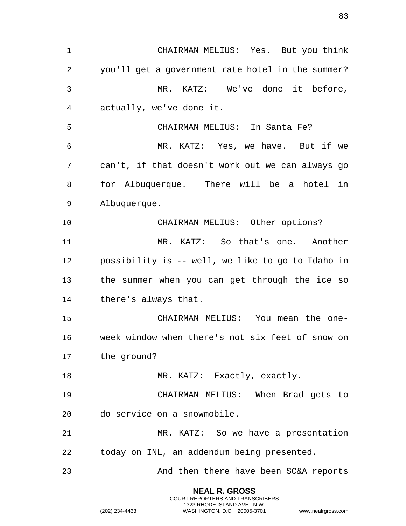CHAIRMAN MELIUS: Yes. But you think you'll get a government rate hotel in the summer? MR. KATZ: We've done it before, actually, we've done it. CHAIRMAN MELIUS: In Santa Fe? MR. KATZ: Yes, we have. But if we can't, if that doesn't work out we can always go for Albuquerque. There will be a hotel in Albuquerque. CHAIRMAN MELIUS: Other options? MR. KATZ: So that's one. Another possibility is -- well, we like to go to Idaho in the summer when you can get through the ice so there's always that. CHAIRMAN MELIUS: You mean the one- week window when there's not six feet of snow on the ground? 18 MR. KATZ: Exactly, exactly. CHAIRMAN MELIUS: When Brad gets to do service on a snowmobile. MR. KATZ: So we have a presentation today on INL, an addendum being presented. And then there have been SC&A reports

> **NEAL R. GROSS** COURT REPORTERS AND TRANSCRIBERS 1323 RHODE ISLAND AVE., N.W.

(202) 234-4433 WASHINGTON, D.C. 20005-3701 www.nealrgross.com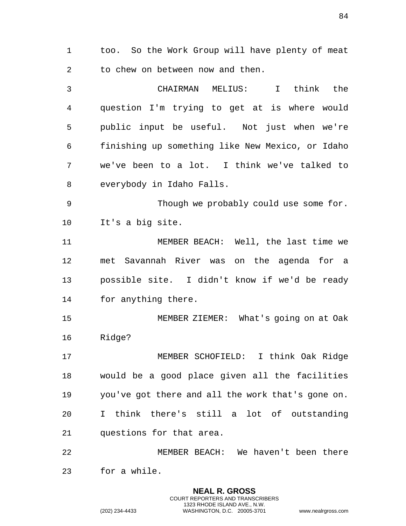too. So the Work Group will have plenty of meat to chew on between now and then.

 CHAIRMAN MELIUS: I think the question I'm trying to get at is where would public input be useful. Not just when we're finishing up something like New Mexico, or Idaho we've been to a lot. I think we've talked to everybody in Idaho Falls.

 Though we probably could use some for. It's a big site.

 MEMBER BEACH: Well, the last time we met Savannah River was on the agenda for a possible site. I didn't know if we'd be ready for anything there.

 MEMBER ZIEMER: What's going on at Oak Ridge?

 MEMBER SCHOFIELD: I think Oak Ridge would be a good place given all the facilities you've got there and all the work that's gone on. I think there's still a lot of outstanding questions for that area.

 MEMBER BEACH: We haven't been there for a while.

> **NEAL R. GROSS** COURT REPORTERS AND TRANSCRIBERS 1323 RHODE ISLAND AVE., N.W.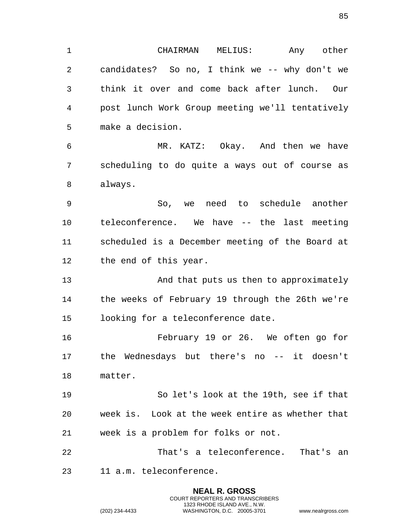**NEAL R. GROSS** CHAIRMAN MELIUS: Any other candidates? So no, I think we -- why don't we think it over and come back after lunch. Our post lunch Work Group meeting we'll tentatively make a decision. MR. KATZ: Okay. And then we have scheduling to do quite a ways out of course as always. So, we need to schedule another teleconference. We have -- the last meeting scheduled is a December meeting of the Board at the end of this year. And that puts us then to approximately the weeks of February 19 through the 26th we're looking for a teleconference date. February 19 or 26. We often go for the Wednesdays but there's no -- it doesn't matter. So let's look at the 19th, see if that week is. Look at the week entire as whether that week is a problem for folks or not. That's a teleconference. That's an 11 a.m. teleconference.

> COURT REPORTERS AND TRANSCRIBERS 1323 RHODE ISLAND AVE., N.W.

(202) 234-4433 WASHINGTON, D.C. 20005-3701 www.nealrgross.com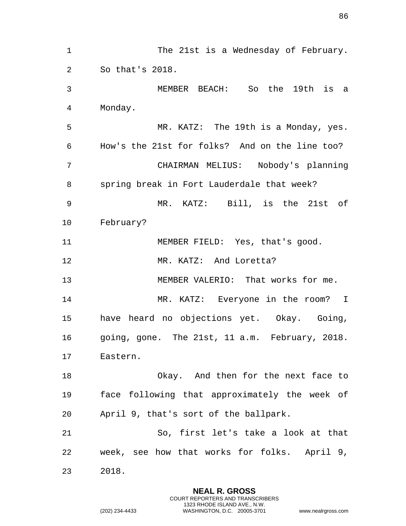1 The 21st is a Wednesday of February. So that's 2018. MEMBER BEACH: So the 19th is a Monday. MR. KATZ: The 19th is a Monday, yes. How's the 21st for folks? And on the line too? CHAIRMAN MELIUS: Nobody's planning spring break in Fort Lauderdale that week? MR. KATZ: Bill, is the 21st of February? 11 MEMBER FIELD: Yes, that's good. MR. KATZ: And Loretta? 13 MEMBER VALERIO: That works for me. MR. KATZ: Everyone in the room? I have heard no objections yet. Okay. Going, going, gone. The 21st, 11 a.m. February, 2018. Eastern. Okay. And then for the next face to face following that approximately the week of April 9, that's sort of the ballpark. So, first let's take a look at that week, see how that works for folks. April 9, 2018.

> **NEAL R. GROSS** COURT REPORTERS AND TRANSCRIBERS 1323 RHODE ISLAND AVE., N.W.

(202) 234-4433 WASHINGTON, D.C. 20005-3701 www.nealrgross.com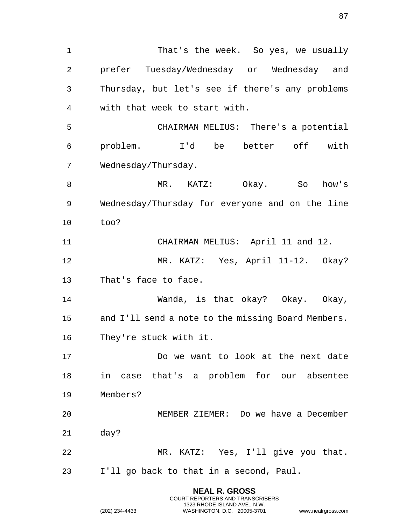That's the week. So yes, we usually prefer Tuesday/Wednesday or Wednesday and Thursday, but let's see if there's any problems with that week to start with. CHAIRMAN MELIUS: There's a potential problem. I'd be better off with Wednesday/Thursday. MR. KATZ: Okay. So how's Wednesday/Thursday for everyone and on the line too? CHAIRMAN MELIUS: April 11 and 12. MR. KATZ: Yes, April 11-12. Okay? That's face to face. Wanda, is that okay? Okay. Okay, and I'll send a note to the missing Board Members. They're stuck with it. Do we want to look at the next date in case that's a problem for our absentee Members? MEMBER ZIEMER: Do we have a December day? MR. KATZ: Yes, I'll give you that. I'll go back to that in a second, Paul.

> **NEAL R. GROSS** COURT REPORTERS AND TRANSCRIBERS 1323 RHODE ISLAND AVE., N.W.

(202) 234-4433 WASHINGTON, D.C. 20005-3701 www.nealrgross.com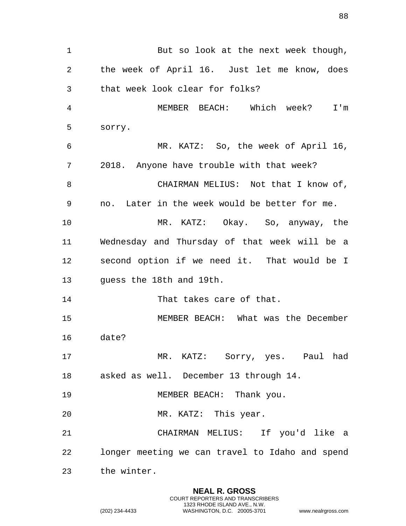1 But so look at the next week though, the week of April 16. Just let me know, does that week look clear for folks? MEMBER BEACH: Which week? I'm sorry. MR. KATZ: So, the week of April 16, 2018. Anyone have trouble with that week? 8 CHAIRMAN MELIUS: Not that I know of, no. Later in the week would be better for me. MR. KATZ: Okay. So, anyway, the Wednesday and Thursday of that week will be a second option if we need it. That would be I guess the 18th and 19th. 14 That takes care of that. MEMBER BEACH: What was the December date? MR. KATZ: Sorry, yes. Paul had asked as well. December 13 through 14. 19 MEMBER BEACH: Thank you. MR. KATZ: This year. CHAIRMAN MELIUS: If you'd like a longer meeting we can travel to Idaho and spend the winter.

> **NEAL R. GROSS** COURT REPORTERS AND TRANSCRIBERS 1323 RHODE ISLAND AVE., N.W.

(202) 234-4433 WASHINGTON, D.C. 20005-3701 www.nealrgross.com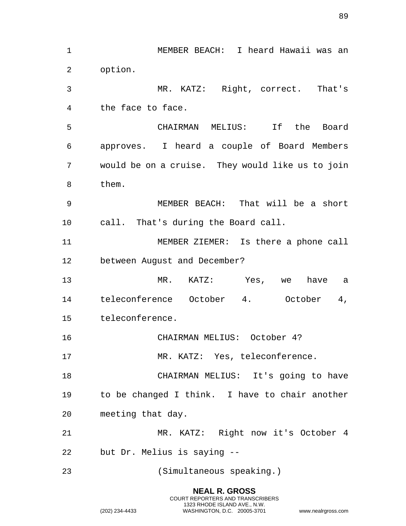**NEAL R. GROSS** MEMBER BEACH: I heard Hawaii was an option. MR. KATZ: Right, correct. That's the face to face. CHAIRMAN MELIUS: If the Board approves. I heard a couple of Board Members would be on a cruise. They would like us to join them. MEMBER BEACH: That will be a short call. That's during the Board call. MEMBER ZIEMER: Is there a phone call between August and December? MR. KATZ: Yes, we have a teleconference October 4. October 4, teleconference. CHAIRMAN MELIUS: October 4? 17 MR. KATZ: Yes, teleconference. CHAIRMAN MELIUS: It's going to have to be changed I think. I have to chair another meeting that day. MR. KATZ: Right now it's October 4 but Dr. Melius is saying -- (Simultaneous speaking.)

COURT REPORTERS AND TRANSCRIBERS 1323 RHODE ISLAND AVE., N.W.

(202) 234-4433 WASHINGTON, D.C. 20005-3701 www.nealrgross.com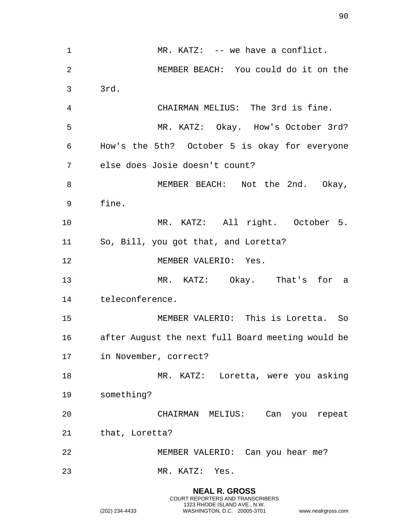1 MR. KATZ: -- we have a conflict. MEMBER BEACH: You could do it on the 3rd. CHAIRMAN MELIUS: The 3rd is fine. MR. KATZ: Okay. How's October 3rd? How's the 5th? October 5 is okay for everyone else does Josie doesn't count? 8 MEMBER BEACH: Not the 2nd. Okay, fine. MR. KATZ: All right. October 5. So, Bill, you got that, and Loretta? MEMBER VALERIO: Yes. MR. KATZ: Okay. That's for a teleconference. MEMBER VALERIO: This is Loretta. So after August the next full Board meeting would be in November, correct? MR. KATZ: Loretta, were you asking something? CHAIRMAN MELIUS: Can you repeat that, Loretta? MEMBER VALERIO: Can you hear me? MR. KATZ: Yes.

> **NEAL R. GROSS** COURT REPORTERS AND TRANSCRIBERS 1323 RHODE ISLAND AVE., N.W.

(202) 234-4433 WASHINGTON, D.C. 20005-3701 www.nealrgross.com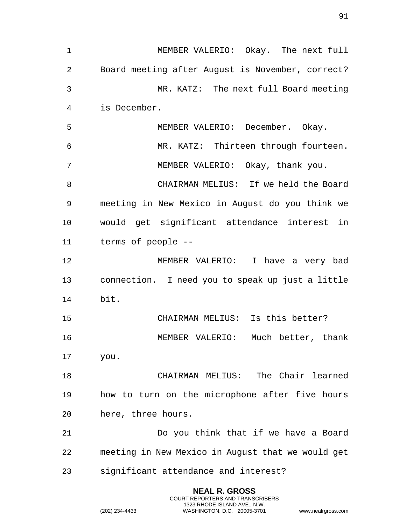MEMBER VALERIO: Okay. The next full Board meeting after August is November, correct? MR. KATZ: The next full Board meeting is December. MEMBER VALERIO: December. Okay. MR. KATZ: Thirteen through fourteen. MEMBER VALERIO: Okay, thank you. CHAIRMAN MELIUS: If we held the Board meeting in New Mexico in August do you think we would get significant attendance interest in terms of people -- MEMBER VALERIO: I have a very bad connection. I need you to speak up just a little bit. CHAIRMAN MELIUS: Is this better? MEMBER VALERIO: Much better, thank you. CHAIRMAN MELIUS: The Chair learned how to turn on the microphone after five hours here, three hours. Do you think that if we have a Board meeting in New Mexico in August that we would get significant attendance and interest?

> **NEAL R. GROSS** COURT REPORTERS AND TRANSCRIBERS 1323 RHODE ISLAND AVE., N.W.

(202) 234-4433 WASHINGTON, D.C. 20005-3701 www.nealrgross.com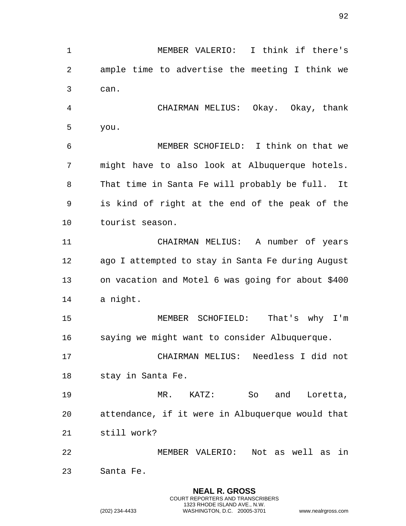**NEAL R. GROSS** MEMBER VALERIO: I think if there's ample time to advertise the meeting I think we can. CHAIRMAN MELIUS: Okay. Okay, thank you. MEMBER SCHOFIELD: I think on that we might have to also look at Albuquerque hotels. That time in Santa Fe will probably be full. It is kind of right at the end of the peak of the tourist season. CHAIRMAN MELIUS: A number of years ago I attempted to stay in Santa Fe during August on vacation and Motel 6 was going for about \$400 a night. MEMBER SCHOFIELD: That's why I'm saying we might want to consider Albuquerque. CHAIRMAN MELIUS: Needless I did not stay in Santa Fe. MR. KATZ: So and Loretta, attendance, if it were in Albuquerque would that still work? MEMBER VALERIO: Not as well as in Santa Fe.

COURT REPORTERS AND TRANSCRIBERS 1323 RHODE ISLAND AVE., N.W.

(202) 234-4433 WASHINGTON, D.C. 20005-3701 www.nealrgross.com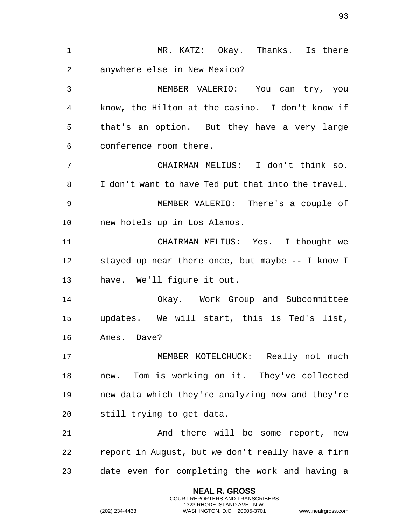MR. KATZ: Okay. Thanks. Is there anywhere else in New Mexico? MEMBER VALERIO: You can try, you know, the Hilton at the casino. I don't know if that's an option. But they have a very large conference room there. CHAIRMAN MELIUS: I don't think so. I don't want to have Ted put that into the travel. MEMBER VALERIO: There's a couple of new hotels up in Los Alamos. CHAIRMAN MELIUS: Yes. I thought we stayed up near there once, but maybe -- I know I have. We'll figure it out. Okay. Work Group and Subcommittee updates. We will start, this is Ted's list, Ames. Dave? MEMBER KOTELCHUCK: Really not much new. Tom is working on it. They've collected new data which they're analyzing now and they're still trying to get data. 21 And there will be some report, new report in August, but we don't really have a firm date even for completing the work and having a

> **NEAL R. GROSS** COURT REPORTERS AND TRANSCRIBERS 1323 RHODE ISLAND AVE., N.W.

(202) 234-4433 WASHINGTON, D.C. 20005-3701 www.nealrgross.com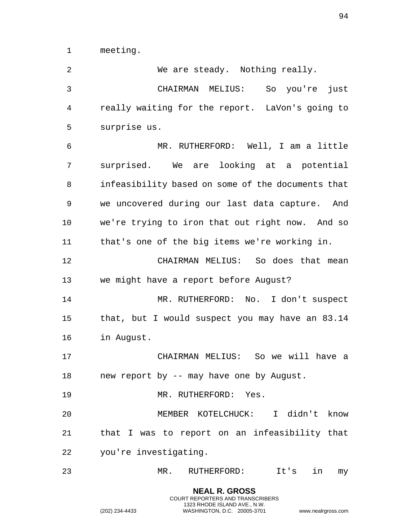meeting.

 We are steady. Nothing really. CHAIRMAN MELIUS: So you're just really waiting for the report. LaVon's going to surprise us. MR. RUTHERFORD: Well, I am a little surprised. We are looking at a potential infeasibility based on some of the documents that we uncovered during our last data capture. And we're trying to iron that out right now. And so that's one of the big items we're working in. CHAIRMAN MELIUS: So does that mean we might have a report before August? MR. RUTHERFORD: No. I don't suspect that, but I would suspect you may have an 83.14 in August. CHAIRMAN MELIUS: So we will have a 18 new report by -- may have one by August. MR. RUTHERFORD: Yes. MEMBER KOTELCHUCK: I didn't know that I was to report on an infeasibility that you're investigating. MR. RUTHERFORD: It's in my

> **NEAL R. GROSS** COURT REPORTERS AND TRANSCRIBERS 1323 RHODE ISLAND AVE., N.W.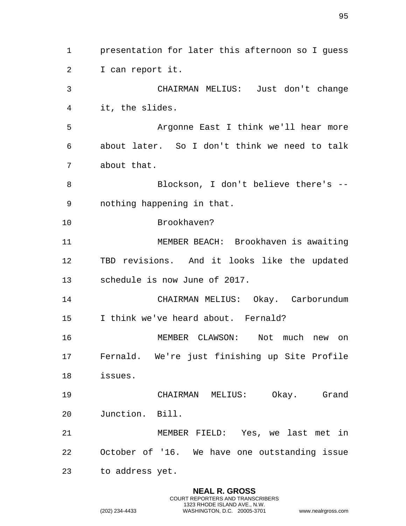presentation for later this afternoon so I guess I can report it. CHAIRMAN MELIUS: Just don't change it, the slides. Argonne East I think we'll hear more about later. So I don't think we need to talk about that. Blockson, I don't believe there's -- nothing happening in that. Brookhaven? MEMBER BEACH: Brookhaven is awaiting TBD revisions. And it looks like the updated schedule is now June of 2017. CHAIRMAN MELIUS: Okay. Carborundum I think we've heard about. Fernald? MEMBER CLAWSON: Not much new on Fernald. We're just finishing up Site Profile issues. CHAIRMAN MELIUS: Okay. Grand Junction. Bill. MEMBER FIELD: Yes, we last met in October of '16. We have one outstanding issue to address yet.

> **NEAL R. GROSS** COURT REPORTERS AND TRANSCRIBERS 1323 RHODE ISLAND AVE., N.W.

(202) 234-4433 WASHINGTON, D.C. 20005-3701 www.nealrgross.com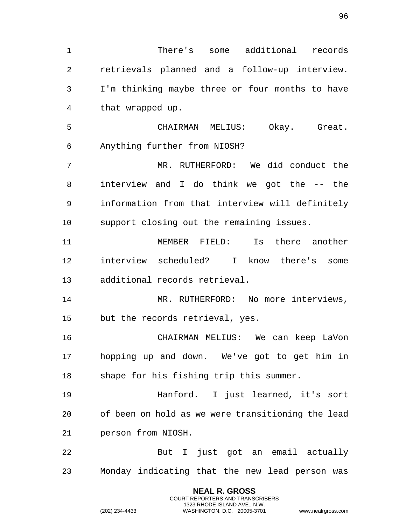There's some additional records retrievals planned and a follow-up interview. I'm thinking maybe three or four months to have that wrapped up. CHAIRMAN MELIUS: Okay. Great. Anything further from NIOSH? MR. RUTHERFORD: We did conduct the interview and I do think we got the -- the information from that interview will definitely support closing out the remaining issues. MEMBER FIELD: Is there another interview scheduled? I know there's some additional records retrieval. 14 MR. RUTHERFORD: No more interviews, but the records retrieval, yes. CHAIRMAN MELIUS: We can keep LaVon hopping up and down. We've got to get him in shape for his fishing trip this summer. Hanford. I just learned, it's sort of been on hold as we were transitioning the lead person from NIOSH. But I just got an email actually Monday indicating that the new lead person was

> **NEAL R. GROSS** COURT REPORTERS AND TRANSCRIBERS 1323 RHODE ISLAND AVE., N.W.

(202) 234-4433 WASHINGTON, D.C. 20005-3701 www.nealrgross.com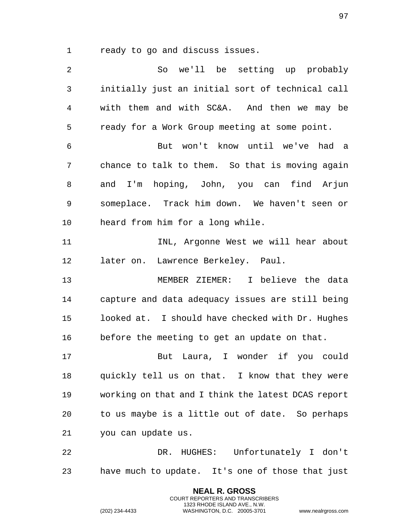ready to go and discuss issues.

 So we'll be setting up probably initially just an initial sort of technical call with them and with SC&A. And then we may be ready for a Work Group meeting at some point. But won't know until we've had a chance to talk to them. So that is moving again and I'm hoping, John, you can find Arjun someplace. Track him down. We haven't seen or heard from him for a long while. INL, Argonne West we will hear about later on. Lawrence Berkeley. Paul. MEMBER ZIEMER: I believe the data capture and data adequacy issues are still being looked at. I should have checked with Dr. Hughes before the meeting to get an update on that. But Laura, I wonder if you could quickly tell us on that. I know that they were working on that and I think the latest DCAS report to us maybe is a little out of date. So perhaps you can update us. DR. HUGHES: Unfortunately I don't have much to update. It's one of those that just

> **NEAL R. GROSS** COURT REPORTERS AND TRANSCRIBERS 1323 RHODE ISLAND AVE., N.W.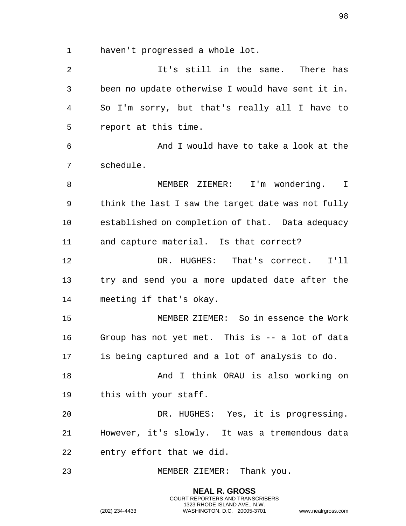haven't progressed a whole lot.

 It's still in the same. There has been no update otherwise I would have sent it in. So I'm sorry, but that's really all I have to report at this time. And I would have to take a look at the schedule. MEMBER ZIEMER: I'm wondering. I think the last I saw the target date was not fully established on completion of that. Data adequacy and capture material. Is that correct? DR. HUGHES: That's correct. I'll try and send you a more updated date after the meeting if that's okay. MEMBER ZIEMER: So in essence the Work Group has not yet met. This is -- a lot of data is being captured and a lot of analysis to do. 18 And I think ORAU is also working on this with your staff. DR. HUGHES: Yes, it is progressing. However, it's slowly. It was a tremendous data entry effort that we did. MEMBER ZIEMER: Thank you.

> **NEAL R. GROSS** COURT REPORTERS AND TRANSCRIBERS 1323 RHODE ISLAND AVE., N.W.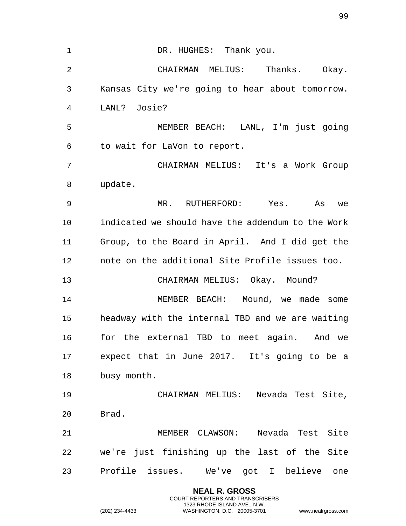| $\mathbf{1}$ | DR. HUGHES: Thank you.                            |
|--------------|---------------------------------------------------|
| 2            | CHAIRMAN MELIUS: Thanks. Okay.                    |
| 3            | Kansas City we're going to hear about tomorrow.   |
| 4            | LANL? Josie?                                      |
| 5            | MEMBER BEACH: LANL, I'm just going                |
| 6            | to wait for LaVon to report.                      |
| 7            | CHAIRMAN MELIUS: It's a Work Group                |
| 8            | update.                                           |
| 9            | MR. RUTHERFORD: Yes. As<br>we                     |
| 10           | indicated we should have the addendum to the Work |
| 11           | Group, to the Board in April. And I did get the   |
| 12           | note on the additional Site Profile issues too.   |
| 13           | CHAIRMAN MELIUS: Okay. Mound?                     |
| 14           | MEMBER BEACH: Mound, we made some                 |
| 15           | headway with the internal TBD and we are waiting  |
| 16           | for the external TBD to meet again. And we        |
| 17           | expect that in June 2017. It's going to be a      |
| 18           | busy month.                                       |
| 19           | CHAIRMAN MELIUS: Nevada Test Site,                |
| 20           | Brad.                                             |
| 21           | MEMBER CLAWSON: Nevada Test Site                  |
| 22           | we're just finishing up the last of the Site      |
| 23           | Profile issues. We've got I believe one           |
|              | <b>NEAL R. GROSS</b>                              |

COURT REPORTERS AND TRANSCRIBERS 1323 RHODE ISLAND AVE., N.W.

(202) 234-4433 WASHINGTON, D.C. 20005-3701 www.nealrgross.com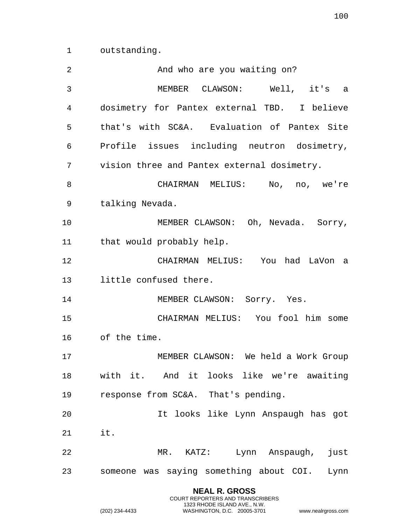outstanding.

| 2  | And who are you waiting on?                  |
|----|----------------------------------------------|
| 3  | MEMBER CLAWSON: Well, it's a                 |
| 4  | dosimetry for Pantex external TBD. I believe |
| 5  | that's with SC&A. Evaluation of Pantex Site  |
| 6  | Profile issues including neutron dosimetry,  |
| 7  | vision three and Pantex external dosimetry.  |
| 8  | CHAIRMAN MELIUS: No, no, we're               |
| 9  | talking Nevada.                              |
| 10 | MEMBER CLAWSON: Oh, Nevada. Sorry,           |
| 11 | that would probably help.                    |
| 12 | CHAIRMAN MELIUS: You had LaVon a             |
| 13 | little confused there.                       |
| 14 | MEMBER CLAWSON: Sorry. Yes.                  |
| 15 | CHAIRMAN MELIUS: You fool him some           |
| 16 | of the time.                                 |
| 17 | MEMBER CLAWSON: We held a Work Group         |
| 18 | with it. And it looks like we're awaiting    |
| 19 | response from SC&A. That's pending.          |
| 20 | It looks like Lynn Anspaugh has got          |
| 21 | it.                                          |
| 22 | MR. KATZ: Lynn Anspaugh,<br>just             |
| 23 | someone was saying something about COI. Lynn |
|    | <b>NEAL R. GROSS</b>                         |

COURT REPORTERS AND TRANSCRIBERS 1323 RHODE ISLAND AVE., N.W.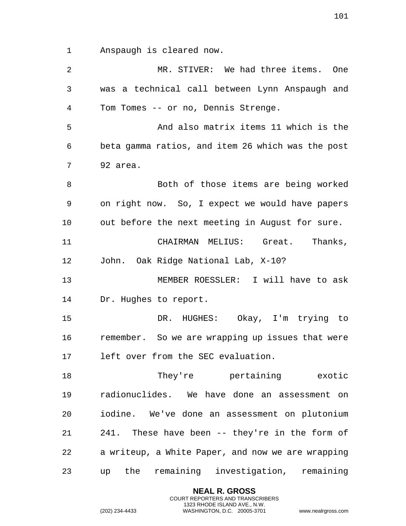Anspaugh is cleared now.

| 2  | MR. STIVER: We had three items. One               |
|----|---------------------------------------------------|
| 3  | was a technical call between Lynn Anspaugh and    |
| 4  | Tom Tomes -- or no, Dennis Strenge.               |
| 5  | And also matrix items 11 which is the             |
| 6  | beta gamma ratios, and item 26 which was the post |
| 7  | 92 area.                                          |
| 8  | Both of those items are being worked              |
| 9  | on right now. So, I expect we would have papers   |
| 10 | out before the next meeting in August for sure.   |
| 11 | CHAIRMAN MELIUS: Great. Thanks,                   |
| 12 | John. Oak Ridge National Lab, X-10?               |
| 13 | MEMBER ROESSLER: I will have to ask               |
| 14 | Dr. Hughes to report.                             |
| 15 | DR. HUGHES: Okay, I'm trying to                   |
| 16 | remember. So we are wrapping up issues that were  |
| 17 | left over from the SEC evaluation.                |
| 18 | They're pertaining exotic                         |
| 19 | radionuclides. We have done an assessment on      |
| 20 | iodine. We've done an assessment on plutonium     |
| 21 | 241. These have been -- they're in the form of    |
| 22 | a writeup, a White Paper, and now we are wrapping |
| 23 | the remaining investigation, remaining<br>up      |

**NEAL R. GROSS** COURT REPORTERS AND TRANSCRIBERS 1323 RHODE ISLAND AVE., N.W.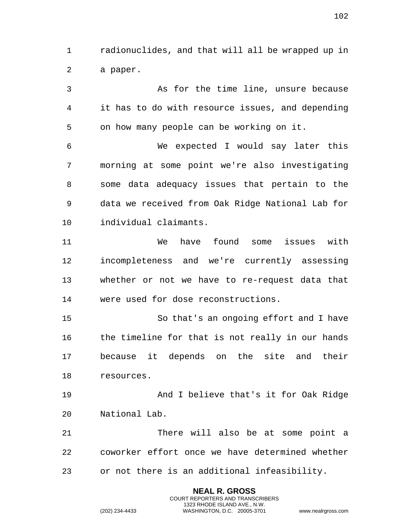radionuclides, and that will all be wrapped up in a paper.

 As for the time line, unsure because it has to do with resource issues, and depending on how many people can be working on it. We expected I would say later this morning at some point we're also investigating some data adequacy issues that pertain to the data we received from Oak Ridge National Lab for individual claimants. We have found some issues with incompleteness and we're currently assessing whether or not we have to re-request data that were used for dose reconstructions. So that's an ongoing effort and I have 16 the timeline for that is not really in our hands because it depends on the site and their resources. And I believe that's it for Oak Ridge National Lab. There will also be at some point a coworker effort once we have determined whether

or not there is an additional infeasibility.

**NEAL R. GROSS** COURT REPORTERS AND TRANSCRIBERS 1323 RHODE ISLAND AVE., N.W.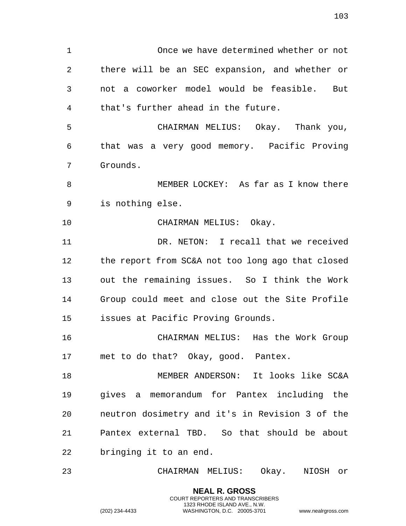Once we have determined whether or not there will be an SEC expansion, and whether or not a coworker model would be feasible. But that's further ahead in the future. CHAIRMAN MELIUS: Okay. Thank you, that was a very good memory. Pacific Proving Grounds. MEMBER LOCKEY: As far as I know there is nothing else. CHAIRMAN MELIUS: Okay. DR. NETON: I recall that we received the report from SC&A not too long ago that closed out the remaining issues. So I think the Work Group could meet and close out the Site Profile issues at Pacific Proving Grounds. CHAIRMAN MELIUS: Has the Work Group met to do that? Okay, good. Pantex. MEMBER ANDERSON: It looks like SC&A gives a memorandum for Pantex including the neutron dosimetry and it's in Revision 3 of the Pantex external TBD. So that should be about bringing it to an end. CHAIRMAN MELIUS: Okay. NIOSH or

> **NEAL R. GROSS** COURT REPORTERS AND TRANSCRIBERS 1323 RHODE ISLAND AVE., N.W.

(202) 234-4433 WASHINGTON, D.C. 20005-3701 www.nealrgross.com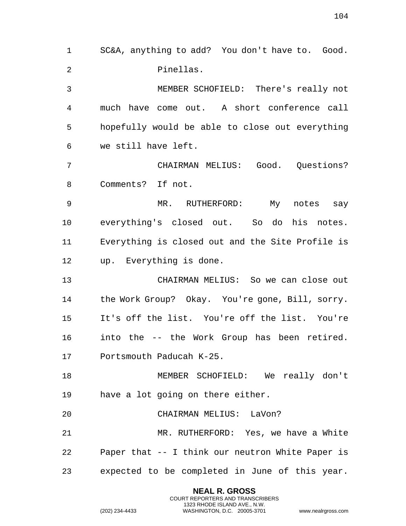SC&A, anything to add? You don't have to. Good. Pinellas. MEMBER SCHOFIELD: There's really not much have come out. A short conference call hopefully would be able to close out everything we still have left. CHAIRMAN MELIUS: Good. Questions? Comments? If not. MR. RUTHERFORD: My notes say everything's closed out. So do his notes. Everything is closed out and the Site Profile is up. Everything is done. CHAIRMAN MELIUS: So we can close out the Work Group? Okay. You're gone, Bill, sorry. It's off the list. You're off the list. You're into the -- the Work Group has been retired. Portsmouth Paducah K-25. MEMBER SCHOFIELD: We really don't have a lot going on there either. CHAIRMAN MELIUS: LaVon? MR. RUTHERFORD: Yes, we have a White Paper that -- I think our neutron White Paper is expected to be completed in June of this year.

> **NEAL R. GROSS** COURT REPORTERS AND TRANSCRIBERS 1323 RHODE ISLAND AVE., N.W.

(202) 234-4433 WASHINGTON, D.C. 20005-3701 www.nealrgross.com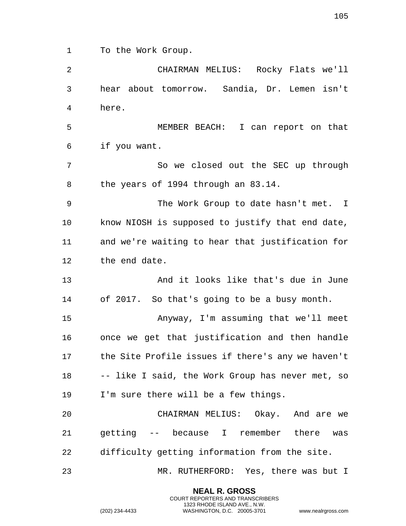To the Work Group.

**NEAL R. GROSS** COURT REPORTERS AND TRANSCRIBERS 1323 RHODE ISLAND AVE., N.W. (202) 234-4433 WASHINGTON, D.C. 20005-3701 www.nealrgross.com hear about tomorrow. Sandia, Dr. Lemen isn't here. MEMBER BEACH: I can report on that if you want. So we closed out the SEC up through the years of 1994 through an 83.14. 9 The Work Group to date hasn't met. I know NIOSH is supposed to justify that end date, and we're waiting to hear that justification for the end date. And it looks like that's due in June of 2017. So that's going to be a busy month. Anyway, I'm assuming that we'll meet once we get that justification and then handle the Site Profile issues if there's any we haven't -- like I said, the Work Group has never met, so I'm sure there will be a few things. CHAIRMAN MELIUS: Okay. And are we getting -- because I remember there was difficulty getting information from the site. MR. RUTHERFORD: Yes, there was but I

CHAIRMAN MELIUS: Rocky Flats we'll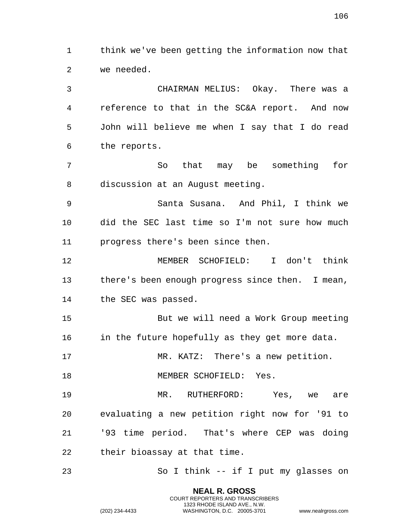think we've been getting the information now that we needed.

 CHAIRMAN MELIUS: Okay. There was a reference to that in the SC&A report. And now John will believe me when I say that I do read the reports. So that may be something for discussion at an August meeting. Santa Susana. And Phil, I think we

 did the SEC last time so I'm not sure how much progress there's been since then.

 MEMBER SCHOFIELD: I don't think there's been enough progress since then. I mean, the SEC was passed.

 But we will need a Work Group meeting 16 in the future hopefully as they get more data.

MR. KATZ: There's a new petition.

18 MEMBER SCHOFIELD: Yes.

 MR. RUTHERFORD: Yes, we are evaluating a new petition right now for '91 to '93 time period. That's where CEP was doing their bioassay at that time.

So I think -- if I put my glasses on

**NEAL R. GROSS** COURT REPORTERS AND TRANSCRIBERS 1323 RHODE ISLAND AVE., N.W.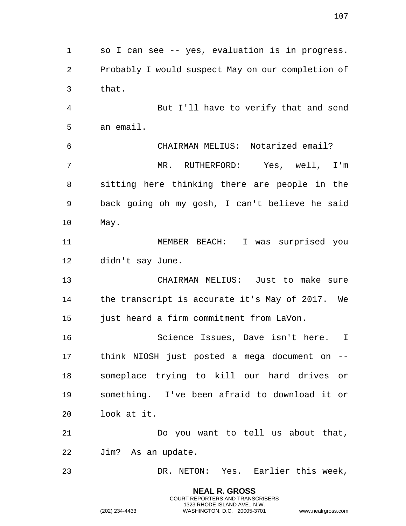so I can see -- yes, evaluation is in progress. Probably I would suspect May on our completion of that. But I'll have to verify that and send an email. CHAIRMAN MELIUS: Notarized email? MR. RUTHERFORD: Yes, well, I'm sitting here thinking there are people in the back going oh my gosh, I can't believe he said May. MEMBER BEACH: I was surprised you didn't say June. CHAIRMAN MELIUS: Just to make sure the transcript is accurate it's May of 2017. We just heard a firm commitment from LaVon. Science Issues, Dave isn't here. I think NIOSH just posted a mega document on -- someplace trying to kill our hard drives or something. I've been afraid to download it or look at it. Do you want to tell us about that, Jim? As an update. DR. NETON: Yes. Earlier this week,

> **NEAL R. GROSS** COURT REPORTERS AND TRANSCRIBERS 1323 RHODE ISLAND AVE., N.W.

(202) 234-4433 WASHINGTON, D.C. 20005-3701 www.nealrgross.com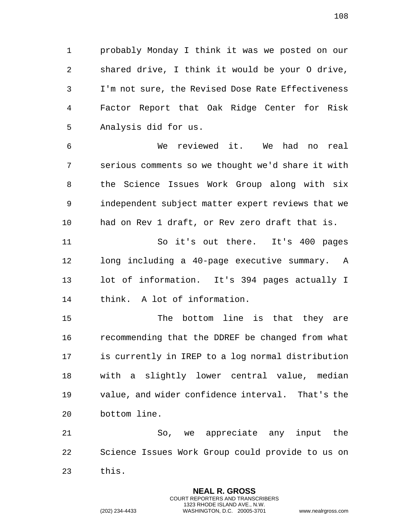probably Monday I think it was we posted on our shared drive, I think it would be your O drive, I'm not sure, the Revised Dose Rate Effectiveness Factor Report that Oak Ridge Center for Risk Analysis did for us.

 We reviewed it. We had no real serious comments so we thought we'd share it with the Science Issues Work Group along with six independent subject matter expert reviews that we had on Rev 1 draft, or Rev zero draft that is.

 So it's out there. It's 400 pages long including a 40-page executive summary. A lot of information. It's 394 pages actually I think. A lot of information.

 The bottom line is that they are recommending that the DDREF be changed from what is currently in IREP to a log normal distribution with a slightly lower central value, median value, and wider confidence interval. That's the bottom line.

 So, we appreciate any input the Science Issues Work Group could provide to us on this.

> **NEAL R. GROSS** COURT REPORTERS AND TRANSCRIBERS 1323 RHODE ISLAND AVE., N.W.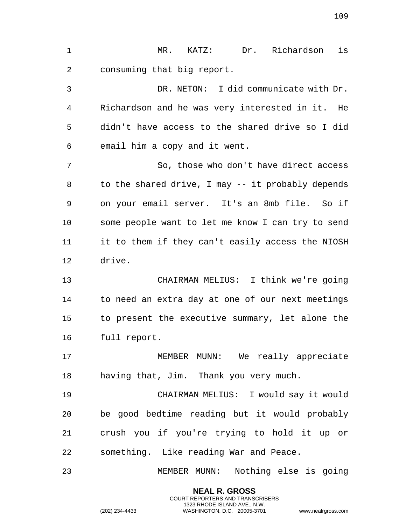MR. KATZ: Dr. Richardson is consuming that big report. DR. NETON: I did communicate with Dr. Richardson and he was very interested in it. He didn't have access to the shared drive so I did email him a copy and it went. So, those who don't have direct access 8 to the shared drive, I may -- it probably depends on your email server. It's an 8mb file. So if some people want to let me know I can try to send it to them if they can't easily access the NIOSH drive. CHAIRMAN MELIUS: I think we're going to need an extra day at one of our next meetings to present the executive summary, let alone the full report. 17 MEMBER MUNN: We really appreciate having that, Jim. Thank you very much. CHAIRMAN MELIUS: I would say it would be good bedtime reading but it would probably crush you if you're trying to hold it up or something. Like reading War and Peace. MEMBER MUNN: Nothing else is going

> **NEAL R. GROSS** COURT REPORTERS AND TRANSCRIBERS 1323 RHODE ISLAND AVE., N.W.

(202) 234-4433 WASHINGTON, D.C. 20005-3701 www.nealrgross.com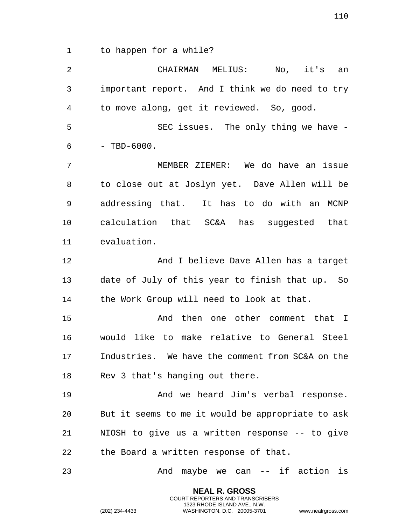to happen for a while?

 CHAIRMAN MELIUS: No, it's an important report. And I think we do need to try to move along, get it reviewed. So, good. 5 SEC issues. The only thing we have - $6 - TBD-6000.$  MEMBER ZIEMER: We do have an issue to close out at Joslyn yet. Dave Allen will be addressing that. It has to do with an MCNP calculation that SC&A has suggested that evaluation. And I believe Dave Allen has a target date of July of this year to finish that up. So 14 the Work Group will need to look at that. And then one other comment that I would like to make relative to General Steel Industries. We have the comment from SC&A on the Rev 3 that's hanging out there. And we heard Jim's verbal response. But it seems to me it would be appropriate to ask NIOSH to give us a written response -- to give the Board a written response of that. And maybe we can -- if action is

> **NEAL R. GROSS** COURT REPORTERS AND TRANSCRIBERS 1323 RHODE ISLAND AVE., N.W.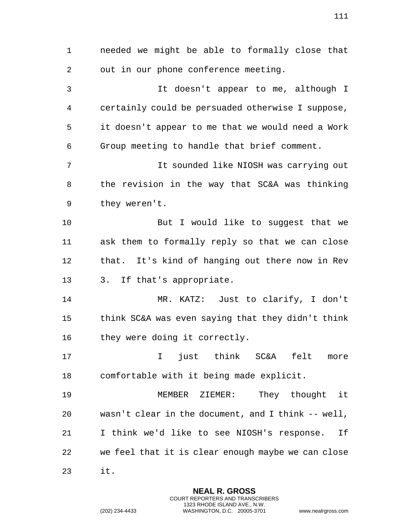needed we might be able to formally close that out in our phone conference meeting. It doesn't appear to me, although I certainly could be persuaded otherwise I suppose, it doesn't appear to me that we would need a Work Group meeting to handle that brief comment. It sounded like NIOSH was carrying out the revision in the way that SC&A was thinking they weren't. But I would like to suggest that we ask them to formally reply so that we can close that. It's kind of hanging out there now in Rev 3. If that's appropriate. MR. KATZ: Just to clarify, I don't think SC&A was even saying that they didn't think they were doing it correctly. I just think SC&A felt more comfortable with it being made explicit. MEMBER ZIEMER: They thought it wasn't clear in the document, and I think -- well, I think we'd like to see NIOSH's response. If we feel that it is clear enough maybe we can close it.

> **NEAL R. GROSS** COURT REPORTERS AND TRANSCRIBERS 1323 RHODE ISLAND AVE., N.W.

(202) 234-4433 WASHINGTON, D.C. 20005-3701 www.nealrgross.com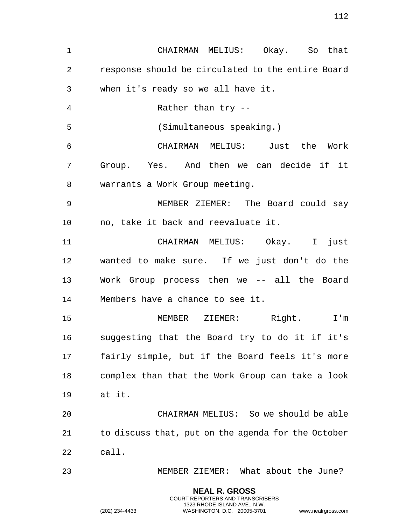**NEAL R. GROSS** CHAIRMAN MELIUS: Okay. So that response should be circulated to the entire Board when it's ready so we all have it. Rather than try -- (Simultaneous speaking.) CHAIRMAN MELIUS: Just the Work Group. Yes. And then we can decide if it warrants a Work Group meeting. MEMBER ZIEMER: The Board could say no, take it back and reevaluate it. CHAIRMAN MELIUS: Okay. I just wanted to make sure. If we just don't do the Work Group process then we -- all the Board Members have a chance to see it. MEMBER ZIEMER: Right. I'm suggesting that the Board try to do it if it's fairly simple, but if the Board feels it's more complex than that the Work Group can take a look at it. CHAIRMAN MELIUS: So we should be able to discuss that, put on the agenda for the October call. MEMBER ZIEMER: What about the June?

COURT REPORTERS AND TRANSCRIBERS 1323 RHODE ISLAND AVE., N.W.

(202) 234-4433 WASHINGTON, D.C. 20005-3701 www.nealrgross.com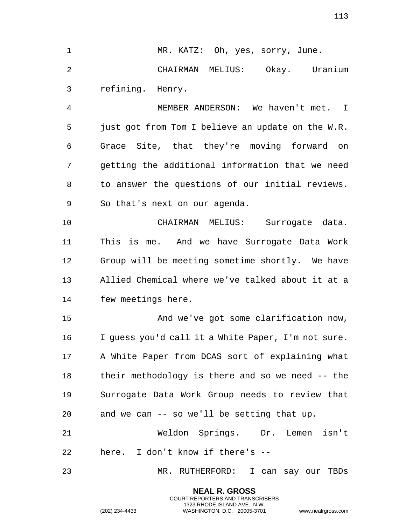**NEAL R. GROSS** 1 MR. KATZ: Oh, yes, sorry, June. CHAIRMAN MELIUS: Okay. Uranium refining. Henry. MEMBER ANDERSON: We haven't met. I just got from Tom I believe an update on the W.R. Grace Site, that they're moving forward on getting the additional information that we need to answer the questions of our initial reviews. So that's next on our agenda. CHAIRMAN MELIUS: Surrogate data. This is me. And we have Surrogate Data Work Group will be meeting sometime shortly. We have Allied Chemical where we've talked about it at a few meetings here. And we've got some clarification now, I guess you'd call it a White Paper, I'm not sure. A White Paper from DCAS sort of explaining what their methodology is there and so we need -- the Surrogate Data Work Group needs to review that and we can -- so we'll be setting that up. Weldon Springs. Dr. Lemen isn't here. I don't know if there's -- MR. RUTHERFORD: I can say our TBDs

> COURT REPORTERS AND TRANSCRIBERS 1323 RHODE ISLAND AVE., N.W.

(202) 234-4433 WASHINGTON, D.C. 20005-3701 www.nealrgross.com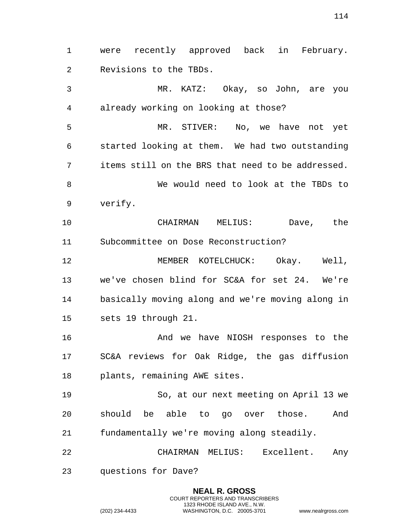were recently approved back in February. Revisions to the TBDs.

 MR. KATZ: Okay, so John, are you already working on looking at those?

 MR. STIVER: No, we have not yet started looking at them. We had two outstanding items still on the BRS that need to be addressed. We would need to look at the TBDs to verify.

 CHAIRMAN MELIUS: Dave, the Subcommittee on Dose Reconstruction?

 MEMBER KOTELCHUCK: Okay. Well, we've chosen blind for SC&A for set 24. We're basically moving along and we're moving along in sets 19 through 21.

 And we have NIOSH responses to the SC&A reviews for Oak Ridge, the gas diffusion plants, remaining AWE sites.

 So, at our next meeting on April 13 we should be able to go over those. And fundamentally we're moving along steadily.

 CHAIRMAN MELIUS: Excellent. Any questions for Dave?

> **NEAL R. GROSS** COURT REPORTERS AND TRANSCRIBERS 1323 RHODE ISLAND AVE., N.W.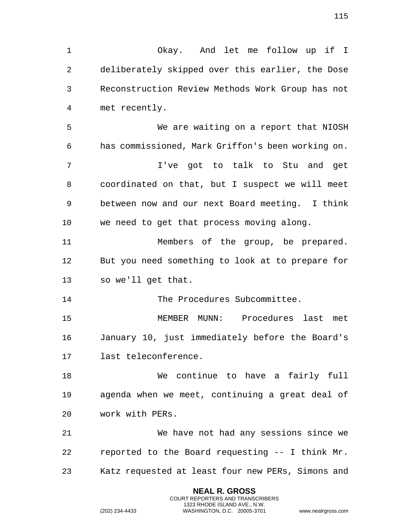Okay. And let me follow up if I deliberately skipped over this earlier, the Dose Reconstruction Review Methods Work Group has not met recently. We are waiting on a report that NIOSH has commissioned, Mark Griffon's been working on. I've got to talk to Stu and get coordinated on that, but I suspect we will meet between now and our next Board meeting. I think we need to get that process moving along. Members of the group, be prepared. But you need something to look at to prepare for so we'll get that. The Procedures Subcommittee. MEMBER MUNN: Procedures last met January 10, just immediately before the Board's last teleconference. We continue to have a fairly full agenda when we meet, continuing a great deal of work with PERs. We have not had any sessions since we reported to the Board requesting -- I think Mr. Katz requested at least four new PERs, Simons and

> **NEAL R. GROSS** COURT REPORTERS AND TRANSCRIBERS 1323 RHODE ISLAND AVE., N.W.

(202) 234-4433 WASHINGTON, D.C. 20005-3701 www.nealrgross.com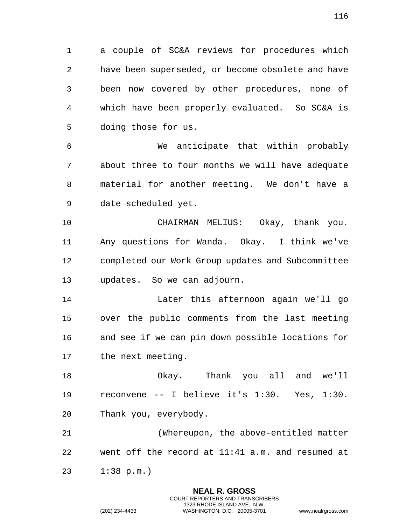a couple of SC&A reviews for procedures which have been superseded, or become obsolete and have been now covered by other procedures, none of which have been properly evaluated. So SC&A is doing those for us.

 We anticipate that within probably about three to four months we will have adequate material for another meeting. We don't have a date scheduled yet.

 CHAIRMAN MELIUS: Okay, thank you. Any questions for Wanda. Okay. I think we've completed our Work Group updates and Subcommittee updates. So we can adjourn.

 Later this afternoon again we'll go over the public comments from the last meeting and see if we can pin down possible locations for the next meeting.

 Okay. Thank you all and we'll reconvene -- I believe it's 1:30. Yes, 1:30. Thank you, everybody.

 (Whereupon, the above-entitled matter went off the record at 11:41 a.m. and resumed at

> **NEAL R. GROSS** COURT REPORTERS AND TRANSCRIBERS 1323 RHODE ISLAND AVE., N.W.

1:38 p.m.)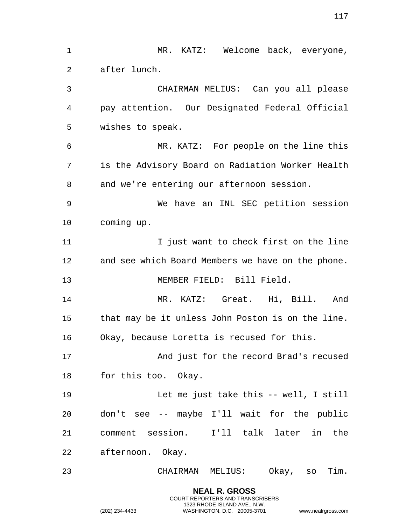**NEAL R. GROSS** 1 MR. KATZ: Welcome back, everyone, after lunch. CHAIRMAN MELIUS: Can you all please pay attention. Our Designated Federal Official wishes to speak. MR. KATZ: For people on the line this is the Advisory Board on Radiation Worker Health and we're entering our afternoon session. We have an INL SEC petition session coming up. I just want to check first on the line and see which Board Members we have on the phone. MEMBER FIELD: Bill Field. MR. KATZ: Great. Hi, Bill. And that may be it unless John Poston is on the line. Okay, because Loretta is recused for this. And just for the record Brad's recused for this too. Okay. Let me just take this -- well, I still don't see -- maybe I'll wait for the public comment session. I'll talk later in the afternoon. Okay. CHAIRMAN MELIUS: Okay, so Tim.

> COURT REPORTERS AND TRANSCRIBERS 1323 RHODE ISLAND AVE., N.W.

(202) 234-4433 WASHINGTON, D.C. 20005-3701 www.nealrgross.com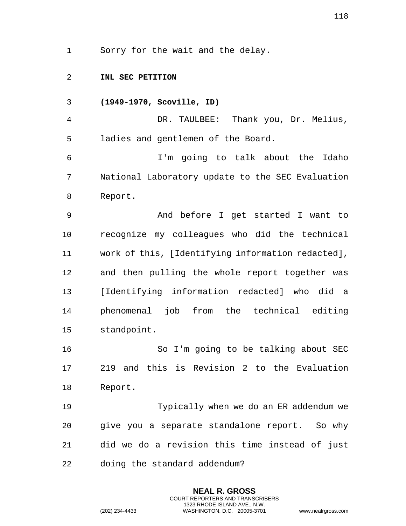Sorry for the wait and the delay.

**INL SEC PETITION**

**(1949-1970, Scoville, ID)**

 DR. TAULBEE: Thank you, Dr. Melius, ladies and gentlemen of the Board.

 I'm going to talk about the Idaho National Laboratory update to the SEC Evaluation Report.

 And before I get started I want to recognize my colleagues who did the technical work of this, [Identifying information redacted], and then pulling the whole report together was [Identifying information redacted] who did a phenomenal job from the technical editing standpoint.

 So I'm going to be talking about SEC 219 and this is Revision 2 to the Evaluation Report.

 Typically when we do an ER addendum we give you a separate standalone report. So why did we do a revision this time instead of just doing the standard addendum?

> **NEAL R. GROSS** COURT REPORTERS AND TRANSCRIBERS 1323 RHODE ISLAND AVE., N.W.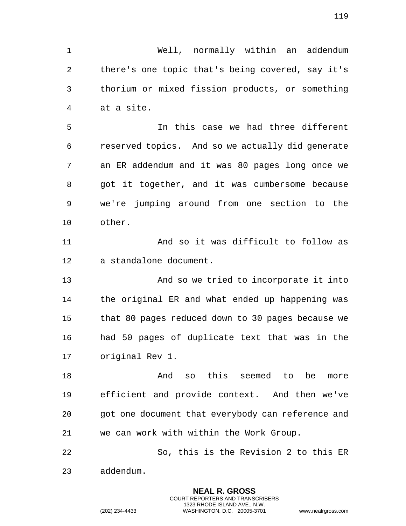Well, normally within an addendum there's one topic that's being covered, say it's thorium or mixed fission products, or something at a site.

 In this case we had three different reserved topics. And so we actually did generate an ER addendum and it was 80 pages long once we got it together, and it was cumbersome because we're jumping around from one section to the other.

 And so it was difficult to follow as a standalone document.

 And so we tried to incorporate it into the original ER and what ended up happening was that 80 pages reduced down to 30 pages because we had 50 pages of duplicate text that was in the original Rev 1.

 And so this seemed to be more efficient and provide context. And then we've got one document that everybody can reference and we can work with within the Work Group.

 So, this is the Revision 2 to this ER addendum.

> **NEAL R. GROSS** COURT REPORTERS AND TRANSCRIBERS 1323 RHODE ISLAND AVE., N.W.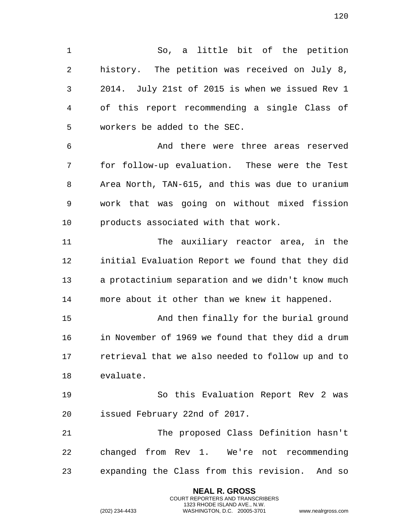So, a little bit of the petition history. The petition was received on July 8, 2014. July 21st of 2015 is when we issued Rev 1 of this report recommending a single Class of workers be added to the SEC.

 And there were three areas reserved for follow-up evaluation. These were the Test Area North, TAN-615, and this was due to uranium work that was going on without mixed fission products associated with that work.

 The auxiliary reactor area, in the initial Evaluation Report we found that they did a protactinium separation and we didn't know much more about it other than we knew it happened.

 And then finally for the burial ground in November of 1969 we found that they did a drum retrieval that we also needed to follow up and to evaluate.

 So this Evaluation Report Rev 2 was issued February 22nd of 2017.

 The proposed Class Definition hasn't changed from Rev 1. We're not recommending expanding the Class from this revision. And so

> **NEAL R. GROSS** COURT REPORTERS AND TRANSCRIBERS 1323 RHODE ISLAND AVE., N.W.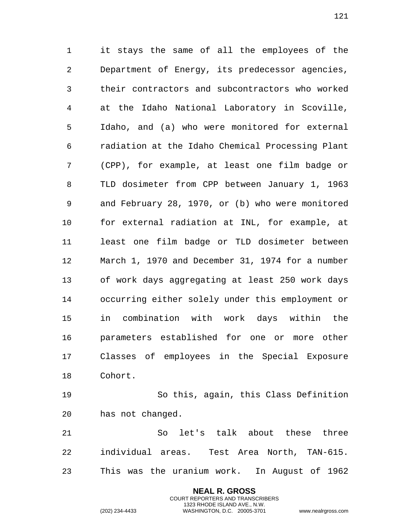it stays the same of all the employees of the Department of Energy, its predecessor agencies, their contractors and subcontractors who worked at the Idaho National Laboratory in Scoville, Idaho, and (a) who were monitored for external radiation at the Idaho Chemical Processing Plant (CPP), for example, at least one film badge or TLD dosimeter from CPP between January 1, 1963 and February 28, 1970, or (b) who were monitored for external radiation at INL, for example, at least one film badge or TLD dosimeter between March 1, 1970 and December 31, 1974 for a number of work days aggregating at least 250 work days occurring either solely under this employment or in combination with work days within the parameters established for one or more other Classes of employees in the Special Exposure Cohort.

 So this, again, this Class Definition has not changed.

 So let's talk about these three individual areas. Test Area North, TAN-615. This was the uranium work. In August of 1962

> **NEAL R. GROSS** COURT REPORTERS AND TRANSCRIBERS 1323 RHODE ISLAND AVE., N.W.

(202) 234-4433 WASHINGTON, D.C. 20005-3701 www.nealrgross.com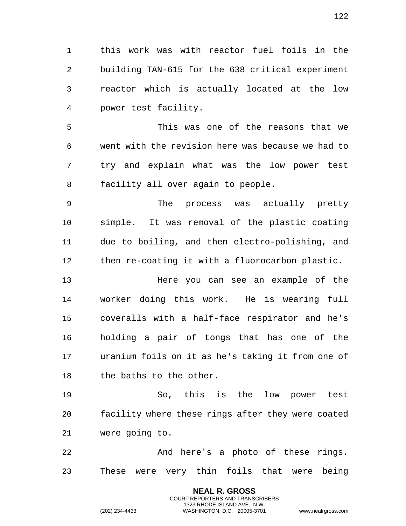this work was with reactor fuel foils in the building TAN-615 for the 638 critical experiment reactor which is actually located at the low power test facility.

 This was one of the reasons that we went with the revision here was because we had to try and explain what was the low power test facility all over again to people.

 The process was actually pretty simple. It was removal of the plastic coating due to boiling, and then electro-polishing, and then re-coating it with a fluorocarbon plastic.

 Here you can see an example of the worker doing this work. He is wearing full coveralls with a half-face respirator and he's holding a pair of tongs that has one of the uranium foils on it as he's taking it from one of 18 the baths to the other.

 So, this is the low power test facility where these rings after they were coated were going to.

22 And here's a photo of these rings. These were very thin foils that were being

> **NEAL R. GROSS** COURT REPORTERS AND TRANSCRIBERS 1323 RHODE ISLAND AVE., N.W.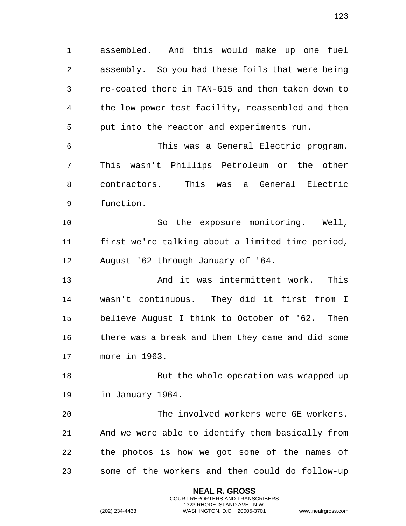assembled. And this would make up one fuel assembly. So you had these foils that were being re-coated there in TAN-615 and then taken down to the low power test facility, reassembled and then put into the reactor and experiments run.

 This was a General Electric program. This wasn't Phillips Petroleum or the other contractors. This was a General Electric function.

 So the exposure monitoring. Well, first we're talking about a limited time period, August '62 through January of '64.

 And it was intermittent work. This wasn't continuous. They did it first from I believe August I think to October of '62. Then there was a break and then they came and did some more in 1963.

18 But the whole operation was wrapped up in January 1964.

 The involved workers were GE workers. And we were able to identify them basically from the photos is how we got some of the names of some of the workers and then could do follow-up

> **NEAL R. GROSS** COURT REPORTERS AND TRANSCRIBERS 1323 RHODE ISLAND AVE., N.W.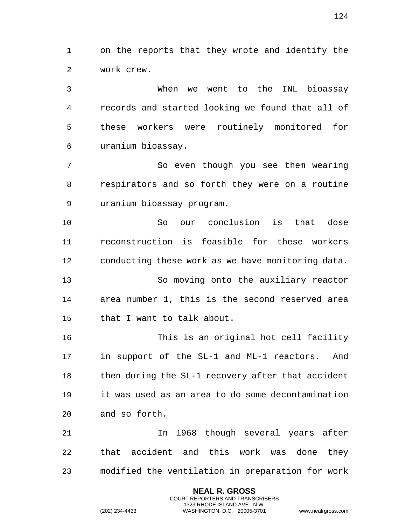on the reports that they wrote and identify the work crew.

 When we went to the INL bioassay records and started looking we found that all of these workers were routinely monitored for uranium bioassay.

 So even though you see them wearing respirators and so forth they were on a routine uranium bioassay program.

 So our conclusion is that dose reconstruction is feasible for these workers conducting these work as we have monitoring data. So moving onto the auxiliary reactor area number 1, this is the second reserved area that I want to talk about.

 This is an original hot cell facility in support of the SL-1 and ML-1 reactors. And 18 then during the SL-1 recovery after that accident it was used as an area to do some decontamination and so forth.

 In 1968 though several years after that accident and this work was done they modified the ventilation in preparation for work

> **NEAL R. GROSS** COURT REPORTERS AND TRANSCRIBERS 1323 RHODE ISLAND AVE., N.W.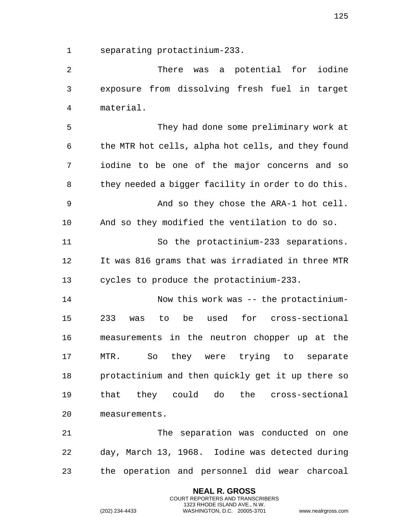separating protactinium-233.

 There was a potential for iodine exposure from dissolving fresh fuel in target material.

 They had done some preliminary work at the MTR hot cells, alpha hot cells, and they found iodine to be one of the major concerns and so they needed a bigger facility in order to do this. And so they chose the ARA-1 hot cell. And so they modified the ventilation to do so. So the protactinium-233 separations. It was 816 grams that was irradiated in three MTR cycles to produce the protactinium-233.

 Now this work was -- the protactinium- 233 was to be used for cross-sectional measurements in the neutron chopper up at the MTR. So they were trying to separate protactinium and then quickly get it up there so that they could do the cross-sectional measurements.

 The separation was conducted on one day, March 13, 1968. Iodine was detected during the operation and personnel did wear charcoal

> **NEAL R. GROSS** COURT REPORTERS AND TRANSCRIBERS 1323 RHODE ISLAND AVE., N.W.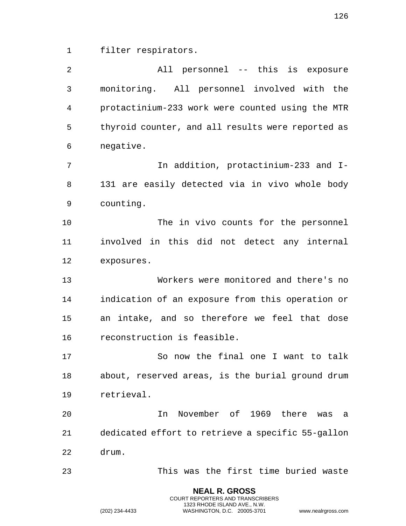filter respirators.

| $\overline{2}$ | All personnel -- this is exposure                 |
|----------------|---------------------------------------------------|
| 3              | monitoring. All personnel involved with the       |
| 4              | protactinium-233 work were counted using the MTR  |
| 5              | thyroid counter, and all results were reported as |
| 6              | negative.                                         |
| 7              | In addition, protactinium-233 and I-              |
| 8              | 131 are easily detected via in vivo whole body    |
| 9              | counting.                                         |
| 10             | The in vivo counts for the personnel              |
| 11             | involved in this did not detect any internal      |
| 12             | exposures.                                        |
| 13             | Workers were monitored and there's no             |
| 14             | indication of an exposure from this operation or  |
| 15             | an intake, and so therefore we feel that dose     |
| 16             | reconstruction is feasible.                       |
| 17             | So now the final one I want to talk               |
| 18             | about, reserved areas, is the burial ground drum  |
| 19             | retrieval.                                        |
| 20             | November of 1969 there<br>In<br>was<br>a a        |
| 21             | dedicated effort to retrieve a specific 55-gallon |
| 22             | drum.                                             |
| 23             | This was the first time buried waste              |

**NEAL R. GROSS** COURT REPORTERS AND TRANSCRIBERS 1323 RHODE ISLAND AVE., N.W.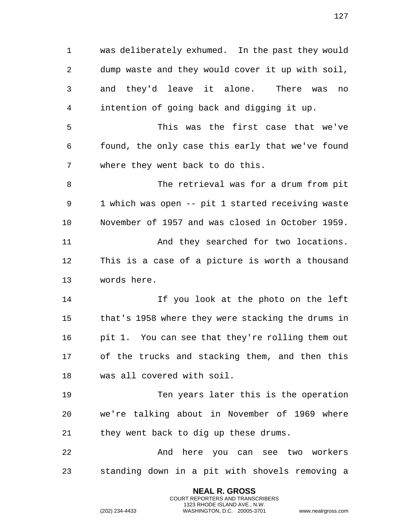was deliberately exhumed. In the past they would dump waste and they would cover it up with soil, and they'd leave it alone. There was no intention of going back and digging it up. This was the first case that we've found, the only case this early that we've found where they went back to do this. The retrieval was for a drum from pit 1 which was open -- pit 1 started receiving waste November of 1957 and was closed in October 1959. And they searched for two locations. This is a case of a picture is worth a thousand words here. If you look at the photo on the left that's 1958 where they were stacking the drums in pit 1. You can see that they're rolling them out of the trucks and stacking them, and then this was all covered with soil. Ten years later this is the operation we're talking about in November of 1969 where they went back to dig up these drums. And here you can see two workers standing down in a pit with shovels removing a

> **NEAL R. GROSS** COURT REPORTERS AND TRANSCRIBERS 1323 RHODE ISLAND AVE., N.W.

(202) 234-4433 WASHINGTON, D.C. 20005-3701 www.nealrgross.com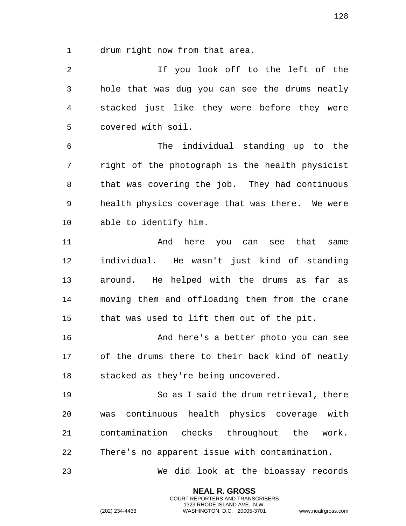drum right now from that area.

 If you look off to the left of the hole that was dug you can see the drums neatly stacked just like they were before they were covered with soil.

 The individual standing up to the right of the photograph is the health physicist that was covering the job. They had continuous health physics coverage that was there. We were able to identify him.

 And here you can see that same individual. He wasn't just kind of standing around. He helped with the drums as far as moving them and offloading them from the crane that was used to lift them out of the pit.

 And here's a better photo you can see of the drums there to their back kind of neatly stacked as they're being uncovered.

 So as I said the drum retrieval, there was continuous health physics coverage with contamination checks throughout the work. There's no apparent issue with contamination.

We did look at the bioassay records

**NEAL R. GROSS** COURT REPORTERS AND TRANSCRIBERS 1323 RHODE ISLAND AVE., N.W.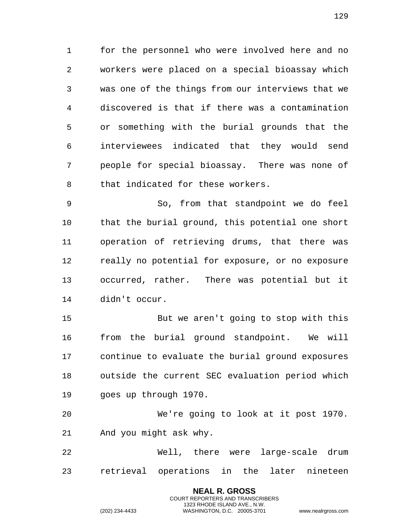for the personnel who were involved here and no workers were placed on a special bioassay which was one of the things from our interviews that we discovered is that if there was a contamination or something with the burial grounds that the interviewees indicated that they would send people for special bioassay. There was none of that indicated for these workers.

 So, from that standpoint we do feel that the burial ground, this potential one short operation of retrieving drums, that there was really no potential for exposure, or no exposure occurred, rather. There was potential but it didn't occur.

 But we aren't going to stop with this from the burial ground standpoint. We will continue to evaluate the burial ground exposures outside the current SEC evaluation period which goes up through 1970.

 We're going to look at it post 1970. And you might ask why.

 Well, there were large-scale drum retrieval operations in the later nineteen

> **NEAL R. GROSS** COURT REPORTERS AND TRANSCRIBERS 1323 RHODE ISLAND AVE., N.W.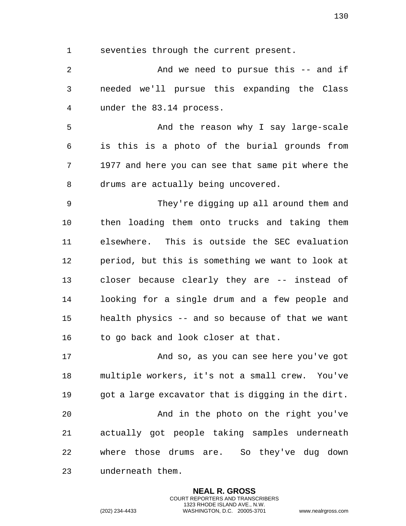seventies through the current present.

 And we need to pursue this -- and if needed we'll pursue this expanding the Class under the 83.14 process.

 And the reason why I say large-scale is this is a photo of the burial grounds from 1977 and here you can see that same pit where the drums are actually being uncovered.

 They're digging up all around them and then loading them onto trucks and taking them elsewhere. This is outside the SEC evaluation period, but this is something we want to look at closer because clearly they are -- instead of looking for a single drum and a few people and health physics -- and so because of that we want to go back and look closer at that.

 And so, as you can see here you've got multiple workers, it's not a small crew. You've got a large excavator that is digging in the dirt. And in the photo on the right you've actually got people taking samples underneath where those drums are. So they've dug down underneath them.

> **NEAL R. GROSS** COURT REPORTERS AND TRANSCRIBERS 1323 RHODE ISLAND AVE., N.W.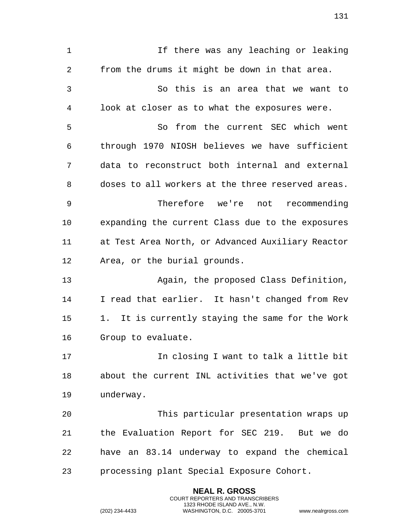If there was any leaching or leaking from the drums it might be down in that area. So this is an area that we want to look at closer as to what the exposures were. So from the current SEC which went through 1970 NIOSH believes we have sufficient data to reconstruct both internal and external doses to all workers at the three reserved areas. Therefore we're not recommending expanding the current Class due to the exposures at Test Area North, or Advanced Auxiliary Reactor Area, or the burial grounds. Again, the proposed Class Definition, I read that earlier. It hasn't changed from Rev 1. It is currently staying the same for the Work Group to evaluate. In closing I want to talk a little bit about the current INL activities that we've got underway. This particular presentation wraps up the Evaluation Report for SEC 219. But we do have an 83.14 underway to expand the chemical processing plant Special Exposure Cohort.

> **NEAL R. GROSS** COURT REPORTERS AND TRANSCRIBERS 1323 RHODE ISLAND AVE., N.W.

(202) 234-4433 WASHINGTON, D.C. 20005-3701 www.nealrgross.com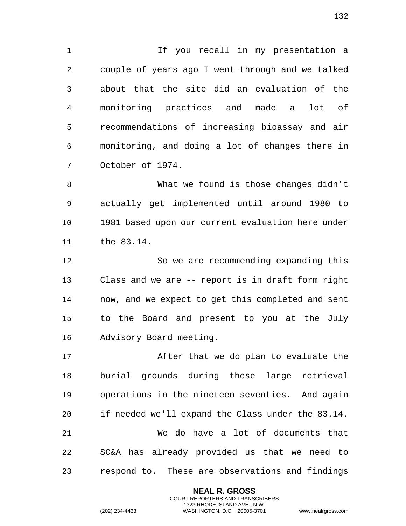1 1 If you recall in my presentation a couple of years ago I went through and we talked about that the site did an evaluation of the monitoring practices and made a lot of recommendations of increasing bioassay and air monitoring, and doing a lot of changes there in October of 1974.

 What we found is those changes didn't actually get implemented until around 1980 to 1981 based upon our current evaluation here under the 83.14.

 So we are recommending expanding this Class and we are -- report is in draft form right now, and we expect to get this completed and sent to the Board and present to you at the July Advisory Board meeting.

 After that we do plan to evaluate the burial grounds during these large retrieval operations in the nineteen seventies. And again if needed we'll expand the Class under the 83.14. We do have a lot of documents that SC&A has already provided us that we need to respond to. These are observations and findings

> **NEAL R. GROSS** COURT REPORTERS AND TRANSCRIBERS 1323 RHODE ISLAND AVE., N.W.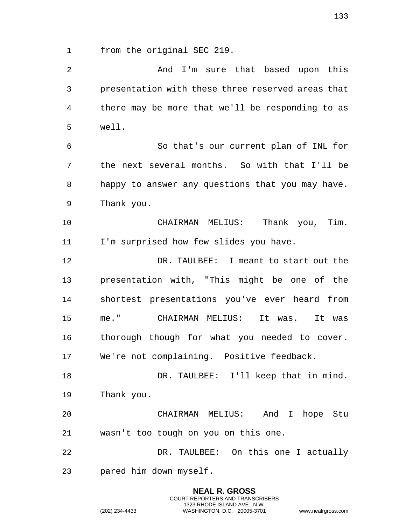from the original SEC 219.

 And I'm sure that based upon this presentation with these three reserved areas that there may be more that we'll be responding to as well. So that's our current plan of INL for the next several months. So with that I'll be happy to answer any questions that you may have. Thank you. CHAIRMAN MELIUS: Thank you, Tim. I'm surprised how few slides you have. DR. TAULBEE: I meant to start out the presentation with, "This might be one of the shortest presentations you've ever heard from me." CHAIRMAN MELIUS: It was. It was thorough though for what you needed to cover. We're not complaining. Positive feedback. 18 DR. TAULBEE: I'll keep that in mind. Thank you. CHAIRMAN MELIUS: And I hope Stu wasn't too tough on you on this one. DR. TAULBEE: On this one I actually pared him down myself.

> **NEAL R. GROSS** COURT REPORTERS AND TRANSCRIBERS 1323 RHODE ISLAND AVE., N.W.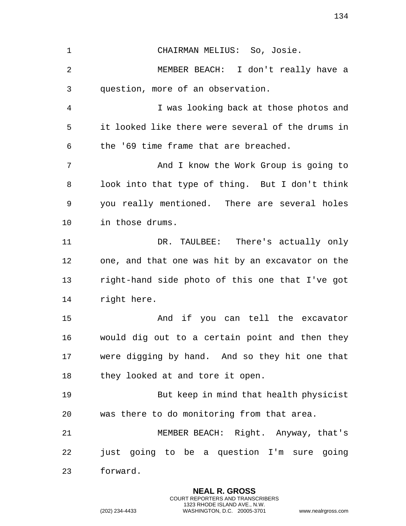CHAIRMAN MELIUS: So, Josie. MEMBER BEACH: I don't really have a question, more of an observation. I was looking back at those photos and it looked like there were several of the drums in the '69 time frame that are breached. And I know the Work Group is going to look into that type of thing. But I don't think you really mentioned. There are several holes in those drums. DR. TAULBEE: There's actually only one, and that one was hit by an excavator on the right-hand side photo of this one that I've got right here. And if you can tell the excavator would dig out to a certain point and then they were digging by hand. And so they hit one that 18 they looked at and tore it open. But keep in mind that health physicist was there to do monitoring from that area. MEMBER BEACH: Right. Anyway, that's just going to be a question I'm sure going forward.

> **NEAL R. GROSS** COURT REPORTERS AND TRANSCRIBERS 1323 RHODE ISLAND AVE., N.W.

(202) 234-4433 WASHINGTON, D.C. 20005-3701 www.nealrgross.com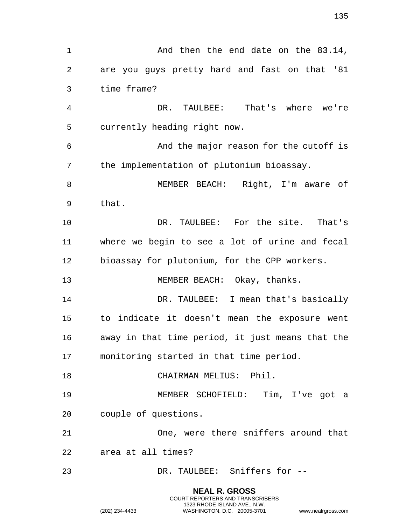1 And then the end date on the 83.14, are you guys pretty hard and fast on that '81 time frame? DR. TAULBEE: That's where we're currently heading right now. And the major reason for the cutoff is the implementation of plutonium bioassay. MEMBER BEACH: Right, I'm aware of that. DR. TAULBEE: For the site. That's where we begin to see a lot of urine and fecal bioassay for plutonium, for the CPP workers. 13 MEMBER BEACH: Okay, thanks. 14 DR. TAULBEE: I mean that's basically to indicate it doesn't mean the exposure went away in that time period, it just means that the monitoring started in that time period. CHAIRMAN MELIUS: Phil. MEMBER SCHOFIELD: Tim, I've got a couple of questions. One, were there sniffers around that area at all times? DR. TAULBEE: Sniffers for --

> **NEAL R. GROSS** COURT REPORTERS AND TRANSCRIBERS 1323 RHODE ISLAND AVE., N.W.

(202) 234-4433 WASHINGTON, D.C. 20005-3701 www.nealrgross.com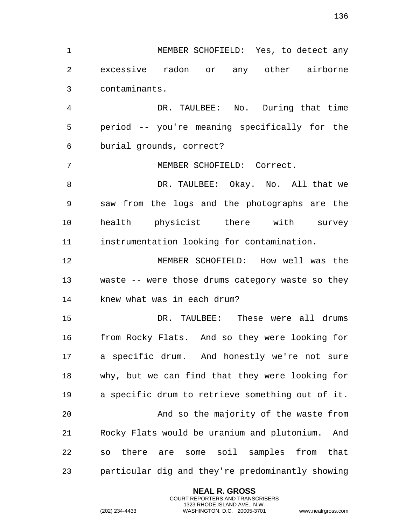MEMBER SCHOFIELD: Yes, to detect any excessive radon or any other airborne contaminants.

 DR. TAULBEE: No. During that time period -- you're meaning specifically for the burial grounds, correct?

MEMBER SCHOFIELD: Correct.

8 DR. TAULBEE: Okay. No. All that we saw from the logs and the photographs are the health physicist there with survey instrumentation looking for contamination.

 MEMBER SCHOFIELD: How well was the waste -- were those drums category waste so they knew what was in each drum?

 DR. TAULBEE: These were all drums from Rocky Flats. And so they were looking for a specific drum. And honestly we're not sure why, but we can find that they were looking for a specific drum to retrieve something out of it. And so the majority of the waste from Rocky Flats would be uranium and plutonium. And so there are some soil samples from that particular dig and they're predominantly showing

> **NEAL R. GROSS** COURT REPORTERS AND TRANSCRIBERS 1323 RHODE ISLAND AVE., N.W.

(202) 234-4433 WASHINGTON, D.C. 20005-3701 www.nealrgross.com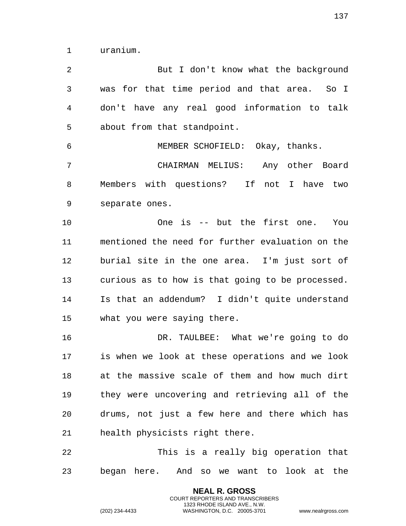uranium.

2 But I don't know what the background was for that time period and that area. So I don't have any real good information to talk about from that standpoint. MEMBER SCHOFIELD: Okay, thanks. CHAIRMAN MELIUS: Any other Board Members with questions? If not I have two separate ones. One is -- but the first one. You mentioned the need for further evaluation on the burial site in the one area. I'm just sort of curious as to how is that going to be processed. Is that an addendum? I didn't quite understand what you were saying there. DR. TAULBEE: What we're going to do is when we look at these operations and we look at the massive scale of them and how much dirt they were uncovering and retrieving all of the drums, not just a few here and there which has health physicists right there. This is a really big operation that began here. And so we want to look at the

> **NEAL R. GROSS** COURT REPORTERS AND TRANSCRIBERS 1323 RHODE ISLAND AVE., N.W.

(202) 234-4433 WASHINGTON, D.C. 20005-3701 www.nealrgross.com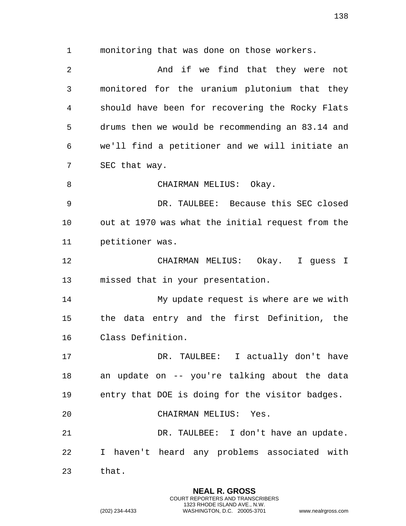monitoring that was done on those workers. And if we find that they were not monitored for the uranium plutonium that they should have been for recovering the Rocky Flats drums then we would be recommending an 83.14 and we'll find a petitioner and we will initiate an SEC that way. 8 CHAIRMAN MELIUS: Okay. DR. TAULBEE: Because this SEC closed out at 1970 was what the initial request from the petitioner was. CHAIRMAN MELIUS: Okay. I guess I missed that in your presentation. My update request is where are we with the data entry and the first Definition, the Class Definition. DR. TAULBEE: I actually don't have an update on -- you're talking about the data entry that DOE is doing for the visitor badges. CHAIRMAN MELIUS: Yes. DR. TAULBEE: I don't have an update. I haven't heard any problems associated with that.

> **NEAL R. GROSS** COURT REPORTERS AND TRANSCRIBERS 1323 RHODE ISLAND AVE., N.W.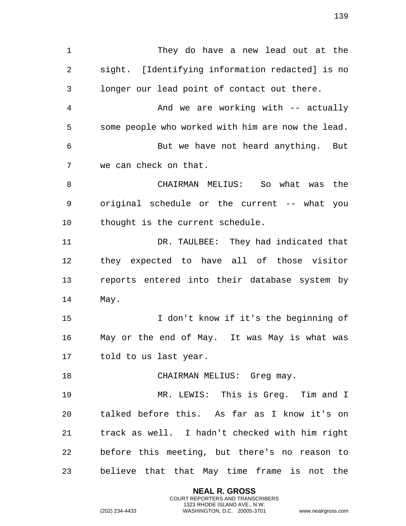They do have a new lead out at the sight. [Identifying information redacted] is no longer our lead point of contact out there. And we are working with -- actually some people who worked with him are now the lead. But we have not heard anything. But we can check on that. CHAIRMAN MELIUS: So what was the original schedule or the current -- what you thought is the current schedule. DR. TAULBEE: They had indicated that they expected to have all of those visitor reports entered into their database system by May. I don't know if it's the beginning of May or the end of May. It was May is what was told to us last year. 18 CHAIRMAN MELIUS: Greg may. MR. LEWIS: This is Greg. Tim and I talked before this. As far as I know it's on track as well. I hadn't checked with him right before this meeting, but there's no reason to believe that that May time frame is not the

> **NEAL R. GROSS** COURT REPORTERS AND TRANSCRIBERS 1323 RHODE ISLAND AVE., N.W.

(202) 234-4433 WASHINGTON, D.C. 20005-3701 www.nealrgross.com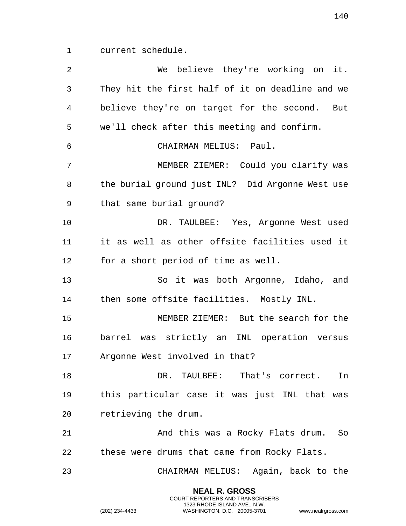current schedule.

 We believe they're working on it. They hit the first half of it on deadline and we believe they're on target for the second. But we'll check after this meeting and confirm. CHAIRMAN MELIUS: Paul. MEMBER ZIEMER: Could you clarify was the burial ground just INL? Did Argonne West use that same burial ground? DR. TAULBEE: Yes, Argonne West used it as well as other offsite facilities used it for a short period of time as well. So it was both Argonne, Idaho, and then some offsite facilities. Mostly INL. MEMBER ZIEMER: But the search for the barrel was strictly an INL operation versus Argonne West involved in that? DR. TAULBEE: That's correct. In this particular case it was just INL that was retrieving the drum. 21 And this was a Rocky Flats drum. So these were drums that came from Rocky Flats. CHAIRMAN MELIUS: Again, back to the

> **NEAL R. GROSS** COURT REPORTERS AND TRANSCRIBERS 1323 RHODE ISLAND AVE., N.W.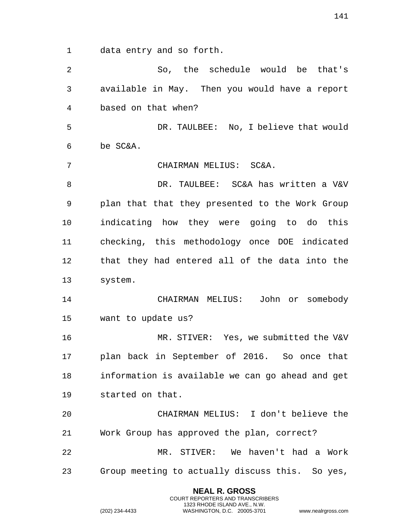data entry and so forth.

 So, the schedule would be that's available in May. Then you would have a report based on that when? DR. TAULBEE: No, I believe that would be SC&A. CHAIRMAN MELIUS: SC&A. DR. TAULBEE: SC&A has written a V&V plan that that they presented to the Work Group indicating how they were going to do this checking, this methodology once DOE indicated that they had entered all of the data into the system. CHAIRMAN MELIUS: John or somebody want to update us? MR. STIVER: Yes, we submitted the V&V plan back in September of 2016. So once that information is available we can go ahead and get started on that. CHAIRMAN MELIUS: I don't believe the Work Group has approved the plan, correct? MR. STIVER: We haven't had a Work Group meeting to actually discuss this. So yes,

> **NEAL R. GROSS** COURT REPORTERS AND TRANSCRIBERS 1323 RHODE ISLAND AVE., N.W.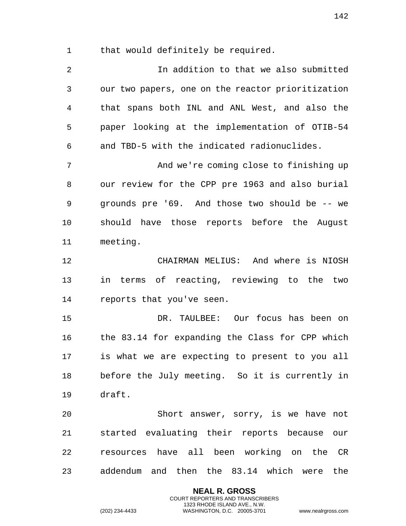that would definitely be required.

 In addition to that we also submitted our two papers, one on the reactor prioritization that spans both INL and ANL West, and also the paper looking at the implementation of OTIB-54 and TBD-5 with the indicated radionuclides. And we're coming close to finishing up our review for the CPP pre 1963 and also burial grounds pre '69. And those two should be -- we should have those reports before the August meeting. CHAIRMAN MELIUS: And where is NIOSH in terms of reacting, reviewing to the two reports that you've seen. DR. TAULBEE: Our focus has been on the 83.14 for expanding the Class for CPP which is what we are expecting to present to you all before the July meeting. So it is currently in draft. Short answer, sorry, is we have not started evaluating their reports because our resources have all been working on the CR addendum and then the 83.14 which were the

> **NEAL R. GROSS** COURT REPORTERS AND TRANSCRIBERS 1323 RHODE ISLAND AVE., N.W.

(202) 234-4433 WASHINGTON, D.C. 20005-3701 www.nealrgross.com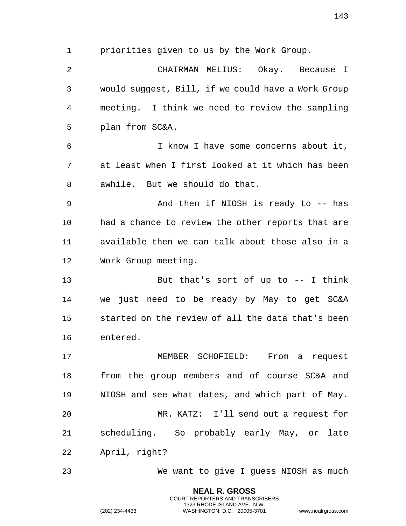priorities given to us by the Work Group.

 CHAIRMAN MELIUS: Okay. Because I would suggest, Bill, if we could have a Work Group meeting. I think we need to review the sampling plan from SC&A.

 I know I have some concerns about it, at least when I first looked at it which has been awhile. But we should do that.

 And then if NIOSH is ready to -- has had a chance to review the other reports that are available then we can talk about those also in a Work Group meeting.

 But that's sort of up to -- I think we just need to be ready by May to get SC&A started on the review of all the data that's been entered.

 MEMBER SCHOFIELD: From a request from the group members and of course SC&A and NIOSH and see what dates, and which part of May. MR. KATZ: I'll send out a request for scheduling. So probably early May, or late April, right?

We want to give I guess NIOSH as much

**NEAL R. GROSS** COURT REPORTERS AND TRANSCRIBERS 1323 RHODE ISLAND AVE., N.W.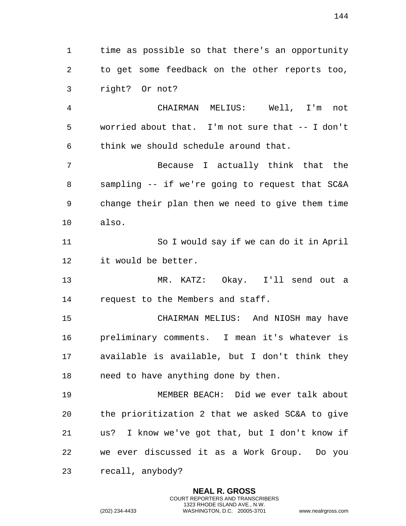time as possible so that there's an opportunity to get some feedback on the other reports too, right? Or not?

 CHAIRMAN MELIUS: Well, I'm not worried about that. I'm not sure that -- I don't think we should schedule around that.

 Because I actually think that the sampling -- if we're going to request that SC&A change their plan then we need to give them time also.

 So I would say if we can do it in April it would be better.

 MR. KATZ: Okay. I'll send out a request to the Members and staff.

 CHAIRMAN MELIUS: And NIOSH may have preliminary comments. I mean it's whatever is available is available, but I don't think they need to have anything done by then.

 MEMBER BEACH: Did we ever talk about the prioritization 2 that we asked SC&A to give us? I know we've got that, but I don't know if we ever discussed it as a Work Group. Do you recall, anybody?

> **NEAL R. GROSS** COURT REPORTERS AND TRANSCRIBERS 1323 RHODE ISLAND AVE., N.W.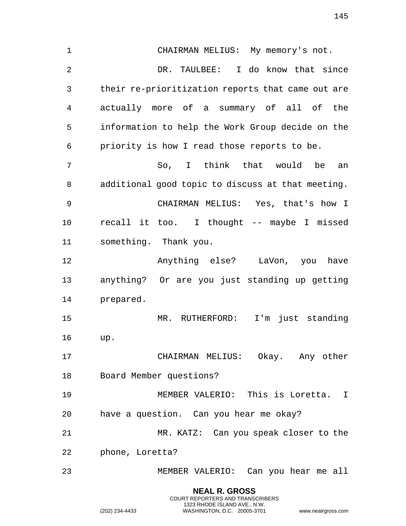**NEAL R. GROSS** COURT REPORTERS AND TRANSCRIBERS CHAIRMAN MELIUS: My memory's not. DR. TAULBEE: I do know that since their re-prioritization reports that came out are actually more of a summary of all of the information to help the Work Group decide on the priority is how I read those reports to be. So, I think that would be an additional good topic to discuss at that meeting. CHAIRMAN MELIUS: Yes, that's how I recall it too. I thought -- maybe I missed something. Thank you. Anything else? LaVon, you have anything? Or are you just standing up getting prepared. MR. RUTHERFORD: I'm just standing up. CHAIRMAN MELIUS: Okay. Any other Board Member questions? MEMBER VALERIO: This is Loretta. I have a question. Can you hear me okay? MR. KATZ: Can you speak closer to the phone, Loretta? MEMBER VALERIO: Can you hear me all

1323 RHODE ISLAND AVE., N.W.

(202) 234-4433 WASHINGTON, D.C. 20005-3701 www.nealrgross.com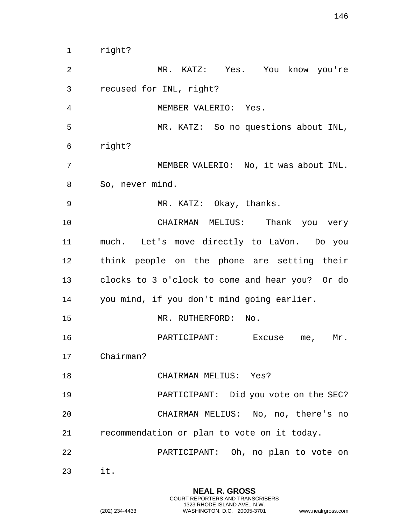right? MR. KATZ: Yes. You know you're recused for INL, right? MEMBER VALERIO: Yes. MR. KATZ: So no questions about INL, right? MEMBER VALERIO: No, it was about INL. So, never mind. MR. KATZ: Okay, thanks. CHAIRMAN MELIUS: Thank you very much. Let's move directly to LaVon. Do you think people on the phone are setting their clocks to 3 o'clock to come and hear you? Or do you mind, if you don't mind going earlier. MR. RUTHERFORD: No. PARTICIPANT: Excuse me, Mr. Chairman? CHAIRMAN MELIUS: Yes? PARTICIPANT: Did you vote on the SEC? CHAIRMAN MELIUS: No, no, there's no recommendation or plan to vote on it today. PARTICIPANT: Oh, no plan to vote on it.

> **NEAL R. GROSS** COURT REPORTERS AND TRANSCRIBERS 1323 RHODE ISLAND AVE., N.W.

(202) 234-4433 WASHINGTON, D.C. 20005-3701 www.nealrgross.com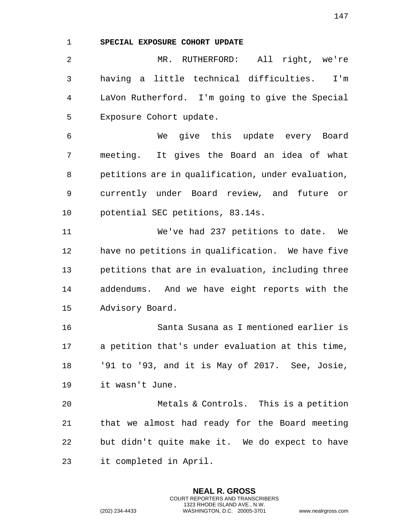## **SPECIAL EXPOSURE COHORT UPDATE**

 MR. RUTHERFORD: All right, we're having a little technical difficulties. I'm LaVon Rutherford. I'm going to give the Special Exposure Cohort update.

 We give this update every Board meeting. It gives the Board an idea of what petitions are in qualification, under evaluation, currently under Board review, and future or potential SEC petitions, 83.14s.

 We've had 237 petitions to date. We have no petitions in qualification. We have five petitions that are in evaluation, including three addendums. And we have eight reports with the Advisory Board.

 Santa Susana as I mentioned earlier is a petition that's under evaluation at this time, '91 to '93, and it is May of 2017. See, Josie, it wasn't June.

 Metals & Controls. This is a petition that we almost had ready for the Board meeting but didn't quite make it. We do expect to have it completed in April.

> **NEAL R. GROSS** COURT REPORTERS AND TRANSCRIBERS 1323 RHODE ISLAND AVE., N.W.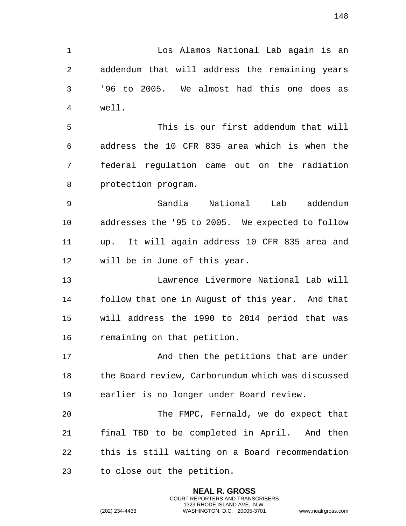Los Alamos National Lab again is an addendum that will address the remaining years '96 to 2005. We almost had this one does as well. This is our first addendum that will

 address the 10 CFR 835 area which is when the federal regulation came out on the radiation protection program.

 Sandia National Lab addendum addresses the '95 to 2005. We expected to follow up. It will again address 10 CFR 835 area and will be in June of this year.

 Lawrence Livermore National Lab will follow that one in August of this year. And that will address the 1990 to 2014 period that was remaining on that petition.

17 And then the petitions that are under the Board review, Carborundum which was discussed earlier is no longer under Board review.

 The FMPC, Fernald, we do expect that final TBD to be completed in April. And then this is still waiting on a Board recommendation to close out the petition.

> **NEAL R. GROSS** COURT REPORTERS AND TRANSCRIBERS 1323 RHODE ISLAND AVE., N.W.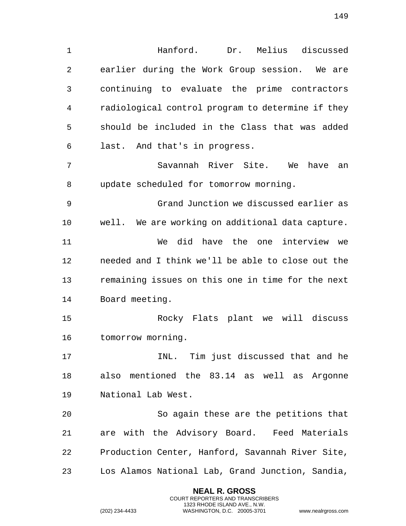Hanford. Dr. Melius discussed earlier during the Work Group session. We are continuing to evaluate the prime contractors radiological control program to determine if they should be included in the Class that was added last. And that's in progress. Savannah River Site. We have an update scheduled for tomorrow morning. Grand Junction we discussed earlier as well. We are working on additional data capture.

 We did have the one interview we needed and I think we'll be able to close out the remaining issues on this one in time for the next Board meeting.

 Rocky Flats plant we will discuss tomorrow morning.

 INL. Tim just discussed that and he also mentioned the 83.14 as well as Argonne National Lab West.

 So again these are the petitions that are with the Advisory Board. Feed Materials Production Center, Hanford, Savannah River Site, Los Alamos National Lab, Grand Junction, Sandia,

> **NEAL R. GROSS** COURT REPORTERS AND TRANSCRIBERS 1323 RHODE ISLAND AVE., N.W.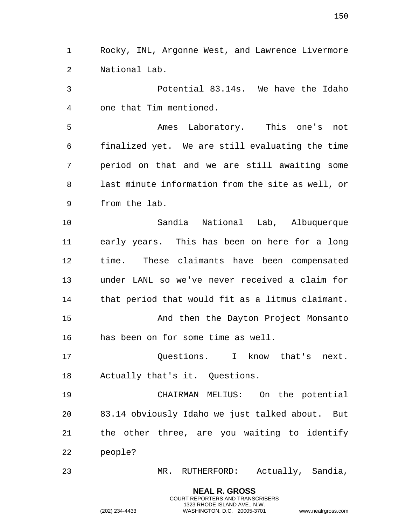Rocky, INL, Argonne West, and Lawrence Livermore National Lab.

 Potential 83.14s. We have the Idaho one that Tim mentioned.

 Ames Laboratory. This one's not finalized yet. We are still evaluating the time period on that and we are still awaiting some last minute information from the site as well, or from the lab.

 Sandia National Lab, Albuquerque early years. This has been on here for a long time. These claimants have been compensated under LANL so we've never received a claim for that period that would fit as a litmus claimant. And then the Dayton Project Monsanto has been on for some time as well.

17 Cuestions. I know that's next. Actually that's it. Questions.

 CHAIRMAN MELIUS: On the potential 83.14 obviously Idaho we just talked about. But the other three, are you waiting to identify people?

MR. RUTHERFORD: Actually, Sandia,

**NEAL R. GROSS** COURT REPORTERS AND TRANSCRIBERS 1323 RHODE ISLAND AVE., N.W.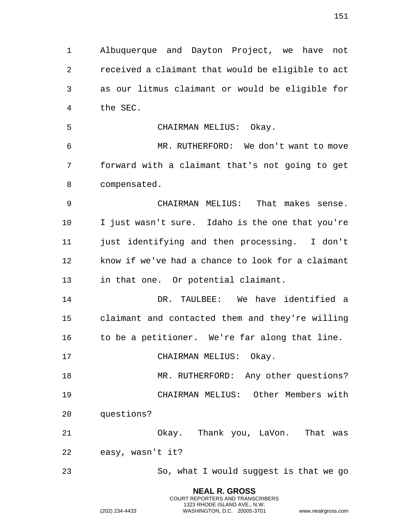Albuquerque and Dayton Project, we have not received a claimant that would be eligible to act as our litmus claimant or would be eligible for the SEC.

 CHAIRMAN MELIUS: Okay. MR. RUTHERFORD: We don't want to move forward with a claimant that's not going to get compensated.

 CHAIRMAN MELIUS: That makes sense. I just wasn't sure. Idaho is the one that you're just identifying and then processing. I don't know if we've had a chance to look for a claimant in that one. Or potential claimant.

 DR. TAULBEE: We have identified a claimant and contacted them and they're willing 16 to be a petitioner. We're far along that line.

17 CHAIRMAN MELIUS: Okay.

18 MR. RUTHERFORD: Any other questions? CHAIRMAN MELIUS: Other Members with questions?

 Okay. Thank you, LaVon. That was easy, wasn't it?

So, what I would suggest is that we go

**NEAL R. GROSS** COURT REPORTERS AND TRANSCRIBERS 1323 RHODE ISLAND AVE., N.W.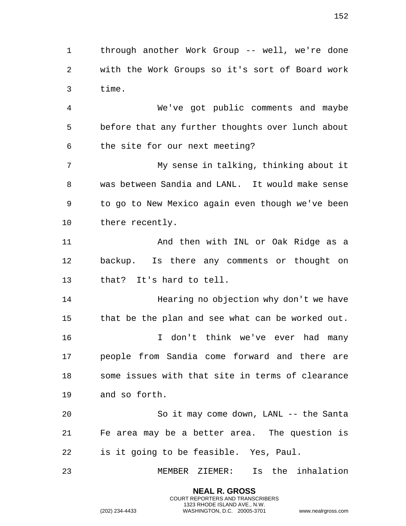through another Work Group -- well, we're done with the Work Groups so it's sort of Board work time.

 We've got public comments and maybe before that any further thoughts over lunch about the site for our next meeting?

 My sense in talking, thinking about it was between Sandia and LANL. It would make sense to go to New Mexico again even though we've been there recently.

 And then with INL or Oak Ridge as a backup. Is there any comments or thought on that? It's hard to tell.

 Hearing no objection why don't we have that be the plan and see what can be worked out. I don't think we've ever had many people from Sandia come forward and there are some issues with that site in terms of clearance and so forth.

 So it may come down, LANL -- the Santa Fe area may be a better area. The question is is it going to be feasible. Yes, Paul.

MEMBER ZIEMER: Is the inhalation

**NEAL R. GROSS** COURT REPORTERS AND TRANSCRIBERS 1323 RHODE ISLAND AVE., N.W.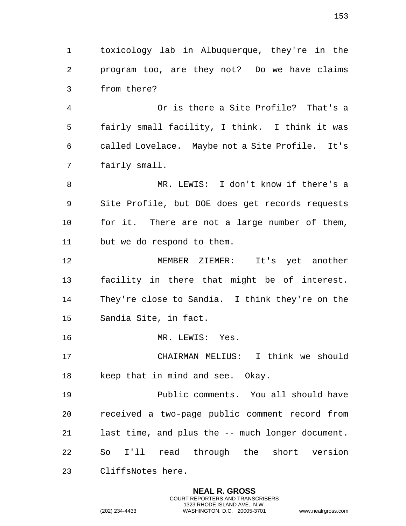toxicology lab in Albuquerque, they're in the program too, are they not? Do we have claims from there?

 Or is there a Site Profile? That's a fairly small facility, I think. I think it was called Lovelace. Maybe not a Site Profile. It's fairly small.

 MR. LEWIS: I don't know if there's a Site Profile, but DOE does get records requests for it. There are not a large number of them, but we do respond to them.

 MEMBER ZIEMER: It's yet another facility in there that might be of interest. They're close to Sandia. I think they're on the Sandia Site, in fact.

MR. LEWIS: Yes.

 CHAIRMAN MELIUS: I think we should keep that in mind and see. Okay.

 Public comments. You all should have received a two-page public comment record from last time, and plus the -- much longer document. So I'll read through the short version

> **NEAL R. GROSS** COURT REPORTERS AND TRANSCRIBERS 1323 RHODE ISLAND AVE., N.W.

CliffsNotes here.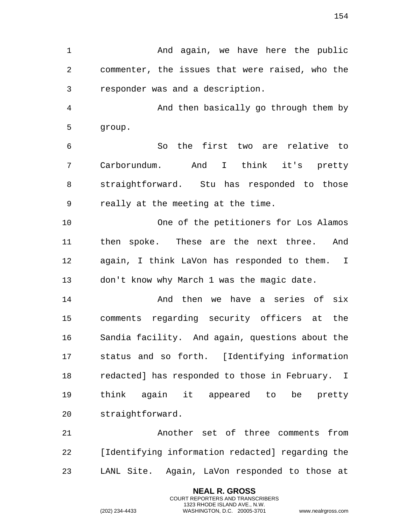1 And again, we have here the public commenter, the issues that were raised, who the responder was and a description.

 And then basically go through them by group.

 So the first two are relative to Carborundum. And I think it's pretty straightforward. Stu has responded to those really at the meeting at the time.

 One of the petitioners for Los Alamos then spoke. These are the next three. And again, I think LaVon has responded to them. I don't know why March 1 was the magic date.

 And then we have a series of six comments regarding security officers at the Sandia facility. And again, questions about the status and so forth. [Identifying information redacted] has responded to those in February. I think again it appeared to be pretty straightforward.

 Another set of three comments from [Identifying information redacted] regarding the LANL Site. Again, LaVon responded to those at

> **NEAL R. GROSS** COURT REPORTERS AND TRANSCRIBERS 1323 RHODE ISLAND AVE., N.W.

(202) 234-4433 WASHINGTON, D.C. 20005-3701 www.nealrgross.com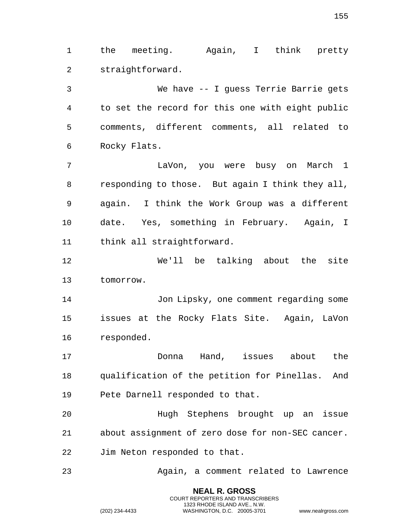the meeting. Again, I think pretty straightforward.

 We have -- I guess Terrie Barrie gets to set the record for this one with eight public comments, different comments, all related to Rocky Flats.

 LaVon, you were busy on March 1 responding to those. But again I think they all, again. I think the Work Group was a different date. Yes, something in February. Again, I think all straightforward.

 We'll be talking about the site tomorrow.

 Jon Lipsky, one comment regarding some issues at the Rocky Flats Site. Again, LaVon responded.

 Donna Hand, issues about the qualification of the petition for Pinellas. And Pete Darnell responded to that.

 Hugh Stephens brought up an issue about assignment of zero dose for non-SEC cancer. Jim Neton responded to that.

Again, a comment related to Lawrence

**NEAL R. GROSS** COURT REPORTERS AND TRANSCRIBERS 1323 RHODE ISLAND AVE., N.W.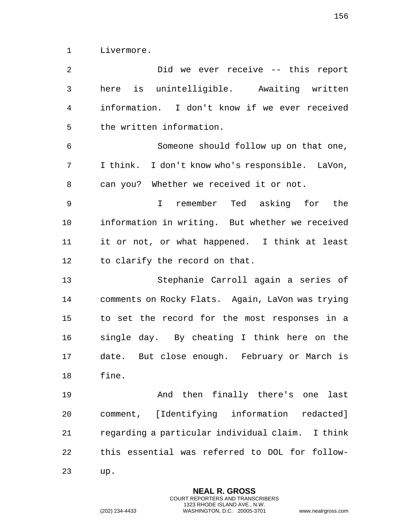Livermore.

 Did we ever receive -- this report here is unintelligible. Awaiting written information. I don't know if we ever received the written information. Someone should follow up on that one, I think. I don't know who's responsible. LaVon, can you? Whether we received it or not. I remember Ted asking for the information in writing. But whether we received it or not, or what happened. I think at least to clarify the record on that. Stephanie Carroll again a series of comments on Rocky Flats. Again, LaVon was trying to set the record for the most responses in a single day. By cheating I think here on the date. But close enough. February or March is fine. And then finally there's one last comment, [Identifying information redacted] regarding a particular individual claim. I think this essential was referred to DOL for follow-up.

**NEAL R. GROSS** COURT REPORTERS AND TRANSCRIBERS

1323 RHODE ISLAND AVE., N.W. (202) 234-4433 WASHINGTON, D.C. 20005-3701 www.nealrgross.com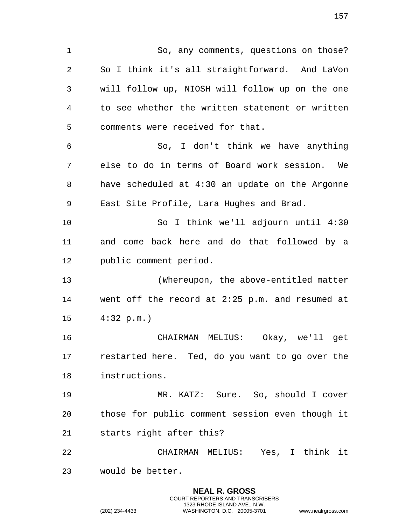So, any comments, questions on those? So I think it's all straightforward. And LaVon will follow up, NIOSH will follow up on the one to see whether the written statement or written comments were received for that. So, I don't think we have anything else to do in terms of Board work session. We have scheduled at 4:30 an update on the Argonne East Site Profile, Lara Hughes and Brad. So I think we'll adjourn until 4:30 and come back here and do that followed by a public comment period. (Whereupon, the above-entitled matter went off the record at 2:25 p.m. and resumed at 4:32 p.m.) CHAIRMAN MELIUS: Okay, we'll get restarted here. Ted, do you want to go over the instructions. MR. KATZ: Sure. So, should I cover those for public comment session even though it starts right after this? CHAIRMAN MELIUS: Yes, I think it would be better.

> **NEAL R. GROSS** COURT REPORTERS AND TRANSCRIBERS 1323 RHODE ISLAND AVE., N.W.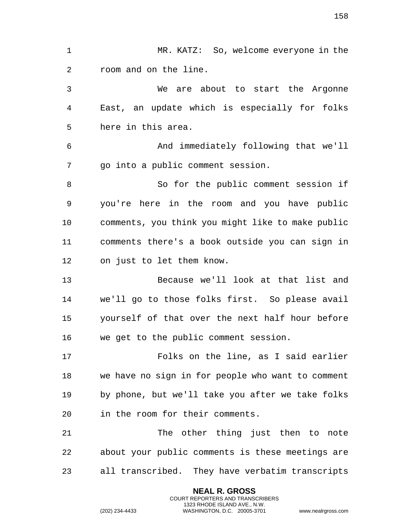MR. KATZ: So, welcome everyone in the room and on the line. We are about to start the Argonne East, an update which is especially for folks here in this area. And immediately following that we'll go into a public comment session. So for the public comment session if you're here in the room and you have public comments, you think you might like to make public comments there's a book outside you can sign in on just to let them know. Because we'll look at that list and we'll go to those folks first. So please avail yourself of that over the next half hour before we get to the public comment session. Folks on the line, as I said earlier we have no sign in for people who want to comment by phone, but we'll take you after we take folks in the room for their comments. The other thing just then to note about your public comments is these meetings are all transcribed. They have verbatim transcripts

> **NEAL R. GROSS** COURT REPORTERS AND TRANSCRIBERS 1323 RHODE ISLAND AVE., N.W.

(202) 234-4433 WASHINGTON, D.C. 20005-3701 www.nealrgross.com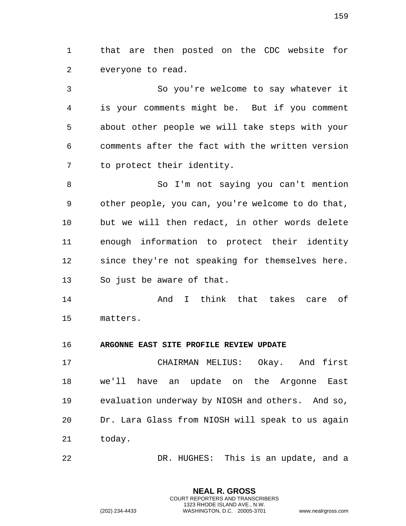that are then posted on the CDC website for everyone to read.

 So you're welcome to say whatever it is your comments might be. But if you comment about other people we will take steps with your comments after the fact with the written version to protect their identity.

 So I'm not saying you can't mention other people, you can, you're welcome to do that, but we will then redact, in other words delete enough information to protect their identity since they're not speaking for themselves here. So just be aware of that.

 And I think that takes care of matters.

## **ARGONNE EAST SITE PROFILE REVIEW UPDATE**

 CHAIRMAN MELIUS: Okay. And first we'll have an update on the Argonne East evaluation underway by NIOSH and others. And so, Dr. Lara Glass from NIOSH will speak to us again today.

DR. HUGHES: This is an update, and a

**NEAL R. GROSS** COURT REPORTERS AND TRANSCRIBERS 1323 RHODE ISLAND AVE., N.W.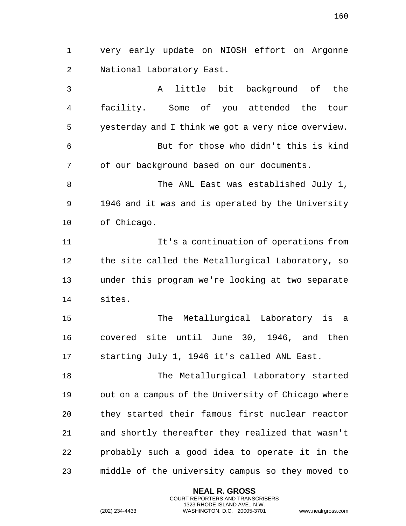very early update on NIOSH effort on Argonne National Laboratory East. A little bit background of the facility. Some of you attended the tour yesterday and I think we got a very nice overview.

 But for those who didn't this is kind of our background based on our documents.

 The ANL East was established July 1, 1946 and it was and is operated by the University of Chicago.

 It's a continuation of operations from the site called the Metallurgical Laboratory, so under this program we're looking at two separate sites.

 The Metallurgical Laboratory is a covered site until June 30, 1946, and then starting July 1, 1946 it's called ANL East.

 The Metallurgical Laboratory started out on a campus of the University of Chicago where they started their famous first nuclear reactor and shortly thereafter they realized that wasn't probably such a good idea to operate it in the middle of the university campus so they moved to

> **NEAL R. GROSS** COURT REPORTERS AND TRANSCRIBERS 1323 RHODE ISLAND AVE., N.W.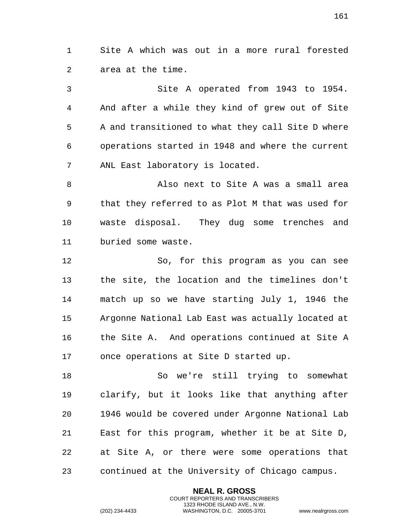Site A which was out in a more rural forested area at the time.

 Site A operated from 1943 to 1954. And after a while they kind of grew out of Site A and transitioned to what they call Site D where operations started in 1948 and where the current ANL East laboratory is located.

 Also next to Site A was a small area that they referred to as Plot M that was used for waste disposal. They dug some trenches and buried some waste.

 So, for this program as you can see the site, the location and the timelines don't match up so we have starting July 1, 1946 the Argonne National Lab East was actually located at the Site A. And operations continued at Site A once operations at Site D started up.

 So we're still trying to somewhat clarify, but it looks like that anything after 1946 would be covered under Argonne National Lab East for this program, whether it be at Site D, at Site A, or there were some operations that continued at the University of Chicago campus.

> **NEAL R. GROSS** COURT REPORTERS AND TRANSCRIBERS 1323 RHODE ISLAND AVE., N.W.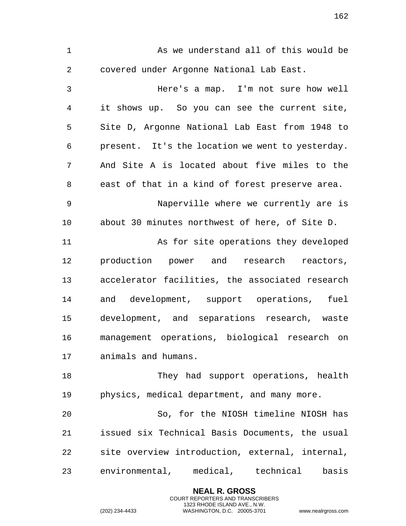As we understand all of this would be covered under Argonne National Lab East. Here's a map. I'm not sure how well it shows up. So you can see the current site, Site D, Argonne National Lab East from 1948 to present. It's the location we went to yesterday. And Site A is located about five miles to the east of that in a kind of forest preserve area. Naperville where we currently are is about 30 minutes northwest of here, of Site D. As for site operations they developed production power and research reactors, accelerator facilities, the associated research and development, support operations, fuel development, and separations research, waste management operations, biological research on animals and humans. 18 They had support operations, health physics, medical department, and many more. So, for the NIOSH timeline NIOSH has issued six Technical Basis Documents, the usual site overview introduction, external, internal, environmental, medical, technical basis

> **NEAL R. GROSS** COURT REPORTERS AND TRANSCRIBERS 1323 RHODE ISLAND AVE., N.W.

(202) 234-4433 WASHINGTON, D.C. 20005-3701 www.nealrgross.com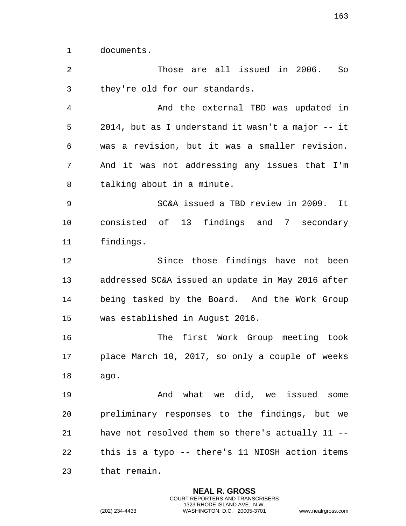documents.

 Those are all issued in 2006. So they're old for our standards. And the external TBD was updated in 2014, but as I understand it wasn't a major -- it was a revision, but it was a smaller revision. And it was not addressing any issues that I'm talking about in a minute. SC&A issued a TBD review in 2009. It consisted of 13 findings and 7 secondary findings. Since those findings have not been addressed SC&A issued an update in May 2016 after being tasked by the Board. And the Work Group was established in August 2016. The first Work Group meeting took place March 10, 2017, so only a couple of weeks ago. And what we did, we issued some

 preliminary responses to the findings, but we have not resolved them so there's actually 11 -- this is a typo -- there's 11 NIOSH action items that remain.

> **NEAL R. GROSS** COURT REPORTERS AND TRANSCRIBERS 1323 RHODE ISLAND AVE., N.W.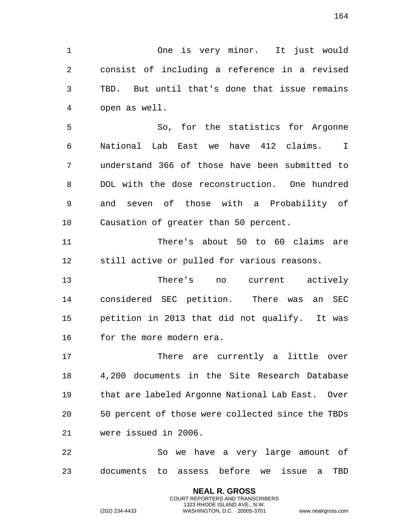One is very minor. It just would

 consist of including a reference in a revised TBD. But until that's done that issue remains open as well.

 So, for the statistics for Argonne National Lab East we have 412 claims. I understand 366 of those have been submitted to DOL with the dose reconstruction. One hundred and seven of those with a Probability of Causation of greater than 50 percent.

 There's about 50 to 60 claims are still active or pulled for various reasons.

 There's no current actively considered SEC petition. There was an SEC petition in 2013 that did not qualify. It was for the more modern era.

17 There are currently a little over 4,200 documents in the Site Research Database that are labeled Argonne National Lab East. Over 50 percent of those were collected since the TBDs were issued in 2006.

 So we have a very large amount of documents to assess before we issue a TBD

> **NEAL R. GROSS** COURT REPORTERS AND TRANSCRIBERS 1323 RHODE ISLAND AVE., N.W.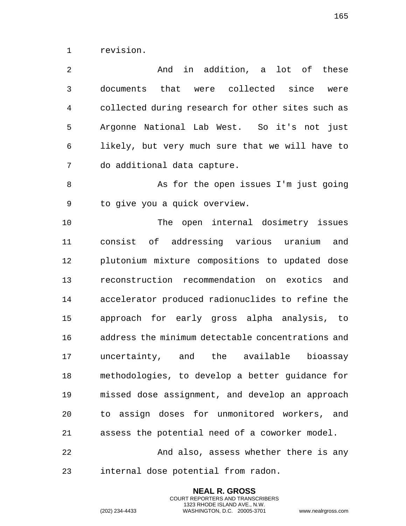revision.

 And in addition, a lot of these documents that were collected since were collected during research for other sites such as Argonne National Lab West. So it's not just likely, but very much sure that we will have to do additional data capture.

8 As for the open issues I'm just going to give you a quick overview.

 The open internal dosimetry issues consist of addressing various uranium and plutonium mixture compositions to updated dose reconstruction recommendation on exotics and accelerator produced radionuclides to refine the approach for early gross alpha analysis, to address the minimum detectable concentrations and uncertainty, and the available bioassay methodologies, to develop a better guidance for missed dose assignment, and develop an approach to assign doses for unmonitored workers, and assess the potential need of a coworker model.

22 And also, assess whether there is any internal dose potential from radon.

> **NEAL R. GROSS** COURT REPORTERS AND TRANSCRIBERS 1323 RHODE ISLAND AVE., N.W.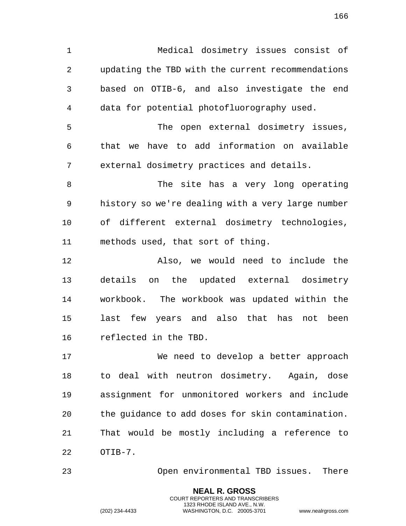Medical dosimetry issues consist of updating the TBD with the current recommendations based on OTIB-6, and also investigate the end data for potential photofluorography used. The open external dosimetry issues, that we have to add information on available external dosimetry practices and details. 8 The site has a very long operating history so we're dealing with a very large number of different external dosimetry technologies, methods used, that sort of thing. Also, we would need to include the details on the updated external dosimetry workbook. The workbook was updated within the last few years and also that has not been reflected in the TBD. We need to develop a better approach

 to deal with neutron dosimetry. Again, dose assignment for unmonitored workers and include the guidance to add doses for skin contamination. That would be mostly including a reference to OTIB-7.

Open environmental TBD issues. There

**NEAL R. GROSS** COURT REPORTERS AND TRANSCRIBERS 1323 RHODE ISLAND AVE., N.W.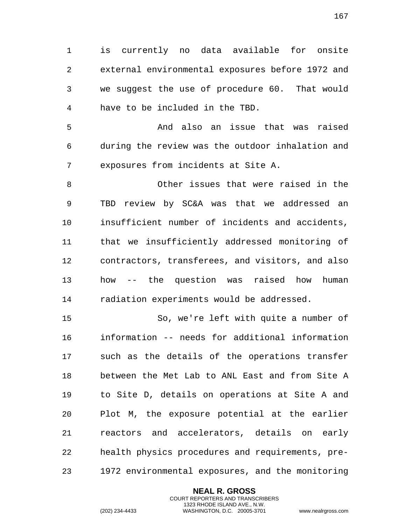is currently no data available for onsite external environmental exposures before 1972 and we suggest the use of procedure 60. That would have to be included in the TBD.

 And also an issue that was raised during the review was the outdoor inhalation and exposures from incidents at Site A.

 Other issues that were raised in the TBD review by SC&A was that we addressed an insufficient number of incidents and accidents, that we insufficiently addressed monitoring of contractors, transferees, and visitors, and also how -- the question was raised how human radiation experiments would be addressed.

 So, we're left with quite a number of information -- needs for additional information such as the details of the operations transfer between the Met Lab to ANL East and from Site A to Site D, details on operations at Site A and Plot M, the exposure potential at the earlier reactors and accelerators, details on early health physics procedures and requirements, pre-1972 environmental exposures, and the monitoring

> **NEAL R. GROSS** COURT REPORTERS AND TRANSCRIBERS 1323 RHODE ISLAND AVE., N.W.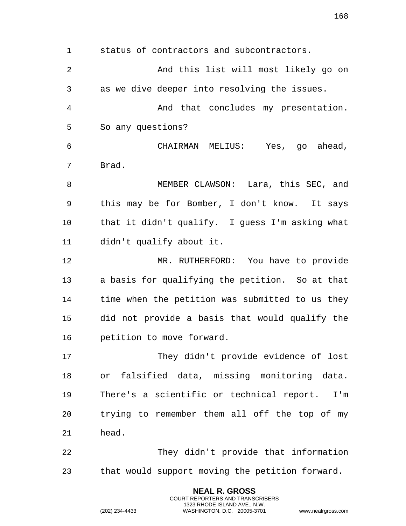status of contractors and subcontractors. And this list will most likely go on as we dive deeper into resolving the issues. And that concludes my presentation. So any questions? CHAIRMAN MELIUS: Yes, go ahead, Brad. MEMBER CLAWSON: Lara, this SEC, and this may be for Bomber, I don't know. It says that it didn't qualify. I guess I'm asking what didn't qualify about it. MR. RUTHERFORD: You have to provide a basis for qualifying the petition. So at that time when the petition was submitted to us they did not provide a basis that would qualify the petition to move forward. They didn't provide evidence of lost or falsified data, missing monitoring data. There's a scientific or technical report. I'm trying to remember them all off the top of my head. They didn't provide that information that would support moving the petition forward.

> **NEAL R. GROSS** COURT REPORTERS AND TRANSCRIBERS 1323 RHODE ISLAND AVE., N.W.

(202) 234-4433 WASHINGTON, D.C. 20005-3701 www.nealrgross.com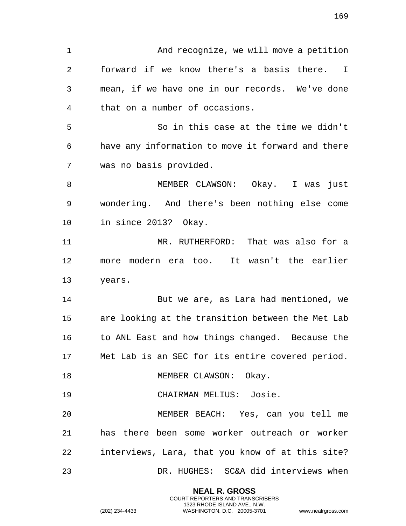And recognize, we will move a petition forward if we know there's a basis there. I mean, if we have one in our records. We've done that on a number of occasions. So in this case at the time we didn't have any information to move it forward and there was no basis provided. MEMBER CLAWSON: Okay. I was just wondering. And there's been nothing else come in since 2013? Okay. MR. RUTHERFORD: That was also for a more modern era too. It wasn't the earlier years. But we are, as Lara had mentioned, we are looking at the transition between the Met Lab to ANL East and how things changed. Because the Met Lab is an SEC for its entire covered period. 18 MEMBER CLAWSON: Okay. CHAIRMAN MELIUS: Josie. MEMBER BEACH: Yes, can you tell me has there been some worker outreach or worker interviews, Lara, that you know of at this site? DR. HUGHES: SC&A did interviews when

> **NEAL R. GROSS** COURT REPORTERS AND TRANSCRIBERS 1323 RHODE ISLAND AVE., N.W.

(202) 234-4433 WASHINGTON, D.C. 20005-3701 www.nealrgross.com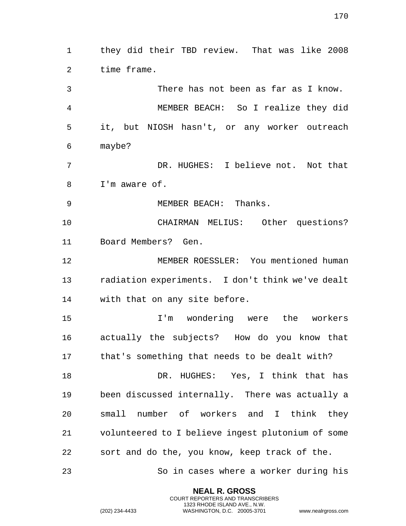they did their TBD review. That was like 2008 time frame. There has not been as far as I know.

 MEMBER BEACH: So I realize they did it, but NIOSH hasn't, or any worker outreach maybe?

 DR. HUGHES: I believe not. Not that I'm aware of.

MEMBER BEACH: Thanks.

 CHAIRMAN MELIUS: Other questions? Board Members? Gen.

 MEMBER ROESSLER: You mentioned human radiation experiments. I don't think we've dealt with that on any site before.

 I'm wondering were the workers actually the subjects? How do you know that that's something that needs to be dealt with?

 DR. HUGHES: Yes, I think that has been discussed internally. There was actually a small number of workers and I think they volunteered to I believe ingest plutonium of some sort and do the, you know, keep track of the.

> **NEAL R. GROSS** COURT REPORTERS AND TRANSCRIBERS 1323 RHODE ISLAND AVE., N.W.

So in cases where a worker during his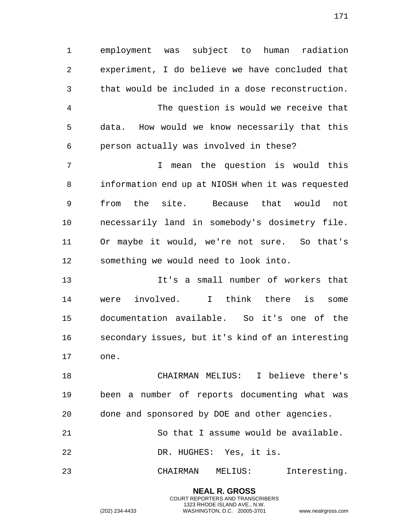employment was subject to human radiation experiment, I do believe we have concluded that that would be included in a dose reconstruction. The question is would we receive that data. How would we know necessarily that this person actually was involved in these? I mean the question is would this information end up at NIOSH when it was requested from the site. Because that would not necessarily land in somebody's dosimetry file. Or maybe it would, we're not sure. So that's something we would need to look into.

 It's a small number of workers that were involved. I think there is some documentation available. So it's one of the secondary issues, but it's kind of an interesting one.

 CHAIRMAN MELIUS: I believe there's been a number of reports documenting what was done and sponsored by DOE and other agencies.

 So that I assume would be available. DR. HUGHES: Yes, it is.

CHAIRMAN MELIUS: Interesting.

**NEAL R. GROSS** COURT REPORTERS AND TRANSCRIBERS 1323 RHODE ISLAND AVE., N.W.

(202) 234-4433 WASHINGTON, D.C. 20005-3701 www.nealrgross.com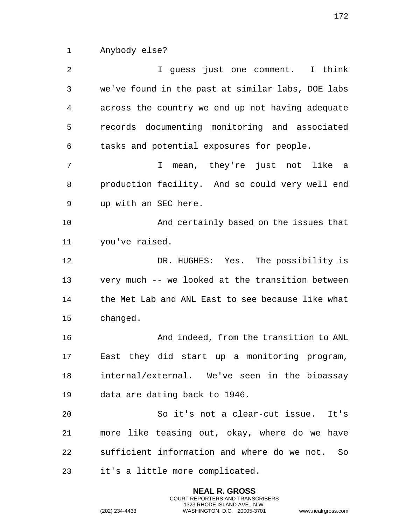Anybody else?

 I guess just one comment. I think we've found in the past at similar labs, DOE labs across the country we end up not having adequate records documenting monitoring and associated tasks and potential exposures for people. I mean, they're just not like a production facility. And so could very well end up with an SEC here. And certainly based on the issues that you've raised. DR. HUGHES: Yes. The possibility is very much -- we looked at the transition between the Met Lab and ANL East to see because like what changed. And indeed, from the transition to ANL East they did start up a monitoring program, internal/external. We've seen in the bioassay data are dating back to 1946. So it's not a clear-cut issue. It's more like teasing out, okay, where do we have sufficient information and where do we not. So it's a little more complicated.

> **NEAL R. GROSS** COURT REPORTERS AND TRANSCRIBERS 1323 RHODE ISLAND AVE., N.W.

(202) 234-4433 WASHINGTON, D.C. 20005-3701 www.nealrgross.com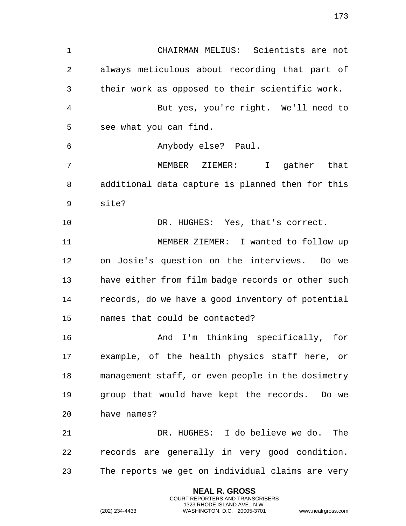CHAIRMAN MELIUS: Scientists are not always meticulous about recording that part of their work as opposed to their scientific work. But yes, you're right. We'll need to see what you can find. Anybody else? Paul. MEMBER ZIEMER: I gather that additional data capture is planned then for this site? DR. HUGHES: Yes, that's correct. MEMBER ZIEMER: I wanted to follow up on Josie's question on the interviews. Do we have either from film badge records or other such records, do we have a good inventory of potential names that could be contacted? And I'm thinking specifically, for example, of the health physics staff here, or management staff, or even people in the dosimetry group that would have kept the records. Do we have names? DR. HUGHES: I do believe we do. The records are generally in very good condition. The reports we get on individual claims are very

> **NEAL R. GROSS** COURT REPORTERS AND TRANSCRIBERS 1323 RHODE ISLAND AVE., N.W.

(202) 234-4433 WASHINGTON, D.C. 20005-3701 www.nealrgross.com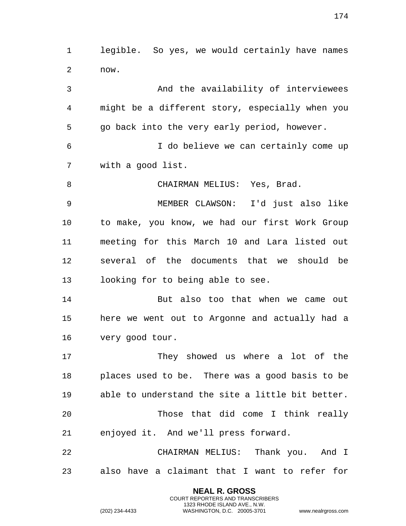legible. So yes, we would certainly have names now. And the availability of interviewees

 might be a different story, especially when you go back into the very early period, however.

 I do believe we can certainly come up with a good list.

8 CHAIRMAN MELIUS: Yes, Brad.

 MEMBER CLAWSON: I'd just also like to make, you know, we had our first Work Group meeting for this March 10 and Lara listed out several of the documents that we should be looking for to being able to see.

 But also too that when we came out here we went out to Argonne and actually had a very good tour.

 They showed us where a lot of the places used to be. There was a good basis to be able to understand the site a little bit better. Those that did come I think really enjoyed it. And we'll press forward.

 CHAIRMAN MELIUS: Thank you. And I also have a claimant that I want to refer for

> **NEAL R. GROSS** COURT REPORTERS AND TRANSCRIBERS 1323 RHODE ISLAND AVE., N.W.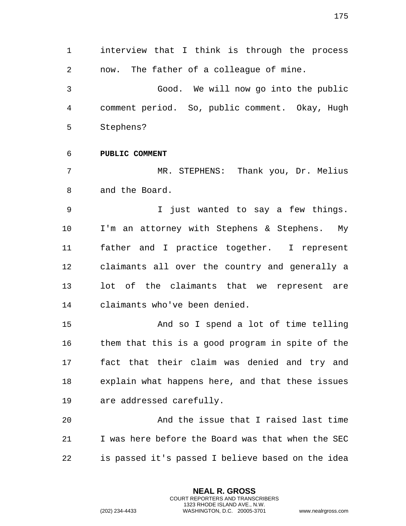interview that I think is through the process now. The father of a colleague of mine. Good. We will now go into the public

 comment period. So, public comment. Okay, Hugh Stephens?

**PUBLIC COMMENT**

 MR. STEPHENS: Thank you, Dr. Melius and the Board.

 I just wanted to say a few things. I'm an attorney with Stephens & Stephens. My father and I practice together. I represent claimants all over the country and generally a lot of the claimants that we represent are claimants who've been denied.

 And so I spend a lot of time telling them that this is a good program in spite of the fact that their claim was denied and try and explain what happens here, and that these issues are addressed carefully.

 And the issue that I raised last time I was here before the Board was that when the SEC is passed it's passed I believe based on the idea

> **NEAL R. GROSS** COURT REPORTERS AND TRANSCRIBERS 1323 RHODE ISLAND AVE., N.W.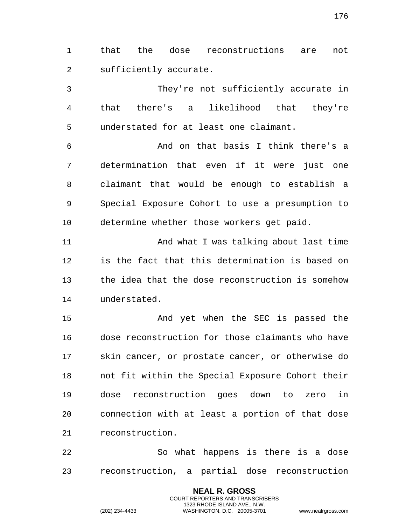that the dose reconstructions are not sufficiently accurate.

 They're not sufficiently accurate in that there's a likelihood that they're understated for at least one claimant.

 And on that basis I think there's a determination that even if it were just one claimant that would be enough to establish a Special Exposure Cohort to use a presumption to determine whether those workers get paid.

 And what I was talking about last time is the fact that this determination is based on the idea that the dose reconstruction is somehow understated.

 And yet when the SEC is passed the dose reconstruction for those claimants who have skin cancer, or prostate cancer, or otherwise do not fit within the Special Exposure Cohort their dose reconstruction goes down to zero in connection with at least a portion of that dose reconstruction.

 So what happens is there is a dose reconstruction, a partial dose reconstruction

> **NEAL R. GROSS** COURT REPORTERS AND TRANSCRIBERS 1323 RHODE ISLAND AVE., N.W.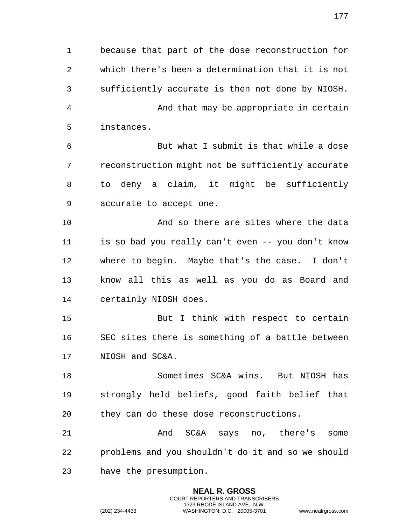because that part of the dose reconstruction for which there's been a determination that it is not sufficiently accurate is then not done by NIOSH. And that may be appropriate in certain instances. But what I submit is that while a dose reconstruction might not be sufficiently accurate to deny a claim, it might be sufficiently accurate to accept one. And so there are sites where the data is so bad you really can't even -- you don't know where to begin. Maybe that's the case. I don't know all this as well as you do as Board and certainly NIOSH does. But I think with respect to certain SEC sites there is something of a battle between NIOSH and SC&A. Sometimes SC&A wins. But NIOSH has strongly held beliefs, good faith belief that they can do these dose reconstructions. And SC&A says no, there's some problems and you shouldn't do it and so we should have the presumption.

> **NEAL R. GROSS** COURT REPORTERS AND TRANSCRIBERS 1323 RHODE ISLAND AVE., N.W.

(202) 234-4433 WASHINGTON, D.C. 20005-3701 www.nealrgross.com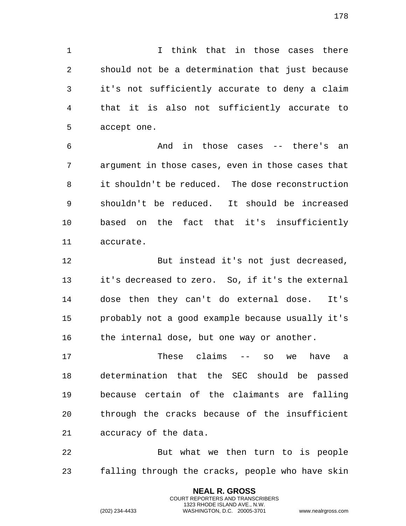I think that in those cases there should not be a determination that just because it's not sufficiently accurate to deny a claim that it is also not sufficiently accurate to accept one.

 And in those cases -- there's an argument in those cases, even in those cases that it shouldn't be reduced. The dose reconstruction shouldn't be reduced. It should be increased based on the fact that it's insufficiently accurate.

 But instead it's not just decreased, it's decreased to zero. So, if it's the external dose then they can't do external dose. It's probably not a good example because usually it's 16 the internal dose, but one way or another.

 These claims -- so we have a determination that the SEC should be passed because certain of the claimants are falling through the cracks because of the insufficient accuracy of the data.

 But what we then turn to is people falling through the cracks, people who have skin

> **NEAL R. GROSS** COURT REPORTERS AND TRANSCRIBERS 1323 RHODE ISLAND AVE., N.W.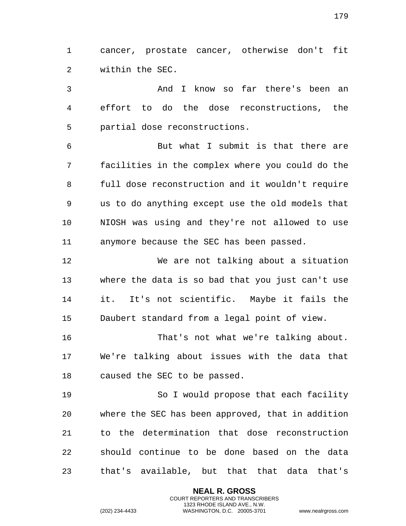cancer, prostate cancer, otherwise don't fit within the SEC.

 And I know so far there's been an effort to do the dose reconstructions, the partial dose reconstructions.

 But what I submit is that there are facilities in the complex where you could do the full dose reconstruction and it wouldn't require us to do anything except use the old models that NIOSH was using and they're not allowed to use anymore because the SEC has been passed.

 We are not talking about a situation where the data is so bad that you just can't use it. It's not scientific. Maybe it fails the Daubert standard from a legal point of view.

 That's not what we're talking about. We're talking about issues with the data that caused the SEC to be passed.

 So I would propose that each facility where the SEC has been approved, that in addition to the determination that dose reconstruction should continue to be done based on the data that's available, but that that data that's

> **NEAL R. GROSS** COURT REPORTERS AND TRANSCRIBERS 1323 RHODE ISLAND AVE., N.W.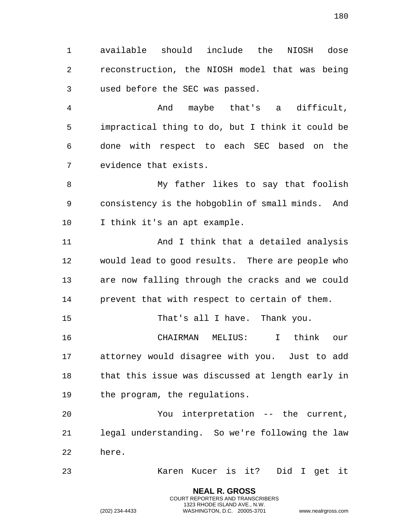available should include the NIOSH dose reconstruction, the NIOSH model that was being

used before the SEC was passed.

 And maybe that's a difficult, impractical thing to do, but I think it could be done with respect to each SEC based on the evidence that exists.

 My father likes to say that foolish consistency is the hobgoblin of small minds. And I think it's an apt example.

 And I think that a detailed analysis would lead to good results. There are people who are now falling through the cracks and we could prevent that with respect to certain of them.

That's all I have. Thank you.

 CHAIRMAN MELIUS: I think our attorney would disagree with you. Just to add that this issue was discussed at length early in the program, the regulations.

 You interpretation -- the current, legal understanding. So we're following the law here.

Karen Kucer is it? Did I get it

**NEAL R. GROSS** COURT REPORTERS AND TRANSCRIBERS 1323 RHODE ISLAND AVE., N.W.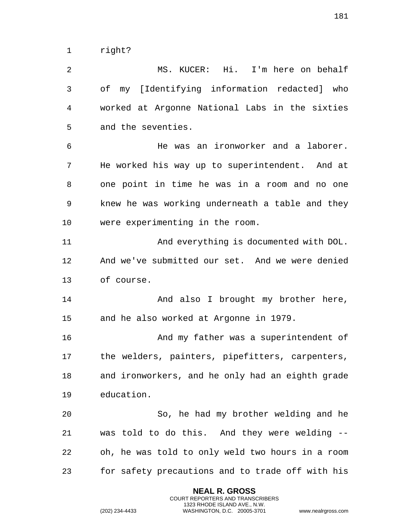right?

 MS. KUCER: Hi. I'm here on behalf of my [Identifying information redacted] who worked at Argonne National Labs in the sixties and the seventies. He was an ironworker and a laborer. He worked his way up to superintendent. And at one point in time he was in a room and no one knew he was working underneath a table and they

 were experimenting in the room. And everything is documented with DOL.

 And we've submitted our set. And we were denied of course.

14 And also I brought my brother here, and he also worked at Argonne in 1979.

 And my father was a superintendent of the welders, painters, pipefitters, carpenters, and ironworkers, and he only had an eighth grade education.

 So, he had my brother welding and he was told to do this. And they were welding -- oh, he was told to only weld two hours in a room for safety precautions and to trade off with his

> **NEAL R. GROSS** COURT REPORTERS AND TRANSCRIBERS 1323 RHODE ISLAND AVE., N.W.

(202) 234-4433 WASHINGTON, D.C. 20005-3701 www.nealrgross.com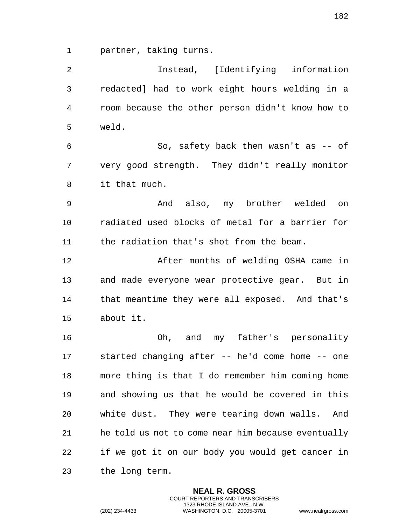partner, taking turns.

 Instead, [Identifying information redacted] had to work eight hours welding in a room because the other person didn't know how to weld. So, safety back then wasn't as -- of very good strength. They didn't really monitor it that much. And also, my brother welded on radiated used blocks of metal for a barrier for the radiation that's shot from the beam. After months of welding OSHA came in and made everyone wear protective gear. But in that meantime they were all exposed. And that's about it. Oh, and my father's personality started changing after -- he'd come home -- one more thing is that I do remember him coming home and showing us that he would be covered in this white dust. They were tearing down walls. And he told us not to come near him because eventually if we got it on our body you would get cancer in the long term.

> **NEAL R. GROSS** COURT REPORTERS AND TRANSCRIBERS 1323 RHODE ISLAND AVE., N.W.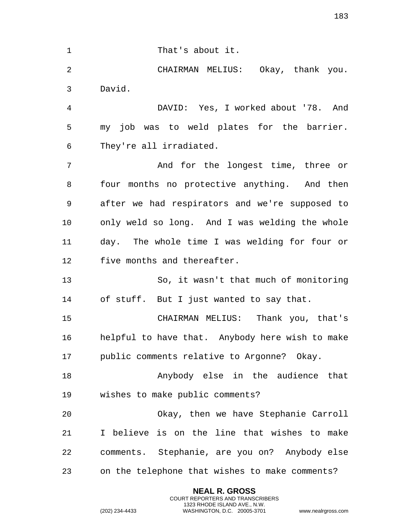1 That's about it. CHAIRMAN MELIUS: Okay, thank you. David. DAVID: Yes, I worked about '78. And my job was to weld plates for the barrier. They're all irradiated. And for the longest time, three or four months no protective anything. And then after we had respirators and we're supposed to only weld so long. And I was welding the whole day. The whole time I was welding for four or five months and thereafter. So, it wasn't that much of monitoring of stuff. But I just wanted to say that. CHAIRMAN MELIUS: Thank you, that's helpful to have that. Anybody here wish to make public comments relative to Argonne? Okay. Anybody else in the audience that wishes to make public comments? Okay, then we have Stephanie Carroll I believe is on the line that wishes to make comments. Stephanie, are you on? Anybody else on the telephone that wishes to make comments?

> **NEAL R. GROSS** COURT REPORTERS AND TRANSCRIBERS 1323 RHODE ISLAND AVE., N.W.

(202) 234-4433 WASHINGTON, D.C. 20005-3701 www.nealrgross.com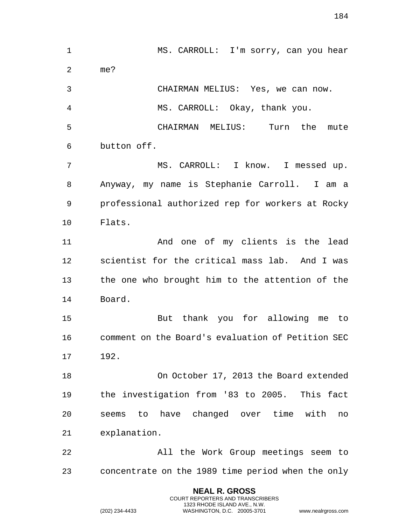MS. CARROLL: I'm sorry, can you hear me? CHAIRMAN MELIUS: Yes, we can now. MS. CARROLL: Okay, thank you. CHAIRMAN MELIUS: Turn the mute button off. MS. CARROLL: I know. I messed up. Anyway, my name is Stephanie Carroll. I am a professional authorized rep for workers at Rocky Flats. And one of my clients is the lead scientist for the critical mass lab. And I was the one who brought him to the attention of the Board. But thank you for allowing me to comment on the Board's evaluation of Petition SEC 192. On October 17, 2013 the Board extended the investigation from '83 to 2005. This fact seems to have changed over time with no explanation. All the Work Group meetings seem to concentrate on the 1989 time period when the only

> **NEAL R. GROSS** COURT REPORTERS AND TRANSCRIBERS 1323 RHODE ISLAND AVE., N.W.

(202) 234-4433 WASHINGTON, D.C. 20005-3701 www.nealrgross.com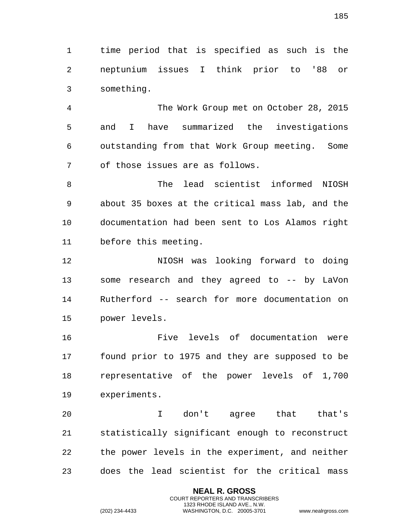time period that is specified as such is the neptunium issues I think prior to '88 or something.

 The Work Group met on October 28, 2015 and I have summarized the investigations outstanding from that Work Group meeting. Some of those issues are as follows.

 The lead scientist informed NIOSH about 35 boxes at the critical mass lab, and the documentation had been sent to Los Alamos right before this meeting.

 NIOSH was looking forward to doing some research and they agreed to -- by LaVon Rutherford -- search for more documentation on power levels.

 Five levels of documentation were found prior to 1975 and they are supposed to be representative of the power levels of 1,700 experiments.

 I don't agree that that's statistically significant enough to reconstruct the power levels in the experiment, and neither does the lead scientist for the critical mass

> **NEAL R. GROSS** COURT REPORTERS AND TRANSCRIBERS 1323 RHODE ISLAND AVE., N.W.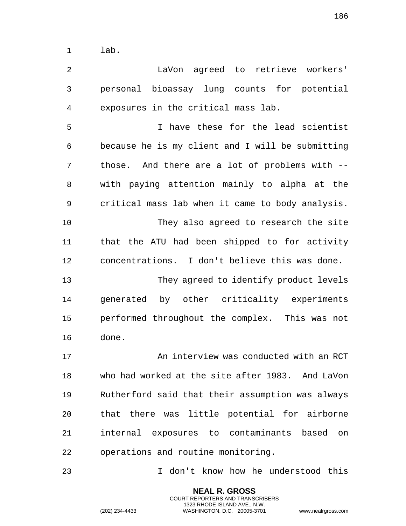lab.

 LaVon agreed to retrieve workers' personal bioassay lung counts for potential exposures in the critical mass lab.

 I have these for the lead scientist because he is my client and I will be submitting those. And there are a lot of problems with -- with paying attention mainly to alpha at the critical mass lab when it came to body analysis. They also agreed to research the site that the ATU had been shipped to for activity concentrations. I don't believe this was done. They agreed to identify product levels generated by other criticality experiments performed throughout the complex. This was not done.

 An interview was conducted with an RCT who had worked at the site after 1983. And LaVon Rutherford said that their assumption was always that there was little potential for airborne internal exposures to contaminants based on operations and routine monitoring.

I don't know how he understood this

**NEAL R. GROSS** COURT REPORTERS AND TRANSCRIBERS 1323 RHODE ISLAND AVE., N.W.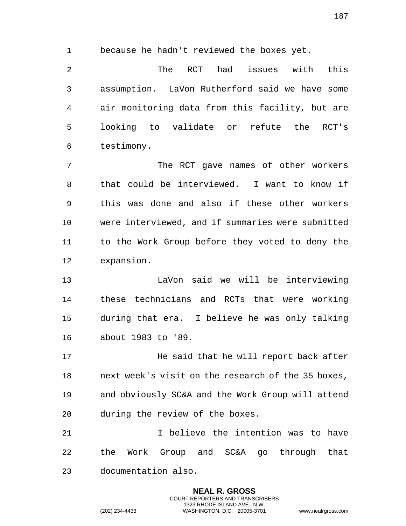because he hadn't reviewed the boxes yet.

 The RCT had issues with this assumption. LaVon Rutherford said we have some air monitoring data from this facility, but are looking to validate or refute the RCT's testimony.

 The RCT gave names of other workers that could be interviewed. I want to know if this was done and also if these other workers were interviewed, and if summaries were submitted to the Work Group before they voted to deny the expansion.

 LaVon said we will be interviewing these technicians and RCTs that were working during that era. I believe he was only talking about 1983 to '89.

**He said that he will report back after**  next week's visit on the research of the 35 boxes, and obviously SC&A and the Work Group will attend during the review of the boxes.

 I believe the intention was to have the Work Group and SC&A go through that documentation also.

> **NEAL R. GROSS** COURT REPORTERS AND TRANSCRIBERS 1323 RHODE ISLAND AVE., N.W.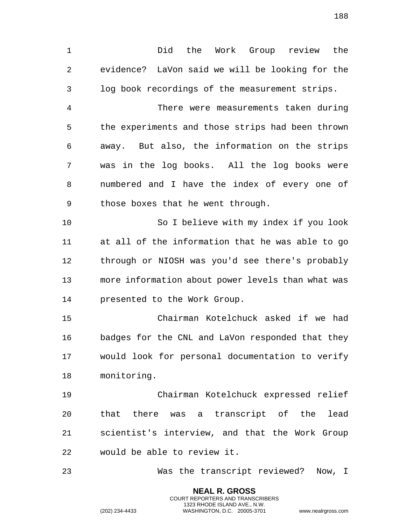Did the Work Group review the evidence? LaVon said we will be looking for the log book recordings of the measurement strips.

 There were measurements taken during the experiments and those strips had been thrown away. But also, the information on the strips was in the log books. All the log books were numbered and I have the index of every one of those boxes that he went through.

 So I believe with my index if you look at all of the information that he was able to go through or NIOSH was you'd see there's probably more information about power levels than what was presented to the Work Group.

 Chairman Kotelchuck asked if we had badges for the CNL and LaVon responded that they would look for personal documentation to verify monitoring.

 Chairman Kotelchuck expressed relief that there was a transcript of the lead scientist's interview, and that the Work Group would be able to review it.

Was the transcript reviewed? Now, I

**NEAL R. GROSS** COURT REPORTERS AND TRANSCRIBERS 1323 RHODE ISLAND AVE., N.W.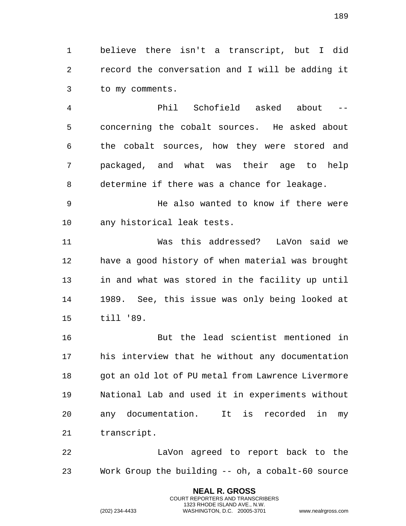believe there isn't a transcript, but I did record the conversation and I will be adding it to my comments.

 Phil Schofield asked about -- concerning the cobalt sources. He asked about the cobalt sources, how they were stored and packaged, and what was their age to help determine if there was a chance for leakage.

9 The also wanted to know if there were any historical leak tests.

 Was this addressed? LaVon said we have a good history of when material was brought in and what was stored in the facility up until 1989. See, this issue was only being looked at till '89.

 But the lead scientist mentioned in his interview that he without any documentation got an old lot of PU metal from Lawrence Livermore National Lab and used it in experiments without any documentation. It is recorded in my transcript.

 LaVon agreed to report back to the Work Group the building -- oh, a cobalt-60 source

> **NEAL R. GROSS** COURT REPORTERS AND TRANSCRIBERS 1323 RHODE ISLAND AVE., N.W.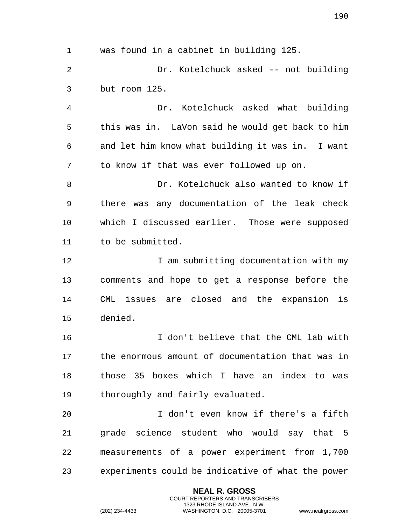was found in a cabinet in building 125. Dr. Kotelchuck asked -- not building but room 125. Dr. Kotelchuck asked what building this was in. LaVon said he would get back to him and let him know what building it was in. I want to know if that was ever followed up on. Dr. Kotelchuck also wanted to know if there was any documentation of the leak check which I discussed earlier. Those were supposed to be submitted. 12 12 I am submitting documentation with my comments and hope to get a response before the CML issues are closed and the expansion is denied. I don't believe that the CML lab with the enormous amount of documentation that was in those 35 boxes which I have an index to was thoroughly and fairly evaluated. I don't even know if there's a fifth grade science student who would say that 5 measurements of a power experiment from 1,700 experiments could be indicative of what the power

> **NEAL R. GROSS** COURT REPORTERS AND TRANSCRIBERS 1323 RHODE ISLAND AVE., N.W.

(202) 234-4433 WASHINGTON, D.C. 20005-3701 www.nealrgross.com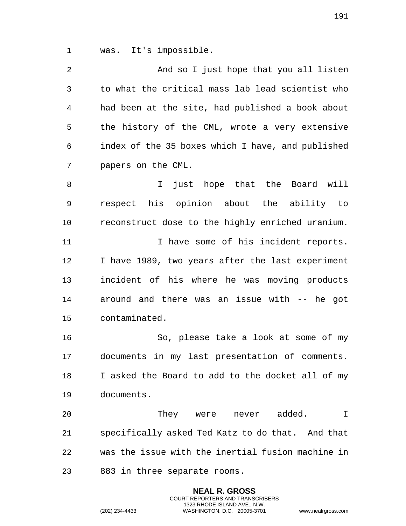was. It's impossible.

| $\overline{2}$ | And so I just hope that you all listen            |
|----------------|---------------------------------------------------|
| 3              | to what the critical mass lab lead scientist who  |
| 4              | had been at the site, had published a book about  |
| 5              | the history of the CML, wrote a very extensive    |
| 6              | index of the 35 boxes which I have, and published |
| 7              | papers on the CML.                                |
| 8              | just hope that the Board will<br>I.               |
| 9              | respect his opinion about the ability to          |
| $10$           | reconstruct dose to the highly enriched uranium.  |
| 11             | I have some of his incident reports.              |
| 12             | I have 1989, two years after the last experiment  |
| 13             | incident of his where he was moving products      |
| 14             | around and there was an issue with -- he got      |
| 15             | contaminated.                                     |
| 16             | So, please take a look at some of my              |
| 17             | documents in my last presentation of comments.    |
| 18             | I asked the Board to add to the docket all of my  |
| 19             | documents.                                        |
| 20             | They were<br>never added.<br>I                    |
| 21             | specifically asked Ted Katz to do that. And that  |
| 22             | was the issue with the inertial fusion machine in |
| 23             | 883 in three separate rooms.                      |

**NEAL R. GROSS** COURT REPORTERS AND TRANSCRIBERS 1323 RHODE ISLAND AVE., N.W.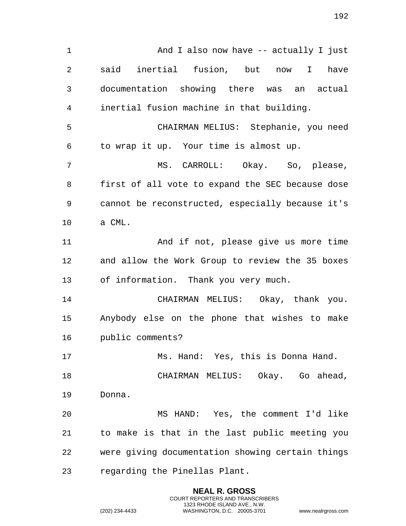And I also now have -- actually I just said inertial fusion, but now I have documentation showing there was an actual inertial fusion machine in that building. CHAIRMAN MELIUS: Stephanie, you need to wrap it up. Your time is almost up. MS. CARROLL: Okay. So, please, first of all vote to expand the SEC because dose cannot be reconstructed, especially because it's a CML. And if not, please give us more time and allow the Work Group to review the 35 boxes of information. Thank you very much. CHAIRMAN MELIUS: Okay, thank you. Anybody else on the phone that wishes to make public comments? 17 Ms. Hand: Yes, this is Donna Hand. CHAIRMAN MELIUS: Okay. Go ahead, Donna. MS HAND: Yes, the comment I'd like to make is that in the last public meeting you were giving documentation showing certain things regarding the Pinellas Plant.

> **NEAL R. GROSS** COURT REPORTERS AND TRANSCRIBERS 1323 RHODE ISLAND AVE., N.W.

(202) 234-4433 WASHINGTON, D.C. 20005-3701 www.nealrgross.com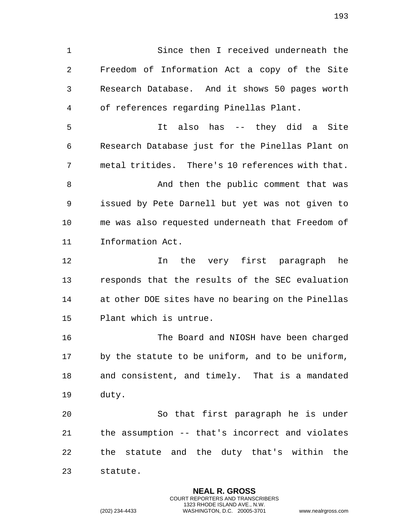Since then I received underneath the Freedom of Information Act a copy of the Site Research Database. And it shows 50 pages worth of references regarding Pinellas Plant. It also has -- they did a Site Research Database just for the Pinellas Plant on metal tritides. There's 10 references with that. 8 And then the public comment that was issued by Pete Darnell but yet was not given to me was also requested underneath that Freedom of Information Act. In the very first paragraph he responds that the results of the SEC evaluation at other DOE sites have no bearing on the Pinellas Plant which is untrue. The Board and NIOSH have been charged by the statute to be uniform, and to be uniform, and consistent, and timely. That is a mandated duty. So that first paragraph he is under the assumption -- that's incorrect and violates the statute and the duty that's within the statute.

> **NEAL R. GROSS** COURT REPORTERS AND TRANSCRIBERS 1323 RHODE ISLAND AVE., N.W.

(202) 234-4433 WASHINGTON, D.C. 20005-3701 www.nealrgross.com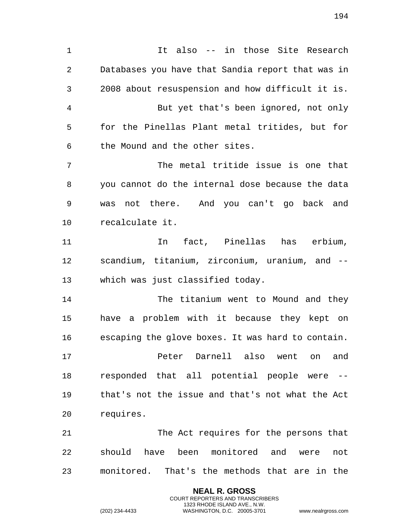It also -- in those Site Research Databases you have that Sandia report that was in 2008 about resuspension and how difficult it is. But yet that's been ignored, not only for the Pinellas Plant metal tritides, but for the Mound and the other sites. The metal tritide issue is one that you cannot do the internal dose because the data was not there. And you can't go back and recalculate it. In fact, Pinellas has erbium, scandium, titanium, zirconium, uranium, and -- which was just classified today. The titanium went to Mound and they have a problem with it because they kept on escaping the glove boxes. It was hard to contain. Peter Darnell also went on and responded that all potential people were -- that's not the issue and that's not what the Act requires. The Act requires for the persons that should have been monitored and were not

monitored. That's the methods that are in the

**NEAL R. GROSS** COURT REPORTERS AND TRANSCRIBERS 1323 RHODE ISLAND AVE., N.W.

(202) 234-4433 WASHINGTON, D.C. 20005-3701 www.nealrgross.com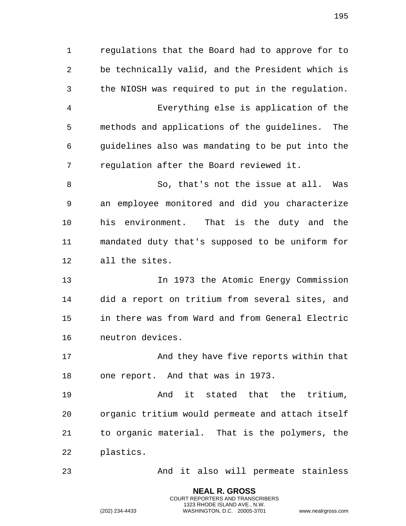regulations that the Board had to approve for to be technically valid, and the President which is the NIOSH was required to put in the regulation. Everything else is application of the methods and applications of the guidelines. The guidelines also was mandating to be put into the regulation after the Board reviewed it. So, that's not the issue at all. Was an employee monitored and did you characterize his environment. That is the duty and the mandated duty that's supposed to be uniform for all the sites. 13 1973 the Atomic Energy Commission did a report on tritium from several sites, and in there was from Ward and from General Electric neutron devices. 17 And they have five reports within that one report. And that was in 1973. And it stated that the tritium, organic tritium would permeate and attach itself to organic material. That is the polymers, the plastics. And it also will permeate stainless

> **NEAL R. GROSS** COURT REPORTERS AND TRANSCRIBERS 1323 RHODE ISLAND AVE., N.W.

(202) 234-4433 WASHINGTON, D.C. 20005-3701 www.nealrgross.com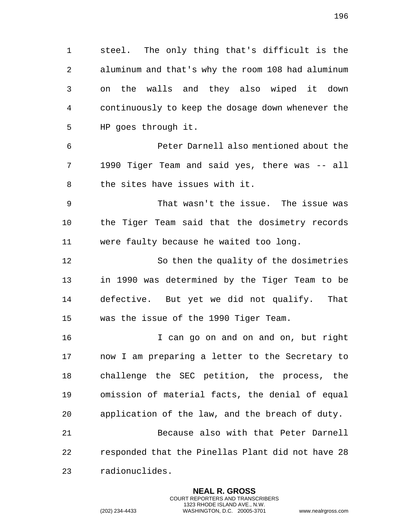steel. The only thing that's difficult is the aluminum and that's why the room 108 had aluminum on the walls and they also wiped it down continuously to keep the dosage down whenever the HP goes through it.

 Peter Darnell also mentioned about the 1990 Tiger Team and said yes, there was -- all the sites have issues with it.

 That wasn't the issue. The issue was the Tiger Team said that the dosimetry records were faulty because he waited too long.

 So then the quality of the dosimetries in 1990 was determined by the Tiger Team to be defective. But yet we did not qualify. That was the issue of the 1990 Tiger Team.

 I can go on and on and on, but right now I am preparing a letter to the Secretary to challenge the SEC petition, the process, the omission of material facts, the denial of equal application of the law, and the breach of duty. Because also with that Peter Darnell responded that the Pinellas Plant did not have 28

> **NEAL R. GROSS** COURT REPORTERS AND TRANSCRIBERS 1323 RHODE ISLAND AVE., N.W.

radionuclides.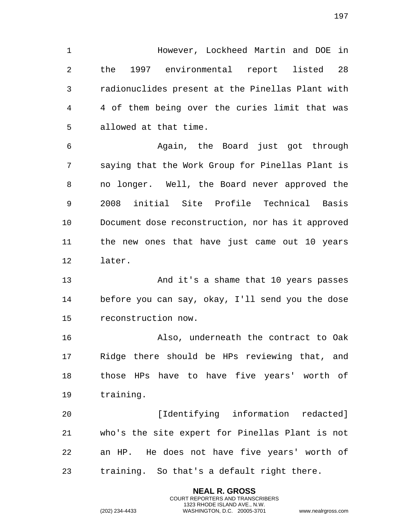However, Lockheed Martin and DOE in the 1997 environmental report listed 28 radionuclides present at the Pinellas Plant with 4 of them being over the curies limit that was allowed at that time.

 Again, the Board just got through saying that the Work Group for Pinellas Plant is no longer. Well, the Board never approved the 2008 initial Site Profile Technical Basis Document dose reconstruction, nor has it approved the new ones that have just came out 10 years later.

 And it's a shame that 10 years passes before you can say, okay, I'll send you the dose reconstruction now.

 Also, underneath the contract to Oak Ridge there should be HPs reviewing that, and those HPs have to have five years' worth of training.

 [Identifying information redacted] who's the site expert for Pinellas Plant is not an HP. He does not have five years' worth of training. So that's a default right there.

> **NEAL R. GROSS** COURT REPORTERS AND TRANSCRIBERS 1323 RHODE ISLAND AVE., N.W.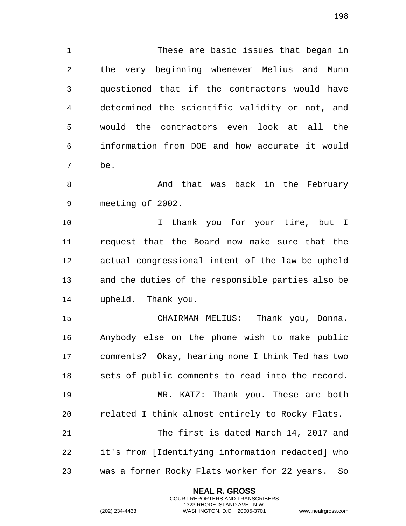These are basic issues that began in the very beginning whenever Melius and Munn questioned that if the contractors would have determined the scientific validity or not, and would the contractors even look at all the information from DOE and how accurate it would be.

8 And that was back in the February meeting of 2002.

 I thank you for your time, but I request that the Board now make sure that the actual congressional intent of the law be upheld and the duties of the responsible parties also be upheld. Thank you.

 CHAIRMAN MELIUS: Thank you, Donna. Anybody else on the phone wish to make public comments? Okay, hearing none I think Ted has two sets of public comments to read into the record. MR. KATZ: Thank you. These are both related I think almost entirely to Rocky Flats. The first is dated March 14, 2017 and it's from [Identifying information redacted] who was a former Rocky Flats worker for 22 years. So

> **NEAL R. GROSS** COURT REPORTERS AND TRANSCRIBERS 1323 RHODE ISLAND AVE., N.W.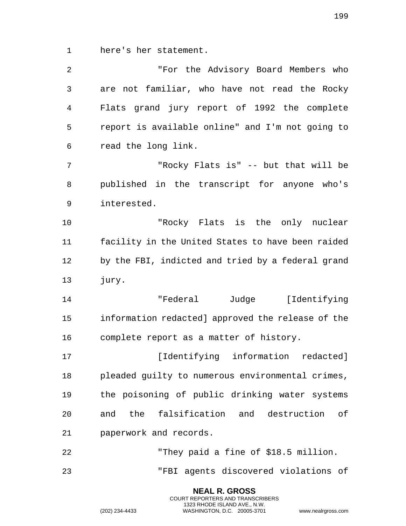here's her statement.

| 2  | "For the Advisory Board Members who               |
|----|---------------------------------------------------|
| 3  | are not familiar, who have not read the Rocky     |
| 4  | Flats grand jury report of 1992 the complete      |
| 5  | report is available online" and I'm not going to  |
| 6  | read the long link.                               |
| 7  | "Rocky Flats is" -- but that will be              |
| 8  | published in the transcript for anyone who's      |
| 9  | interested.                                       |
| 10 | "Rocky Flats is the only nuclear                  |
| 11 | facility in the United States to have been raided |
| 12 | by the FBI, indicted and tried by a federal grand |
| 13 | jury.                                             |
| 14 | "Federal Judge [Identifying                       |
| 15 | information redacted] approved the release of the |
| 16 | complete report as a matter of history.           |
| 17 | [Identifying information redacted]                |
| 18 | pleaded guilty to numerous environmental crimes,  |
| 19 | the poisoning of public drinking water systems    |
| 20 | and the falsification and destruction of          |
| 21 | paperwork and records.                            |
| 22 | "They paid a fine of \$18.5 million.              |
| 23 | "FBI agents discovered violations of              |

**NEAL R. GROSS** COURT REPORTERS AND TRANSCRIBERS 1323 RHODE ISLAND AVE., N.W.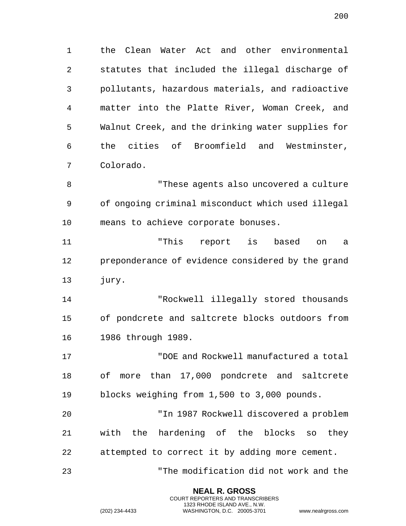the Clean Water Act and other environmental statutes that included the illegal discharge of pollutants, hazardous materials, and radioactive matter into the Platte River, Woman Creek, and Walnut Creek, and the drinking water supplies for the cities of Broomfield and Westminster, Colorado.

 "These agents also uncovered a culture of ongoing criminal misconduct which used illegal means to achieve corporate bonuses.

 "This report is based on a preponderance of evidence considered by the grand jury.

 "Rockwell illegally stored thousands of pondcrete and saltcrete blocks outdoors from 1986 through 1989.

 "DOE and Rockwell manufactured a total of more than 17,000 pondcrete and saltcrete blocks weighing from 1,500 to 3,000 pounds.

 "In 1987 Rockwell discovered a problem with the hardening of the blocks so they attempted to correct it by adding more cement.

"The modification did not work and the

**NEAL R. GROSS** COURT REPORTERS AND TRANSCRIBERS 1323 RHODE ISLAND AVE., N.W.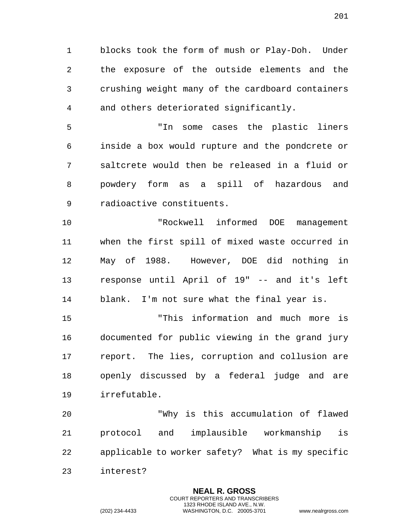blocks took the form of mush or Play-Doh. Under the exposure of the outside elements and the crushing weight many of the cardboard containers and others deteriorated significantly.

 "In some cases the plastic liners inside a box would rupture and the pondcrete or saltcrete would then be released in a fluid or powdery form as a spill of hazardous and radioactive constituents.

 "Rockwell informed DOE management when the first spill of mixed waste occurred in May of 1988. However, DOE did nothing in response until April of 19" -- and it's left blank. I'm not sure what the final year is.

 "This information and much more is documented for public viewing in the grand jury report. The lies, corruption and collusion are openly discussed by a federal judge and are irrefutable.

 "Why is this accumulation of flawed protocol and implausible workmanship is applicable to worker safety? What is my specific interest?

> **NEAL R. GROSS** COURT REPORTERS AND TRANSCRIBERS 1323 RHODE ISLAND AVE., N.W.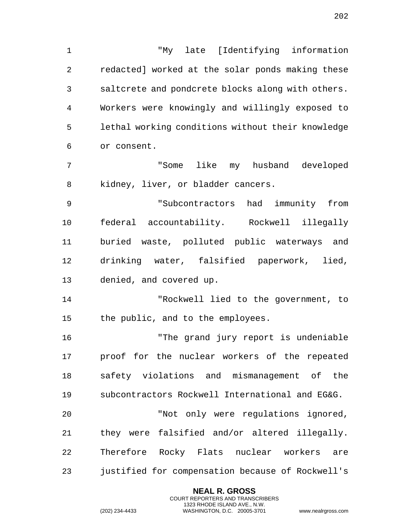"My late [Identifying information redacted] worked at the solar ponds making these saltcrete and pondcrete blocks along with others. Workers were knowingly and willingly exposed to lethal working conditions without their knowledge or consent. "Some like my husband developed kidney, liver, or bladder cancers. "Subcontractors had immunity from federal accountability. Rockwell illegally buried waste, polluted public waterways and drinking water, falsified paperwork, lied, denied, and covered up. "Rockwell lied to the government, to the public, and to the employees. "The grand jury report is undeniable proof for the nuclear workers of the repeated safety violations and mismanagement of the subcontractors Rockwell International and EG&G. "Not only were regulations ignored,

 they were falsified and/or altered illegally. Therefore Rocky Flats nuclear workers are justified for compensation because of Rockwell's

> **NEAL R. GROSS** COURT REPORTERS AND TRANSCRIBERS 1323 RHODE ISLAND AVE., N.W.

(202) 234-4433 WASHINGTON, D.C. 20005-3701 www.nealrgross.com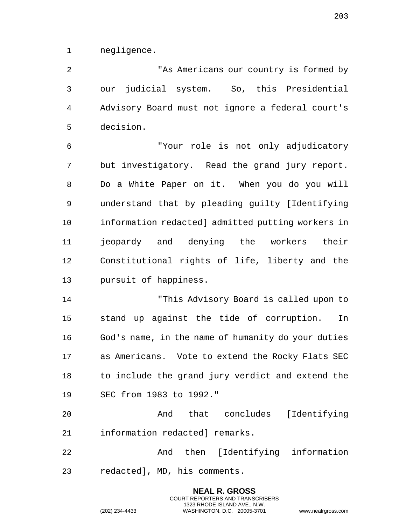negligence.

 "As Americans our country is formed by our judicial system. So, this Presidential Advisory Board must not ignore a federal court's decision.

 "Your role is not only adjudicatory but investigatory. Read the grand jury report. Do a White Paper on it. When you do you will understand that by pleading guilty [Identifying information redacted] admitted putting workers in jeopardy and denying the workers their Constitutional rights of life, liberty and the pursuit of happiness.

 "This Advisory Board is called upon to stand up against the tide of corruption. In God's name, in the name of humanity do your duties as Americans. Vote to extend the Rocky Flats SEC to include the grand jury verdict and extend the SEC from 1983 to 1992."

 And that concludes [Identifying information redacted] remarks.

 And then [Identifying information redacted], MD, his comments.

> **NEAL R. GROSS** COURT REPORTERS AND TRANSCRIBERS 1323 RHODE ISLAND AVE., N.W.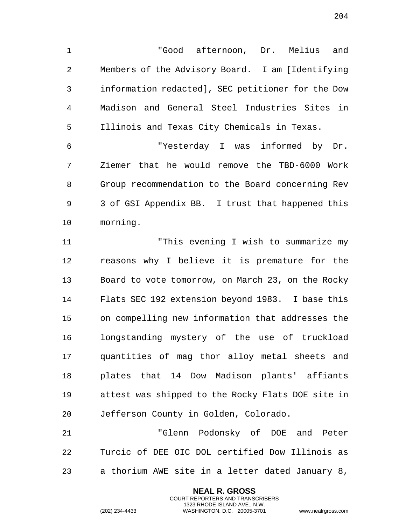"Good afternoon, Dr. Melius and Members of the Advisory Board. I am [Identifying information redacted], SEC petitioner for the Dow Madison and General Steel Industries Sites in Illinois and Texas City Chemicals in Texas.

 "Yesterday I was informed by Dr. Ziemer that he would remove the TBD-6000 Work Group recommendation to the Board concerning Rev 3 of GSI Appendix BB. I trust that happened this morning.

 "This evening I wish to summarize my reasons why I believe it is premature for the Board to vote tomorrow, on March 23, on the Rocky Flats SEC 192 extension beyond 1983. I base this on compelling new information that addresses the longstanding mystery of the use of truckload quantities of mag thor alloy metal sheets and plates that 14 Dow Madison plants' affiants attest was shipped to the Rocky Flats DOE site in Jefferson County in Golden, Colorado.

 "Glenn Podonsky of DOE and Peter Turcic of DEE OIC DOL certified Dow Illinois as a thorium AWE site in a letter dated January 8,

> **NEAL R. GROSS** COURT REPORTERS AND TRANSCRIBERS 1323 RHODE ISLAND AVE., N.W.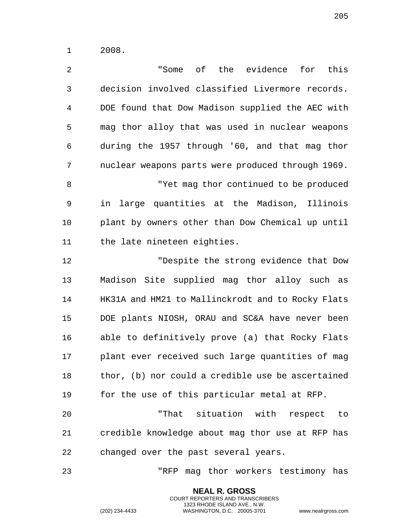2008.

 "Some of the evidence for this decision involved classified Livermore records. DOE found that Dow Madison supplied the AEC with mag thor alloy that was used in nuclear weapons during the 1957 through '60, and that mag thor nuclear weapons parts were produced through 1969. "Yet mag thor continued to be produced in large quantities at the Madison, Illinois plant by owners other than Dow Chemical up until the late nineteen eighties. "Despite the strong evidence that Dow Madison Site supplied mag thor alloy such as HK31A and HM21 to Mallinckrodt and to Rocky Flats DOE plants NIOSH, ORAU and SC&A have never been able to definitively prove (a) that Rocky Flats plant ever received such large quantities of mag thor, (b) nor could a credible use be ascertained for the use of this particular metal at RFP. "That situation with respect to credible knowledge about mag thor use at RFP has changed over the past several years. "RFP mag thor workers testimony has

> **NEAL R. GROSS** COURT REPORTERS AND TRANSCRIBERS 1323 RHODE ISLAND AVE., N.W.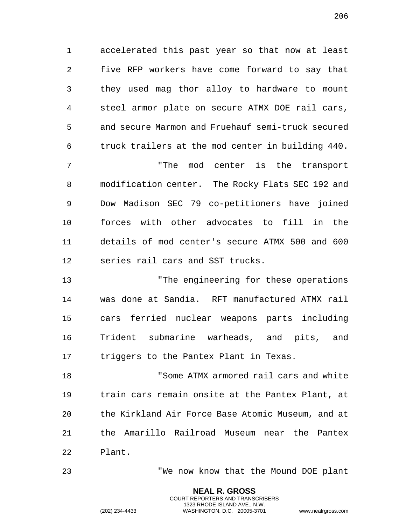accelerated this past year so that now at least five RFP workers have come forward to say that they used mag thor alloy to hardware to mount steel armor plate on secure ATMX DOE rail cars, and secure Marmon and Fruehauf semi-truck secured truck trailers at the mod center in building 440.

 "The mod center is the transport modification center. The Rocky Flats SEC 192 and Dow Madison SEC 79 co-petitioners have joined forces with other advocates to fill in the details of mod center's secure ATMX 500 and 600 series rail cars and SST trucks.

 "The engineering for these operations was done at Sandia. RFT manufactured ATMX rail cars ferried nuclear weapons parts including Trident submarine warheads, and pits, and triggers to the Pantex Plant in Texas.

 "Some ATMX armored rail cars and white train cars remain onsite at the Pantex Plant, at the Kirkland Air Force Base Atomic Museum, and at the Amarillo Railroad Museum near the Pantex Plant.

> **NEAL R. GROSS** COURT REPORTERS AND TRANSCRIBERS 1323 RHODE ISLAND AVE., N.W.

"We now know that the Mound DOE plant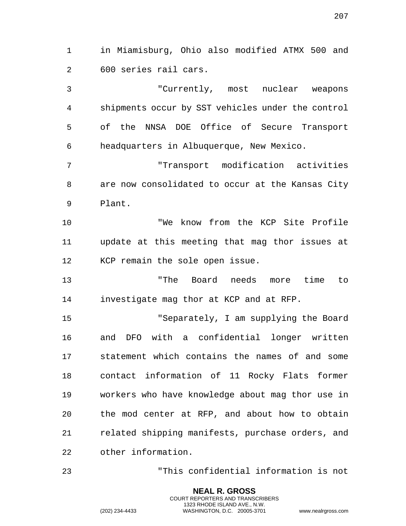in Miamisburg, Ohio also modified ATMX 500 and 600 series rail cars.

 "Currently, most nuclear weapons shipments occur by SST vehicles under the control of the NNSA DOE Office of Secure Transport headquarters in Albuquerque, New Mexico.

 "Transport modification activities are now consolidated to occur at the Kansas City Plant.

 "We know from the KCP Site Profile update at this meeting that mag thor issues at KCP remain the sole open issue.

 "The Board needs more time to investigate mag thor at KCP and at RFP.

 "Separately, I am supplying the Board and DFO with a confidential longer written statement which contains the names of and some contact information of 11 Rocky Flats former workers who have knowledge about mag thor use in the mod center at RFP, and about how to obtain related shipping manifests, purchase orders, and other information.

"This confidential information is not

**NEAL R. GROSS** COURT REPORTERS AND TRANSCRIBERS 1323 RHODE ISLAND AVE., N.W.